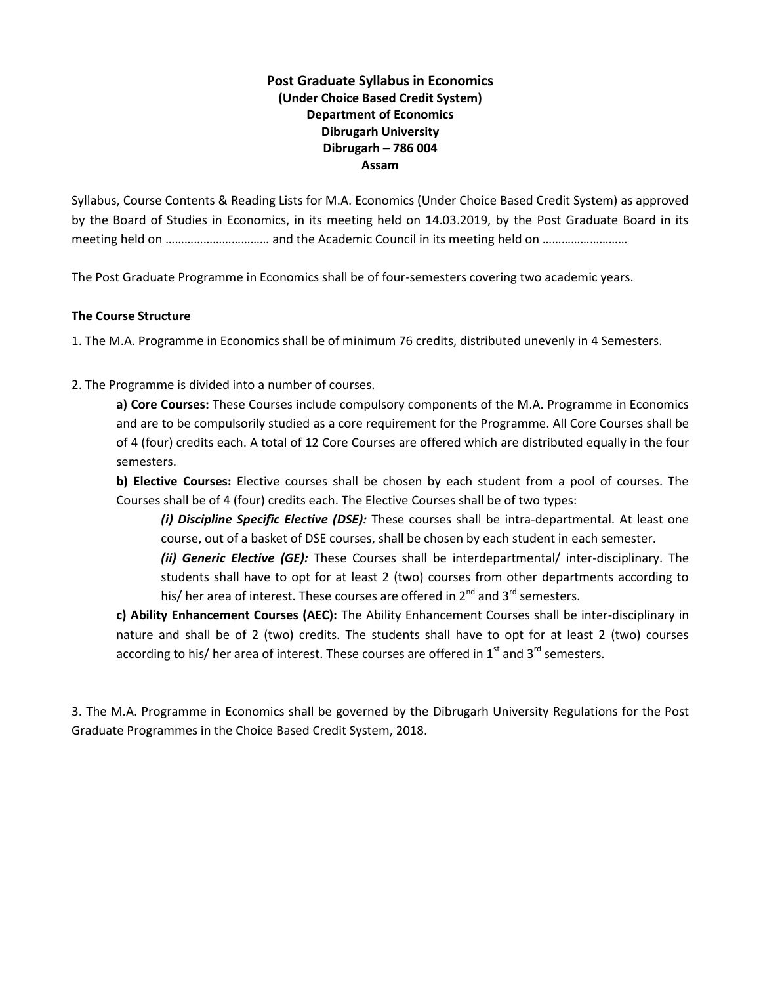## **Post Graduate Syllabus in Economics (Under Choice Based Credit System) Department of Economics Dibrugarh University Dibrugarh – 786 004 Assam**

Syllabus, Course Contents & Reading Lists for M.A. Economics (Under Choice Based Credit System) as approved by the Board of Studies in Economics, in its meeting held on 14.03.2019, by the Post Graduate Board in its meeting held on …………………………… and the Academic Council in its meeting held on ………………………

The Post Graduate Programme in Economics shall be of four-semesters covering two academic years.

#### **The Course Structure**

1. The M.A. Programme in Economics shall be of minimum 76 credits, distributed unevenly in 4 Semesters.

2. The Programme is divided into a number of courses.

**a) Core Courses:** These Courses include compulsory components of the M.A. Programme in Economics and are to be compulsorily studied as a core requirement for the Programme. All Core Courses shall be of 4 (four) credits each. A total of 12 Core Courses are offered which are distributed equally in the four semesters.

**b) Elective Courses:** Elective courses shall be chosen by each student from a pool of courses. The Courses shall be of 4 (four) credits each. The Elective Courses shall be of two types:

*(i) Discipline Specific Elective (DSE):* These courses shall be intra-departmental. At least one course, out of a basket of DSE courses, shall be chosen by each student in each semester.

*(ii) Generic Elective (GE):* These Courses shall be interdepartmental/ inter-disciplinary. The students shall have to opt for at least 2 (two) courses from other departments according to his/ her area of interest. These courses are offered in 2<sup>nd</sup> and 3<sup>rd</sup> semesters.

**c) Ability Enhancement Courses (AEC):** The Ability Enhancement Courses shall be inter-disciplinary in nature and shall be of 2 (two) credits. The students shall have to opt for at least 2 (two) courses according to his/ her area of interest. These courses are offered in  $1<sup>st</sup>$  and  $3<sup>rd</sup>$  semesters.

3. The M.A. Programme in Economics shall be governed by the Dibrugarh University Regulations for the Post Graduate Programmes in the Choice Based Credit System, 2018.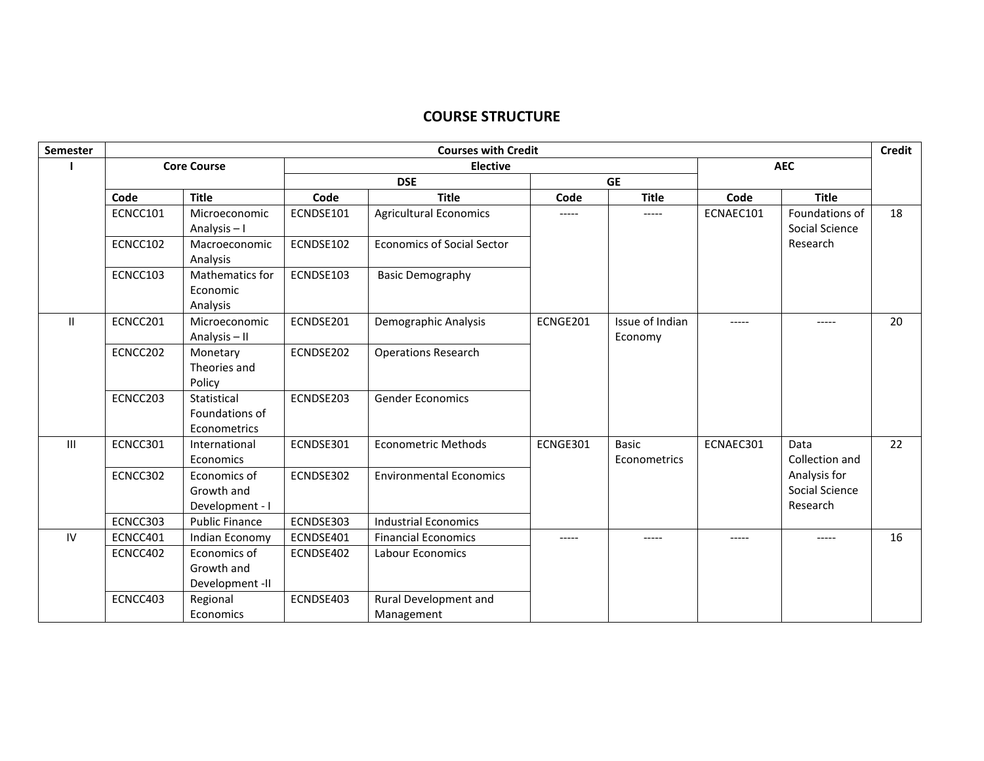## **COURSE STRUCTURE**

| Semester       | <b>Courses with Credit</b> |                                               |            |                                     |           |                              | <b>Credit</b> |                                            |    |
|----------------|----------------------------|-----------------------------------------------|------------|-------------------------------------|-----------|------------------------------|---------------|--------------------------------------------|----|
|                |                            | <b>Core Course</b>                            |            | <b>Elective</b>                     |           |                              |               | <b>AEC</b>                                 |    |
|                |                            |                                               | <b>DSE</b> |                                     | <b>GE</b> |                              |               |                                            |    |
|                | Code                       | <b>Title</b>                                  | Code       | <b>Title</b>                        | Code      | <b>Title</b>                 | Code          | <b>Title</b>                               |    |
|                | ECNCC101                   | Microeconomic<br>Analysis-I                   | ECNDSE101  | <b>Agricultural Economics</b>       | -----     | -----                        | ECNAEC101     | Foundations of<br>Social Science           | 18 |
|                | ECNCC102                   | Macroeconomic<br>Analysis                     | ECNDSE102  | <b>Economics of Social Sector</b>   |           |                              |               | Research                                   |    |
|                | ECNCC103                   | Mathematics for<br>Economic<br>Analysis       | ECNDSE103  | <b>Basic Demography</b>             |           |                              |               |                                            |    |
| $\mathbf{H}$   | ECNCC201                   | Microeconomic<br>Analysis-II                  | ECNDSE201  | Demographic Analysis                | ECNGE201  | Issue of Indian<br>Economy   | -----         | -----                                      | 20 |
|                | ECNCC202                   | Monetary<br>Theories and<br>Policy            | ECNDSE202  | <b>Operations Research</b>          |           |                              |               |                                            |    |
|                | ECNCC203                   | Statistical<br>Foundations of<br>Econometrics | ECNDSE203  | <b>Gender Economics</b>             |           |                              |               |                                            |    |
| $\mathbf{III}$ | ECNCC301                   | International<br>Economics                    | ECNDSE301  | <b>Econometric Methods</b>          | ECNGE301  | <b>Basic</b><br>Econometrics | ECNAEC301     | Data<br>Collection and                     | 22 |
|                | ECNCC302                   | Economics of<br>Growth and<br>Development - I | ECNDSE302  | <b>Environmental Economics</b>      |           |                              |               | Analysis for<br>Social Science<br>Research |    |
|                | ECNCC303                   | <b>Public Finance</b>                         | ECNDSE303  | <b>Industrial Economics</b>         |           |                              |               |                                            |    |
| IV             | ECNCC401                   | Indian Economy                                | ECNDSE401  | <b>Financial Economics</b>          | -----     | -----                        | -----         | -----                                      | 16 |
|                | ECNCC402                   | Economics of<br>Growth and<br>Development -II | ECNDSE402  | <b>Labour Economics</b>             |           |                              |               |                                            |    |
|                | ECNCC403                   | Regional<br>Economics                         | ECNDSE403  | Rural Development and<br>Management |           |                              |               |                                            |    |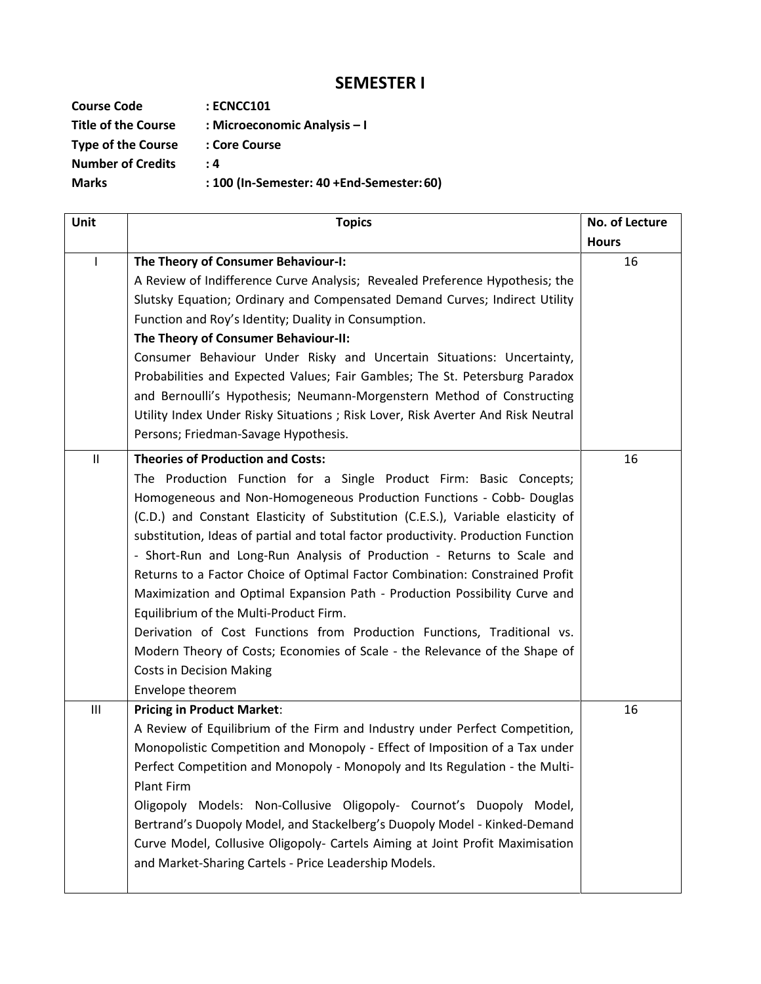# **SEMESTER I**

| <b>Course Code</b>         | : ECNCC101                                |
|----------------------------|-------------------------------------------|
| <b>Title of the Course</b> | : Microeconomic Analysis - I              |
| <b>Type of the Course</b>  | : Core Course                             |
| <b>Number of Credits</b>   | . 4                                       |
| <b>Marks</b>               | : 100 (In-Semester: 40 +End-Semester: 60) |

| Unit         | <b>Topics</b>                                                                                                                                                                                                                                                                                                                                                                                                                                                                                                                                                                                                                                                                                                                                                                                                                                                    | No. of Lecture |
|--------------|------------------------------------------------------------------------------------------------------------------------------------------------------------------------------------------------------------------------------------------------------------------------------------------------------------------------------------------------------------------------------------------------------------------------------------------------------------------------------------------------------------------------------------------------------------------------------------------------------------------------------------------------------------------------------------------------------------------------------------------------------------------------------------------------------------------------------------------------------------------|----------------|
|              |                                                                                                                                                                                                                                                                                                                                                                                                                                                                                                                                                                                                                                                                                                                                                                                                                                                                  | <b>Hours</b>   |
| $\mathbf{I}$ | The Theory of Consumer Behaviour-I:<br>A Review of Indifference Curve Analysis; Revealed Preference Hypothesis; the<br>Slutsky Equation; Ordinary and Compensated Demand Curves; Indirect Utility<br>Function and Roy's Identity; Duality in Consumption.<br>The Theory of Consumer Behaviour-II:<br>Consumer Behaviour Under Risky and Uncertain Situations: Uncertainty,<br>Probabilities and Expected Values; Fair Gambles; The St. Petersburg Paradox<br>and Bernoulli's Hypothesis; Neumann-Morgenstern Method of Constructing<br>Utility Index Under Risky Situations ; Risk Lover, Risk Averter And Risk Neutral<br>Persons; Friedman-Savage Hypothesis.                                                                                                                                                                                                  | 16             |
| Ш            | <b>Theories of Production and Costs:</b><br>The Production Function for a Single Product Firm: Basic Concepts;<br>Homogeneous and Non-Homogeneous Production Functions - Cobb- Douglas<br>(C.D.) and Constant Elasticity of Substitution (C.E.S.), Variable elasticity of<br>substitution, Ideas of partial and total factor productivity. Production Function<br>- Short-Run and Long-Run Analysis of Production - Returns to Scale and<br>Returns to a Factor Choice of Optimal Factor Combination: Constrained Profit<br>Maximization and Optimal Expansion Path - Production Possibility Curve and<br>Equilibrium of the Multi-Product Firm.<br>Derivation of Cost Functions from Production Functions, Traditional vs.<br>Modern Theory of Costs; Economies of Scale - the Relevance of the Shape of<br><b>Costs in Decision Making</b><br>Envelope theorem | 16             |
| Ш            | <b>Pricing in Product Market:</b><br>A Review of Equilibrium of the Firm and Industry under Perfect Competition,<br>Monopolistic Competition and Monopoly - Effect of Imposition of a Tax under<br>Perfect Competition and Monopoly - Monopoly and Its Regulation - the Multi-<br><b>Plant Firm</b><br>Oligopoly Models: Non-Collusive Oligopoly- Cournot's Duopoly Model,<br>Bertrand's Duopoly Model, and Stackelberg's Duopoly Model - Kinked-Demand<br>Curve Model, Collusive Oligopoly- Cartels Aiming at Joint Profit Maximisation<br>and Market-Sharing Cartels - Price Leadership Models.                                                                                                                                                                                                                                                                | 16             |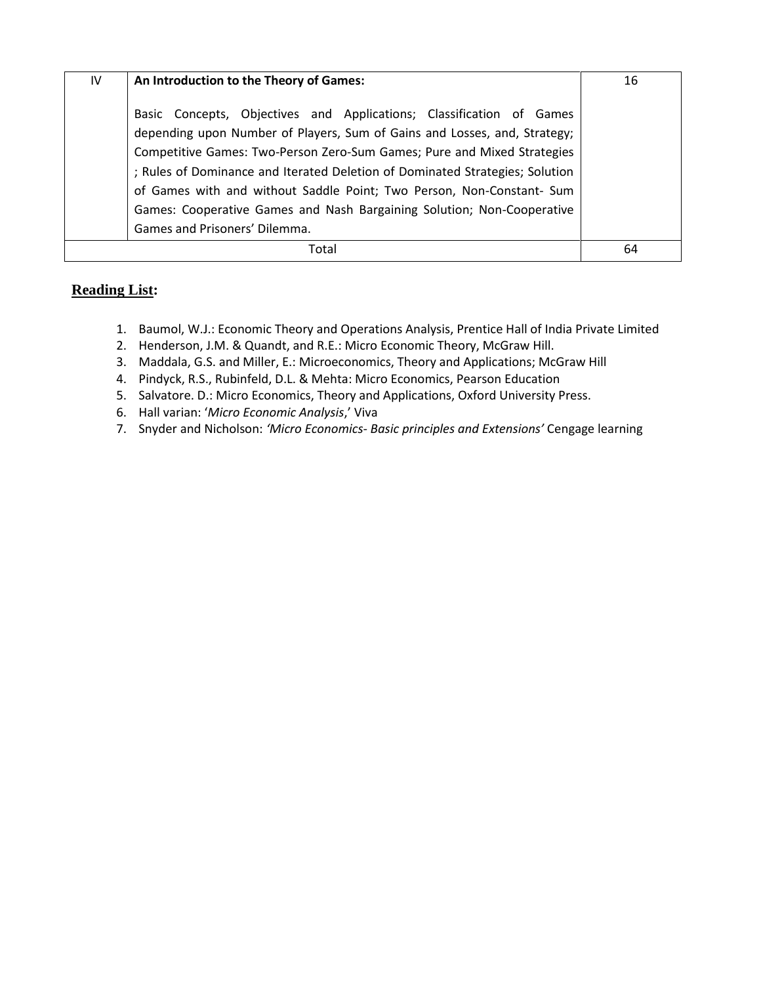| IV | An Introduction to the Theory of Games:                                                                                                                                                                                                                                                                                                                                                                                                                                                          | 16 |
|----|--------------------------------------------------------------------------------------------------------------------------------------------------------------------------------------------------------------------------------------------------------------------------------------------------------------------------------------------------------------------------------------------------------------------------------------------------------------------------------------------------|----|
|    | Basic Concepts, Objectives and Applications; Classification of Games<br>depending upon Number of Players, Sum of Gains and Losses, and, Strategy;<br>Competitive Games: Two-Person Zero-Sum Games; Pure and Mixed Strategies<br>; Rules of Dominance and Iterated Deletion of Dominated Strategies; Solution<br>of Games with and without Saddle Point; Two Person, Non-Constant- Sum<br>Games: Cooperative Games and Nash Bargaining Solution; Non-Cooperative<br>Games and Prisoners' Dilemma. |    |
|    | Total                                                                                                                                                                                                                                                                                                                                                                                                                                                                                            | 64 |

- 1. Baumol, W.J.: Economic Theory and Operations Analysis, Prentice Hall of India Private Limited
- 2. Henderson, J.M. & Quandt, and R.E.: Micro Economic Theory, McGraw Hill.
- 3. Maddala, G.S. and Miller, E.: Microeconomics, Theory and Applications; McGraw Hill
- 4. Pindyck, R.S., Rubinfeld, D.L. & Mehta: Micro Economics, Pearson Education
- 5. Salvatore. D.: Micro Economics, Theory and Applications, Oxford University Press.
- 6. Hall varian: '*Micro Economic Analysis*,' Viva
- 7. Snyder and Nicholson: *'Micro Economics- Basic principles and Extensions'* Cengage learning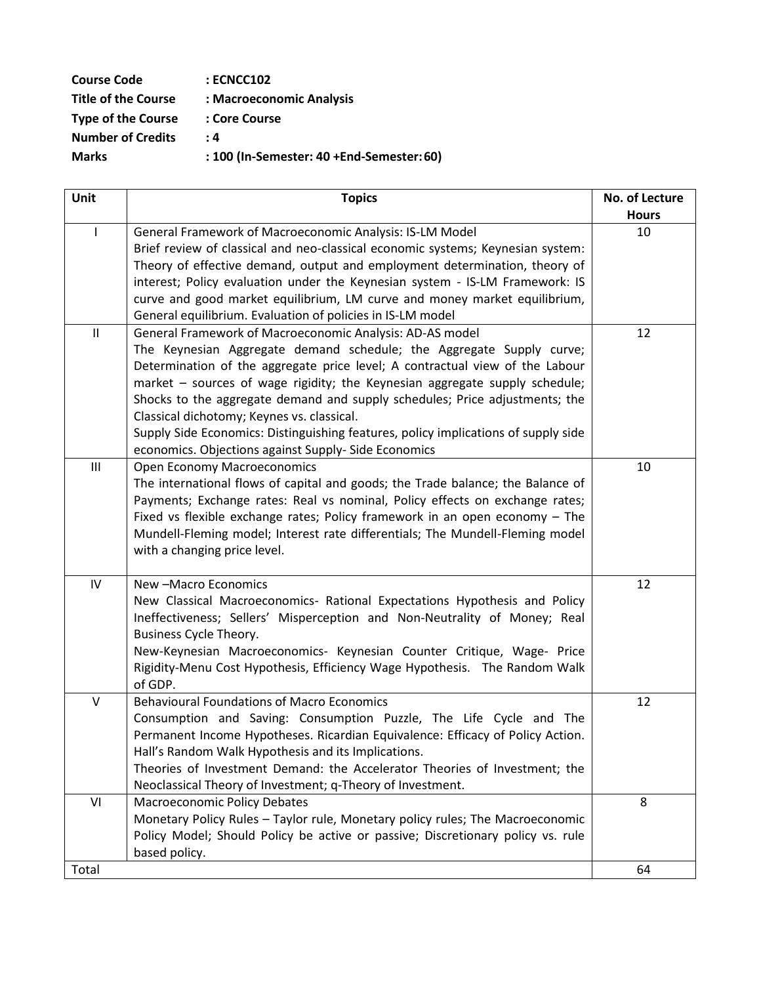| <b>Course Code</b>         | <b>: ECNCC102</b>                         |
|----------------------------|-------------------------------------------|
| <b>Title of the Course</b> | : Macroeconomic Analysis                  |
| <b>Type of the Course</b>  | : Core Course                             |
| <b>Number of Credits</b>   | : 4                                       |
| <b>Marks</b>               | : 100 (In-Semester: 40 +End-Semester: 60) |

| Unit                       | <b>Topics</b>                                                                                                                                       | No. of Lecture<br><b>Hours</b> |
|----------------------------|-----------------------------------------------------------------------------------------------------------------------------------------------------|--------------------------------|
| $\mathbf{I}$               | General Framework of Macroeconomic Analysis: IS-LM Model                                                                                            | 10                             |
|                            | Brief review of classical and neo-classical economic systems; Keynesian system:                                                                     |                                |
|                            | Theory of effective demand, output and employment determination, theory of                                                                          |                                |
|                            | interest; Policy evaluation under the Keynesian system - IS-LM Framework: IS                                                                        |                                |
|                            | curve and good market equilibrium, LM curve and money market equilibrium,                                                                           |                                |
|                            | General equilibrium. Evaluation of policies in IS-LM model                                                                                          |                                |
| $\ensuremath{\mathsf{II}}$ | General Framework of Macroeconomic Analysis: AD-AS model<br>The Keynesian Aggregate demand schedule; the Aggregate Supply curve;                    | 12                             |
|                            | Determination of the aggregate price level; A contractual view of the Labour                                                                        |                                |
|                            | market - sources of wage rigidity; the Keynesian aggregate supply schedule;                                                                         |                                |
|                            | Shocks to the aggregate demand and supply schedules; Price adjustments; the                                                                         |                                |
|                            | Classical dichotomy; Keynes vs. classical.                                                                                                          |                                |
|                            | Supply Side Economics: Distinguishing features, policy implications of supply side                                                                  |                                |
|                            | economics. Objections against Supply- Side Economics                                                                                                |                                |
| $\mathbf{III}$             | <b>Open Economy Macroeconomics</b>                                                                                                                  | 10                             |
|                            | The international flows of capital and goods; the Trade balance; the Balance of                                                                     |                                |
|                            | Payments; Exchange rates: Real vs nominal, Policy effects on exchange rates;                                                                        |                                |
|                            | Fixed vs flexible exchange rates; Policy framework in an open economy $-$ The                                                                       |                                |
|                            | Mundell-Fleming model; Interest rate differentials; The Mundell-Fleming model                                                                       |                                |
|                            | with a changing price level.                                                                                                                        |                                |
| IV                         | New -Macro Economics                                                                                                                                | 12                             |
|                            | New Classical Macroeconomics- Rational Expectations Hypothesis and Policy                                                                           |                                |
|                            | Ineffectiveness; Sellers' Misperception and Non-Neutrality of Money; Real                                                                           |                                |
|                            | Business Cycle Theory.                                                                                                                              |                                |
|                            | New-Keynesian Macroeconomics- Keynesian Counter Critique, Wage- Price<br>Rigidity-Menu Cost Hypothesis, Efficiency Wage Hypothesis. The Random Walk |                                |
|                            | of GDP.                                                                                                                                             |                                |
| $\vee$                     | <b>Behavioural Foundations of Macro Economics</b>                                                                                                   | 12                             |
|                            | Consumption and Saving: Consumption Puzzle, The Life Cycle and The                                                                                  |                                |
|                            | Permanent Income Hypotheses. Ricardian Equivalence: Efficacy of Policy Action.                                                                      |                                |
|                            | Hall's Random Walk Hypothesis and its Implications.                                                                                                 |                                |
|                            | Theories of Investment Demand: the Accelerator Theories of Investment; the                                                                          |                                |
|                            | Neoclassical Theory of Investment; q-Theory of Investment.                                                                                          |                                |
| VI                         | <b>Macroeconomic Policy Debates</b>                                                                                                                 | 8                              |
|                            | Monetary Policy Rules - Taylor rule, Monetary policy rules; The Macroeconomic                                                                       |                                |
|                            | Policy Model; Should Policy be active or passive; Discretionary policy vs. rule<br>based policy.                                                    |                                |
| Total                      |                                                                                                                                                     | 64                             |
|                            |                                                                                                                                                     |                                |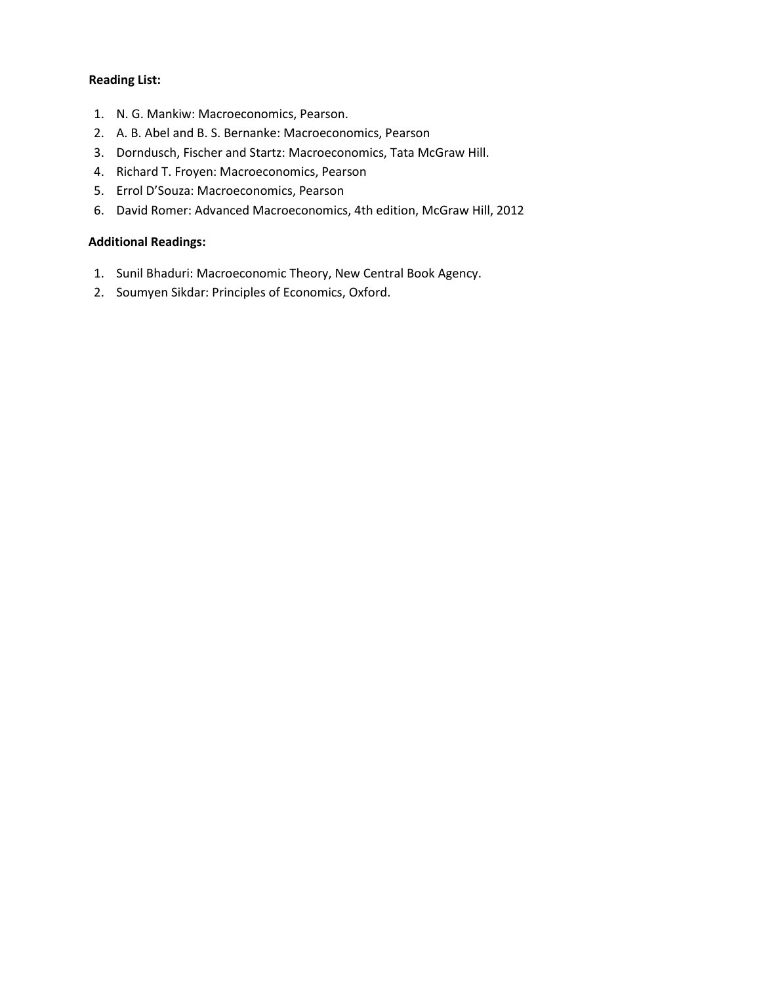- 1. N. G. Mankiw: Macroeconomics, Pearson.
- 2. A. B. Abel and B. S. Bernanke: Macroeconomics, Pearson
- 3. Dorndusch, Fischer and Startz: Macroeconomics, Tata McGraw Hill.
- 4. Richard T. Froyen: Macroeconomics, Pearson
- 5. Errol D'Souza: Macroeconomics, Pearson
- 6. David Romer: Advanced Macroeconomics, 4th edition, McGraw Hill, 2012

### **Additional Readings:**

- 1. Sunil Bhaduri: Macroeconomic Theory, New Central Book Agency.
- 2. Soumyen Sikdar: Principles of Economics, Oxford.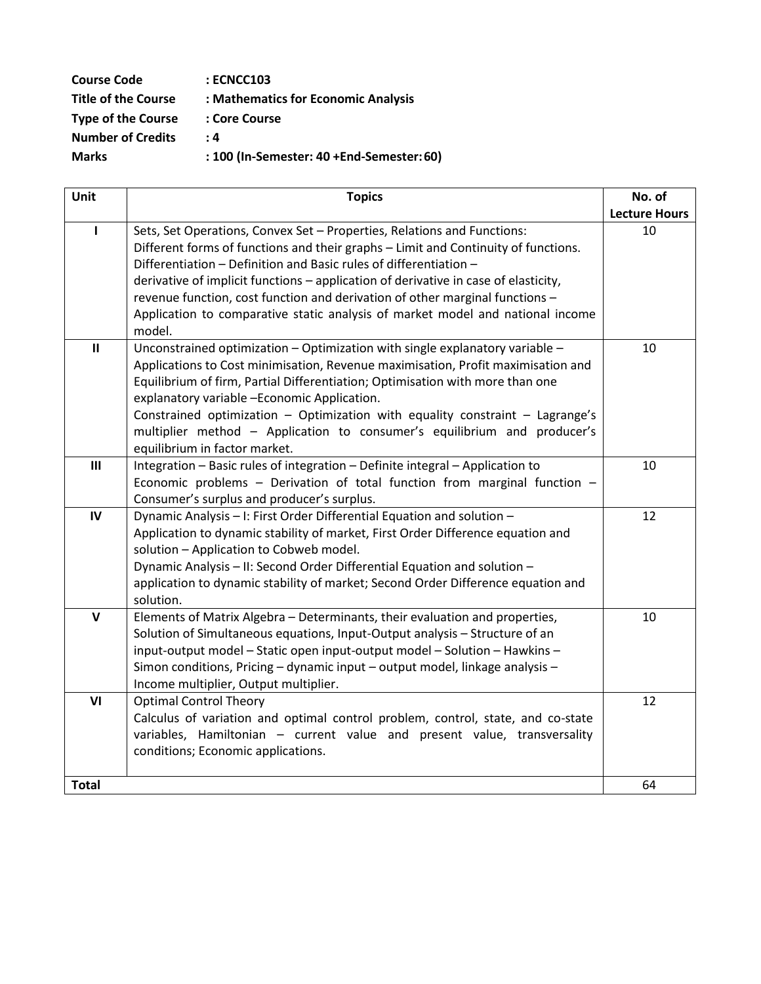| <b>Course Code</b>         | : ECNCC103                                |
|----------------------------|-------------------------------------------|
| <b>Title of the Course</b> | : Mathematics for Economic Analysis       |
| <b>Type of the Course</b>  | : Core Course                             |
| <b>Number of Credits</b>   | : 4                                       |
| <b>Marks</b>               | : 100 (In-Semester: 40 +End-Semester: 60) |

| Unit         | <b>Topics</b>                                                                                                              | No. of               |
|--------------|----------------------------------------------------------------------------------------------------------------------------|----------------------|
|              |                                                                                                                            | <b>Lecture Hours</b> |
| L            | Sets, Set Operations, Convex Set - Properties, Relations and Functions:                                                    | 10                   |
|              | Different forms of functions and their graphs - Limit and Continuity of functions.                                         |                      |
|              | Differentiation - Definition and Basic rules of differentiation -                                                          |                      |
|              | derivative of implicit functions - application of derivative in case of elasticity,                                        |                      |
|              | revenue function, cost function and derivation of other marginal functions -                                               |                      |
|              | Application to comparative static analysis of market model and national income                                             |                      |
|              | model.                                                                                                                     |                      |
| $\mathbf{H}$ | Unconstrained optimization - Optimization with single explanatory variable -                                               | 10                   |
|              | Applications to Cost minimisation, Revenue maximisation, Profit maximisation and                                           |                      |
|              | Equilibrium of firm, Partial Differentiation; Optimisation with more than one                                              |                      |
|              | explanatory variable -Economic Application.                                                                                |                      |
|              | Constrained optimization - Optimization with equality constraint - Lagrange's                                              |                      |
|              | multiplier method - Application to consumer's equilibrium and producer's                                                   |                      |
|              | equilibrium in factor market.                                                                                              |                      |
| III          | Integration - Basic rules of integration - Definite integral - Application to                                              | 10                   |
|              | Economic problems - Derivation of total function from marginal function -                                                  |                      |
|              | Consumer's surplus and producer's surplus.                                                                                 |                      |
| IV           | Dynamic Analysis - I: First Order Differential Equation and solution -                                                     | 12                   |
|              | Application to dynamic stability of market, First Order Difference equation and<br>solution - Application to Cobweb model. |                      |
|              | Dynamic Analysis - II: Second Order Differential Equation and solution -                                                   |                      |
|              | application to dynamic stability of market; Second Order Difference equation and                                           |                      |
|              | solution.                                                                                                                  |                      |
| $\mathbf v$  | Elements of Matrix Algebra - Determinants, their evaluation and properties,                                                | 10                   |
|              | Solution of Simultaneous equations, Input-Output analysis - Structure of an                                                |                      |
|              | input-output model - Static open input-output model - Solution - Hawkins -                                                 |                      |
|              | Simon conditions, Pricing - dynamic input - output model, linkage analysis -                                               |                      |
|              | Income multiplier, Output multiplier.                                                                                      |                      |
| VI           | <b>Optimal Control Theory</b>                                                                                              | 12                   |
|              | Calculus of variation and optimal control problem, control, state, and co-state                                            |                      |
|              | variables, Hamiltonian - current value and present value, transversality                                                   |                      |
|              | conditions; Economic applications.                                                                                         |                      |
|              |                                                                                                                            |                      |
| <b>Total</b> |                                                                                                                            | 64                   |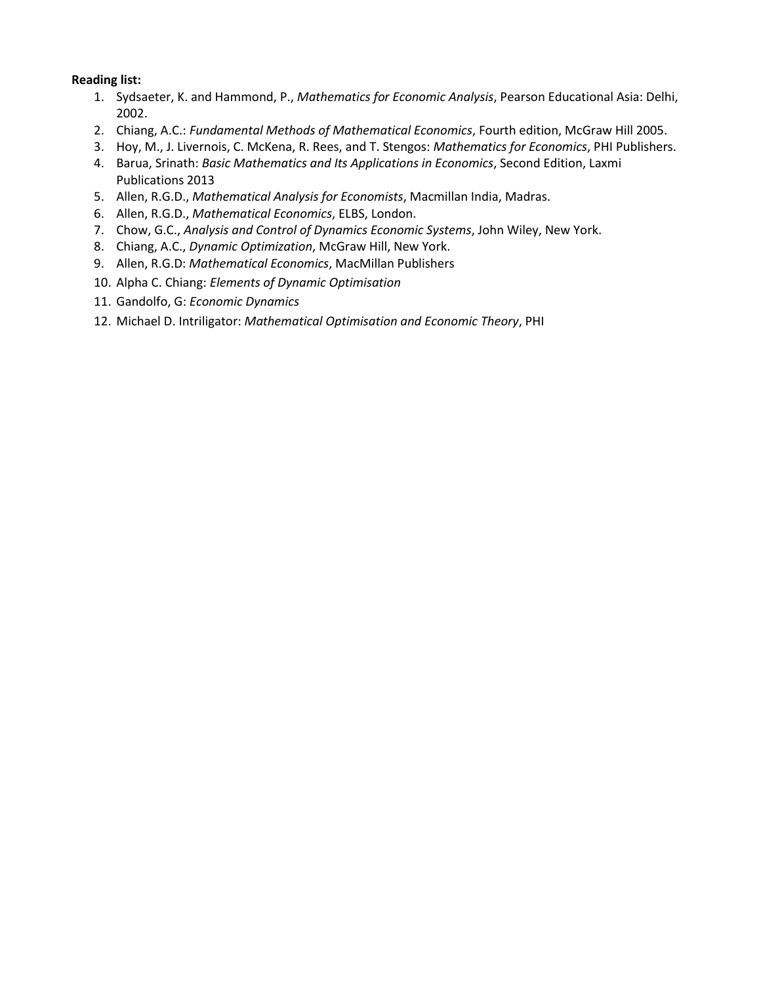- 1. Sydsaeter, K. and Hammond, P., *Mathematics for Economic Analysis*, Pearson Educational Asia: Delhi, 2002.
- 2. Chiang, A.C.: *Fundamental Methods of Mathematical Economics*, Fourth edition, McGraw Hill 2005.
- 3. Hoy, M., J. Livernois, C. McKena, R. Rees, and T. Stengos: *Mathematics for Economics*, PHI Publishers.
- 4. Barua, Srinath: *Basic Mathematics and Its Applications in Economics*, Second Edition, Laxmi Publications 2013
- 5. Allen, R.G.D., *Mathematical Analysis for Economists*, Macmillan India, Madras.
- 6. Allen, R.G.D., *Mathematical Economics*, ELBS, London.
- 7. Chow, G.C., *Analysis and Control of Dynamics Economic Systems*, John Wiley, New York.
- 8. Chiang, A.C., *Dynamic Optimization*, McGraw Hill, New York.
- 9. Allen, R.G.D: *Mathematical Economics*, MacMillan Publishers
- 10. Alpha C. Chiang: *Elements of Dynamic Optimisation*
- 11. Gandolfo, G: *Economic Dynamics*
- 12. Michael D. Intriligator: *Mathematical Optimisation and Economic Theory*, PHI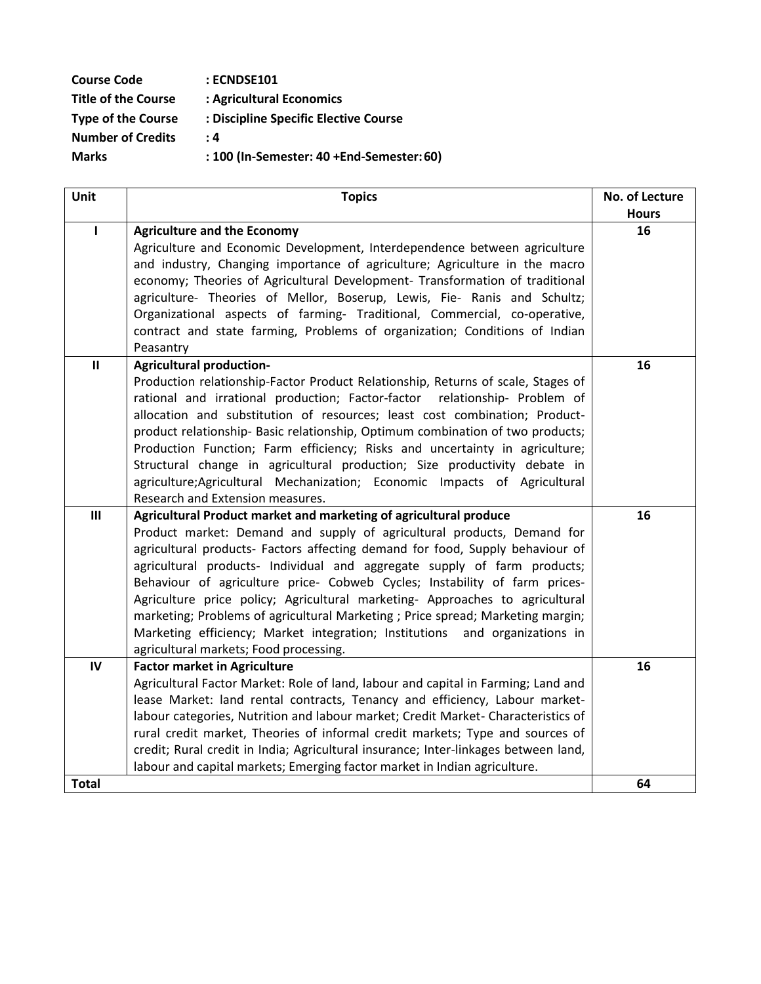| <b>Course Code</b>         | : ECNDSE101                               |
|----------------------------|-------------------------------------------|
| <b>Title of the Course</b> | : Agricultural Economics                  |
| <b>Type of the Course</b>  | : Discipline Specific Elective Course     |
| <b>Number of Credits</b>   | : 4                                       |
| <b>Marks</b>               | : 100 (In-Semester: 40 +End-Semester: 60) |

| Unit           | <b>Topics</b>                                                                                                                                            | No. of Lecture |
|----------------|----------------------------------------------------------------------------------------------------------------------------------------------------------|----------------|
|                |                                                                                                                                                          | <b>Hours</b>   |
| ı              | <b>Agriculture and the Economy</b>                                                                                                                       | 16             |
|                | Agriculture and Economic Development, Interdependence between agriculture                                                                                |                |
|                | and industry, Changing importance of agriculture; Agriculture in the macro                                                                               |                |
|                | economy; Theories of Agricultural Development- Transformation of traditional                                                                             |                |
|                | agriculture- Theories of Mellor, Boserup, Lewis, Fie- Ranis and Schultz;                                                                                 |                |
|                | Organizational aspects of farming- Traditional, Commercial, co-operative,                                                                                |                |
|                | contract and state farming, Problems of organization; Conditions of Indian                                                                               |                |
|                | Peasantry                                                                                                                                                |                |
| $\mathbf{II}$  | <b>Agricultural production-</b>                                                                                                                          | 16             |
|                | Production relationship-Factor Product Relationship, Returns of scale, Stages of                                                                         |                |
|                | rational and irrational production; Factor-factor relationship- Problem of                                                                               |                |
|                | allocation and substitution of resources; least cost combination; Product-                                                                               |                |
|                | product relationship- Basic relationship, Optimum combination of two products;                                                                           |                |
|                | Production Function; Farm efficiency; Risks and uncertainty in agriculture;<br>Structural change in agricultural production; Size productivity debate in |                |
|                | agriculture; Agricultural Mechanization; Economic Impacts of Agricultural                                                                                |                |
|                | Research and Extension measures.                                                                                                                         |                |
| $\mathbf{III}$ | Agricultural Product market and marketing of agricultural produce                                                                                        | 16             |
|                | Product market: Demand and supply of agricultural products, Demand for                                                                                   |                |
|                | agricultural products- Factors affecting demand for food, Supply behaviour of                                                                            |                |
|                | agricultural products- Individual and aggregate supply of farm products;                                                                                 |                |
|                | Behaviour of agriculture price- Cobweb Cycles; Instability of farm prices-                                                                               |                |
|                | Agriculture price policy; Agricultural marketing- Approaches to agricultural                                                                             |                |
|                | marketing; Problems of agricultural Marketing ; Price spread; Marketing margin;                                                                          |                |
|                | Marketing efficiency; Market integration; Institutions and organizations in                                                                              |                |
|                | agricultural markets; Food processing.                                                                                                                   |                |
| $\mathsf{IV}$  | <b>Factor market in Agriculture</b>                                                                                                                      | 16             |
|                | Agricultural Factor Market: Role of land, labour and capital in Farming; Land and                                                                        |                |
|                | lease Market: land rental contracts, Tenancy and efficiency, Labour market-                                                                              |                |
|                | labour categories, Nutrition and labour market; Credit Market- Characteristics of                                                                        |                |
|                | rural credit market, Theories of informal credit markets; Type and sources of                                                                            |                |
|                | credit; Rural credit in India; Agricultural insurance; Inter-linkages between land,                                                                      |                |
|                | labour and capital markets; Emerging factor market in Indian agriculture.                                                                                |                |
| <b>Total</b>   |                                                                                                                                                          | 64             |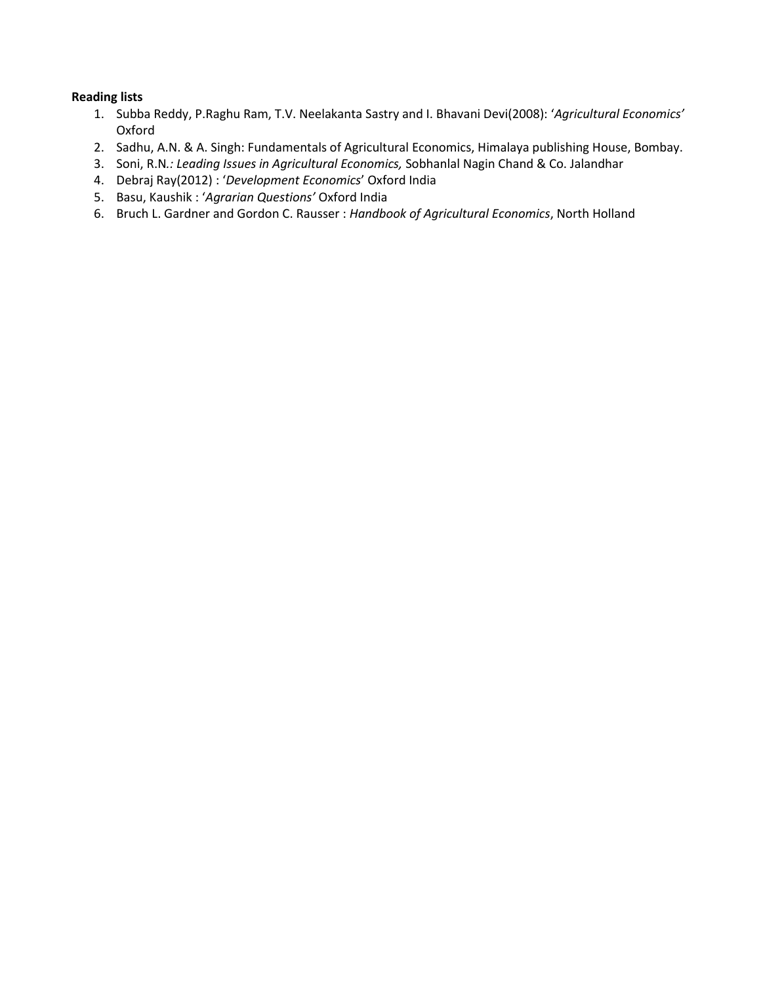- 1. Subba Reddy, P.Raghu Ram, T.V. Neelakanta Sastry and I. Bhavani Devi(2008): '*Agricultural Economics'* Oxford
- 2. Sadhu, A.N. & A. Singh: Fundamentals of Agricultural Economics, Himalaya publishing House, Bombay.
- 3. Soni, R.N*.: Leading Issues in Agricultural Economics,* Sobhanlal Nagin Chand & Co. Jalandhar
- 4. Debraj Ray(2012) : '*Development Economics*' Oxford India
- 5. Basu, Kaushik : '*Agrarian Questions'* Oxford India
- 6. Bruch L. Gardner and Gordon C. Rausser : *Handbook of Agricultural Economics*, North Holland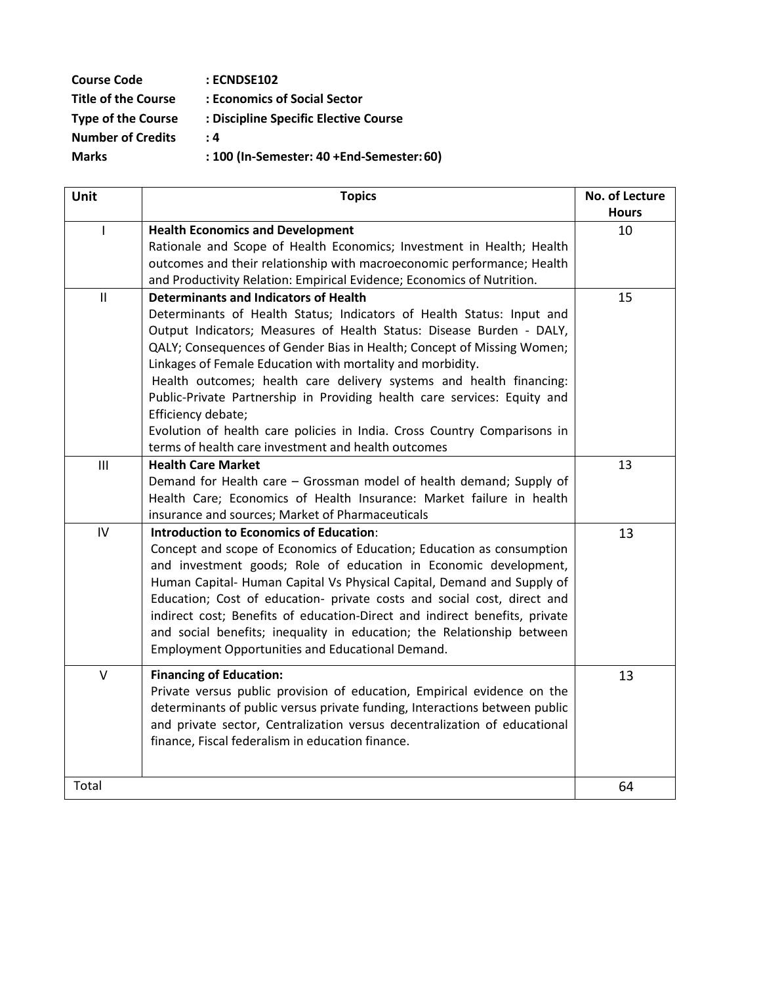| <b>Course Code</b>         | : ECNDSE102                               |
|----------------------------|-------------------------------------------|
| <b>Title of the Course</b> | : Economics of Social Sector              |
| <b>Type of the Course</b>  | : Discipline Specific Elective Course     |
| <b>Number of Credits</b>   | : 4                                       |
| <b>Marks</b>               | : 100 (In-Semester: 40 +End-Semester: 60) |

| Unit           | <b>Topics</b>                                                              | No. of Lecture |
|----------------|----------------------------------------------------------------------------|----------------|
|                |                                                                            | <b>Hours</b>   |
| I              | <b>Health Economics and Development</b>                                    | 10             |
|                | Rationale and Scope of Health Economics; Investment in Health; Health      |                |
|                | outcomes and their relationship with macroeconomic performance; Health     |                |
|                | and Productivity Relation: Empirical Evidence; Economics of Nutrition.     |                |
| $\mathbf{II}$  | <b>Determinants and Indicators of Health</b>                               | 15             |
|                | Determinants of Health Status; Indicators of Health Status: Input and      |                |
|                | Output Indicators; Measures of Health Status: Disease Burden - DALY,       |                |
|                | QALY; Consequences of Gender Bias in Health; Concept of Missing Women;     |                |
|                | Linkages of Female Education with mortality and morbidity.                 |                |
|                | Health outcomes; health care delivery systems and health financing:        |                |
|                | Public-Private Partnership in Providing health care services: Equity and   |                |
|                | Efficiency debate;                                                         |                |
|                | Evolution of health care policies in India. Cross Country Comparisons in   |                |
|                | terms of health care investment and health outcomes                        |                |
| $\mathbf{III}$ | <b>Health Care Market</b>                                                  | 13             |
|                | Demand for Health care - Grossman model of health demand; Supply of        |                |
|                | Health Care; Economics of Health Insurance: Market failure in health       |                |
|                | insurance and sources; Market of Pharmaceuticals                           |                |
| IV             | <b>Introduction to Economics of Education:</b>                             | 13             |
|                | Concept and scope of Economics of Education; Education as consumption      |                |
|                | and investment goods; Role of education in Economic development,           |                |
|                | Human Capital- Human Capital Vs Physical Capital, Demand and Supply of     |                |
|                | Education; Cost of education- private costs and social cost, direct and    |                |
|                | indirect cost; Benefits of education-Direct and indirect benefits, private |                |
|                | and social benefits; inequality in education; the Relationship between     |                |
|                | Employment Opportunities and Educational Demand.                           |                |
| $\vee$         | <b>Financing of Education:</b>                                             | 13             |
|                | Private versus public provision of education, Empirical evidence on the    |                |
|                | determinants of public versus private funding, Interactions between public |                |
|                | and private sector, Centralization versus decentralization of educational  |                |
|                | finance, Fiscal federalism in education finance.                           |                |
|                |                                                                            |                |
|                |                                                                            |                |
| Total          |                                                                            | 64             |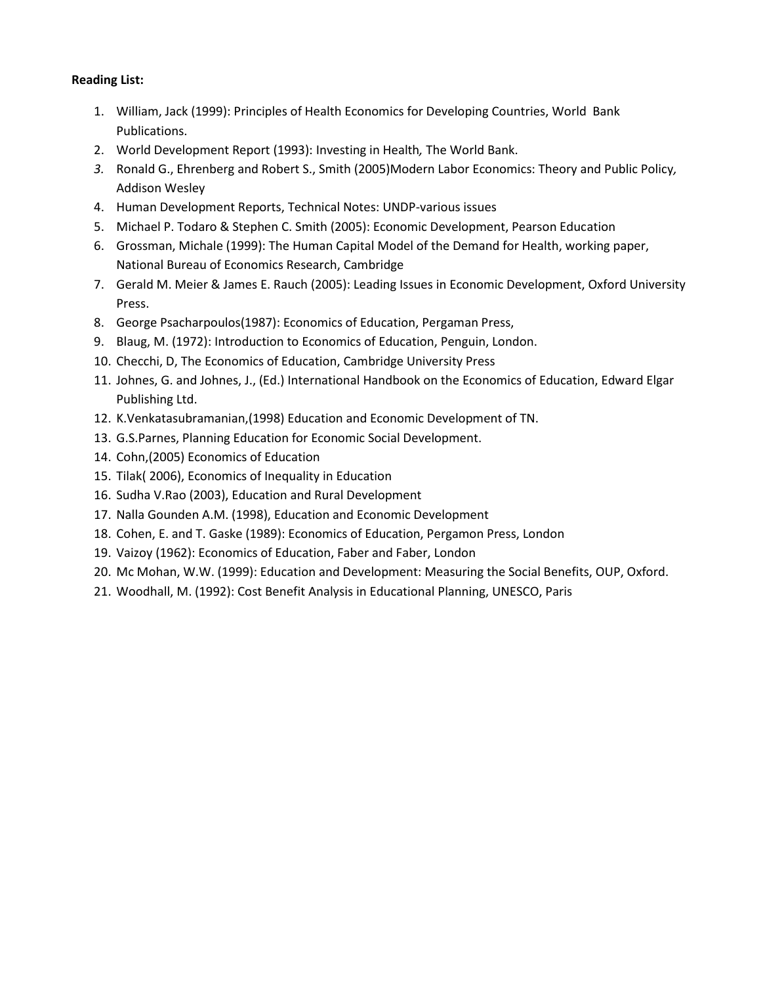- 1. William, Jack (1999): Principles of Health Economics for Developing Countries, World Bank Publications.
- 2. World Development Report (1993): Investing in Health*,* The World Bank.
- *3.* Ronald G., Ehrenberg and Robert S., Smith (2005)Modern Labor Economics: Theory and Public Policy*,*  Addison Wesley
- 4. Human Development Reports, Technical Notes: UNDP-various issues
- 5. Michael P. Todaro & Stephen C. Smith (2005): Economic Development, Pearson Education
- 6. Grossman, Michale (1999): The Human Capital Model of the Demand for Health, working paper, National Bureau of Economics Research, Cambridge
- 7. Gerald M. Meier & James E. Rauch (2005): Leading Issues in Economic Development, Oxford University Press.
- 8. George Psacharpoulos(1987): Economics of Education, Pergaman Press,
- 9. Blaug, M. (1972): Introduction to Economics of Education, Penguin, London.
- 10. Checchi, D, The Economics of Education, Cambridge University Press
- 11. Johnes, G. and Johnes, J., (Ed.) International Handbook on the Economics of Education, Edward Elgar Publishing Ltd.
- 12. K.Venkatasubramanian,(1998) Education and Economic Development of TN.
- 13. G.S.Parnes, Planning Education for Economic Social Development.
- 14. Cohn,(2005) Economics of Education
- 15. Tilak( 2006), Economics of Inequality in Education
- 16. Sudha V.Rao (2003), Education and Rural Development
- 17. Nalla Gounden A.M. (1998), Education and Economic Development
- 18. Cohen, E. and T. Gaske (1989): Economics of Education, Pergamon Press, London
- 19. Vaizoy (1962): Economics of Education, Faber and Faber, London
- 20. Mc Mohan, W.W. (1999): Education and Development: Measuring the Social Benefits, OUP, Oxford.
- 21. Woodhall, M. (1992): Cost Benefit Analysis in Educational Planning, UNESCO, Paris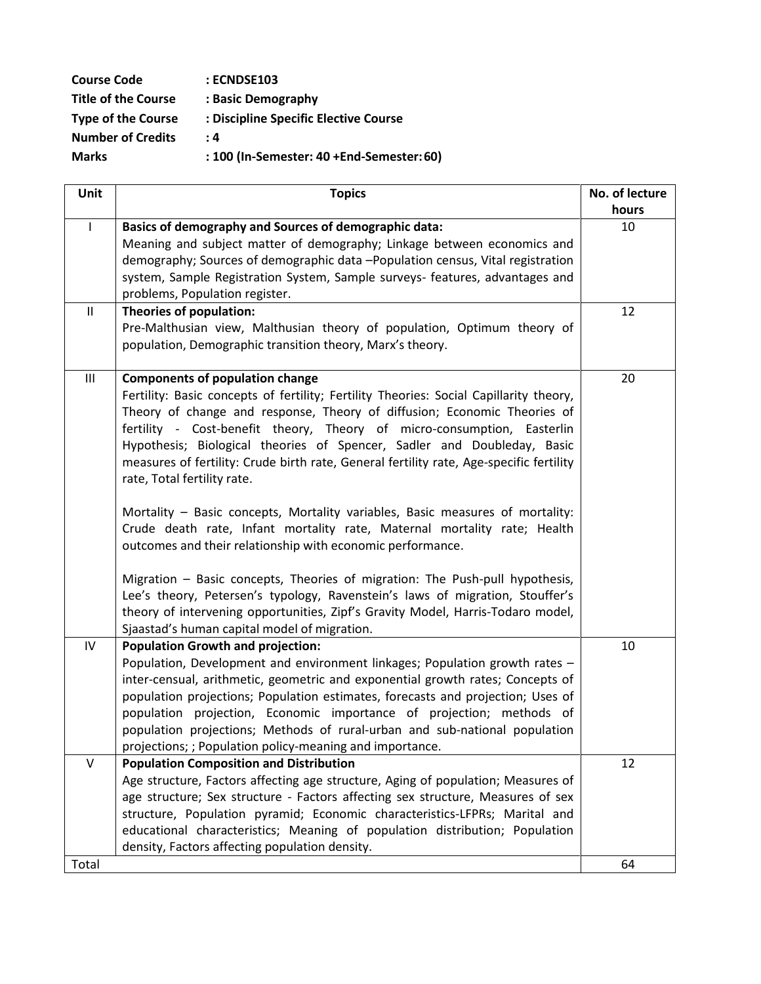| <b>Course Code</b>         | : ECNDSE103                               |
|----------------------------|-------------------------------------------|
| <b>Title of the Course</b> | : Basic Demography                        |
| <b>Type of the Course</b>  | : Discipline Specific Elective Course     |
| <b>Number of Credits</b>   | : 4                                       |
| <b>Marks</b>               | : 100 (In-Semester: 40 +End-Semester: 60) |
|                            |                                           |

| <b>Unit</b>   | <b>Topics</b>                                                                                                                          | No. of lecture |
|---------------|----------------------------------------------------------------------------------------------------------------------------------------|----------------|
|               |                                                                                                                                        | hours          |
| $\mathbf{I}$  | Basics of demography and Sources of demographic data:                                                                                  | 10             |
|               | Meaning and subject matter of demography; Linkage between economics and                                                                |                |
|               | demography; Sources of demographic data -Population census, Vital registration                                                         |                |
|               | system, Sample Registration System, Sample surveys- features, advantages and                                                           |                |
|               | problems, Population register.                                                                                                         |                |
| $\mathbf{II}$ | Theories of population:                                                                                                                | 12             |
|               | Pre-Malthusian view, Malthusian theory of population, Optimum theory of                                                                |                |
|               | population, Demographic transition theory, Marx's theory.                                                                              |                |
| Ш             | <b>Components of population change</b>                                                                                                 | 20             |
|               | Fertility: Basic concepts of fertility; Fertility Theories: Social Capillarity theory,                                                 |                |
|               | Theory of change and response, Theory of diffusion; Economic Theories of                                                               |                |
|               | fertility - Cost-benefit theory, Theory of micro-consumption, Easterlin                                                                |                |
|               | Hypothesis; Biological theories of Spencer, Sadler and Doubleday, Basic                                                                |                |
|               | measures of fertility: Crude birth rate, General fertility rate, Age-specific fertility                                                |                |
|               | rate, Total fertility rate.                                                                                                            |                |
|               |                                                                                                                                        |                |
|               | Mortality - Basic concepts, Mortality variables, Basic measures of mortality:                                                          |                |
|               | Crude death rate, Infant mortality rate, Maternal mortality rate; Health<br>outcomes and their relationship with economic performance. |                |
|               |                                                                                                                                        |                |
|               | Migration - Basic concepts, Theories of migration: The Push-pull hypothesis,                                                           |                |
|               | Lee's theory, Petersen's typology, Ravenstein's laws of migration, Stouffer's                                                          |                |
|               | theory of intervening opportunities, Zipf's Gravity Model, Harris-Todaro model,                                                        |                |
|               | Sjaastad's human capital model of migration.                                                                                           |                |
| IV            | <b>Population Growth and projection:</b>                                                                                               | 10             |
|               | Population, Development and environment linkages; Population growth rates -                                                            |                |
|               | inter-censual, arithmetic, geometric and exponential growth rates; Concepts of                                                         |                |
|               | population projections; Population estimates, forecasts and projection; Uses of                                                        |                |
|               | population projection, Economic importance of projection; methods of                                                                   |                |
|               | population projections; Methods of rural-urban and sub-national population                                                             |                |
|               | projections; ; Population policy-meaning and importance.                                                                               |                |
| v             | <b>Population Composition and Distribution</b>                                                                                         | 12             |
|               | Age structure, Factors affecting age structure, Aging of population; Measures of                                                       |                |
|               | age structure; Sex structure - Factors affecting sex structure, Measures of sex                                                        |                |
|               | structure, Population pyramid; Economic characteristics-LFPRs; Marital and                                                             |                |
|               | educational characteristics; Meaning of population distribution; Population                                                            |                |
|               | density, Factors affecting population density.                                                                                         |                |
| Total         |                                                                                                                                        | 64             |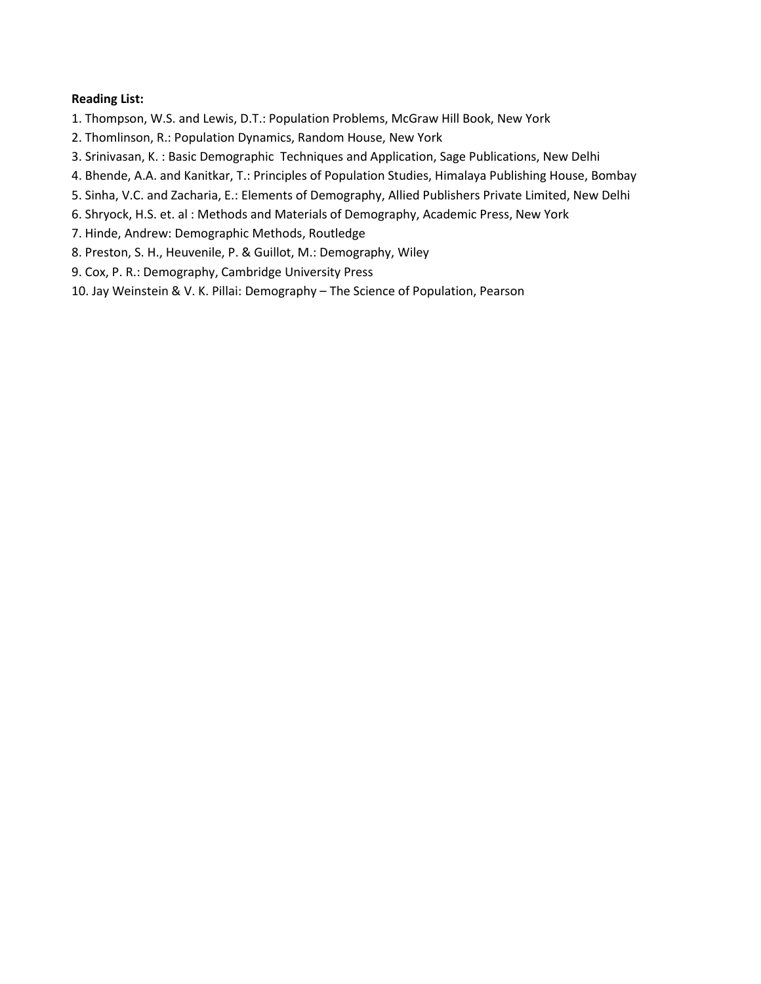- 1. Thompson, W.S. and Lewis, D.T.: Population Problems, McGraw Hill Book, New York
- 2. Thomlinson, R.: Population Dynamics, Random House, New York
- 3. Srinivasan, K. : Basic Demographic Techniques and Application, Sage Publications, New Delhi
- 4. Bhende, A.A. and Kanitkar, T.: Principles of Population Studies, Himalaya Publishing House, Bombay
- 5. Sinha, V.C. and Zacharia, E.: Elements of Demography, Allied Publishers Private Limited, New Delhi
- 6. Shryock, H.S. et. al : Methods and Materials of Demography, Academic Press, New York
- 7. Hinde, Andrew: Demographic Methods, Routledge
- 8. Preston, S. H., Heuvenile, P. & Guillot, M.: Demography, Wiley
- 9. Cox, P. R.: Demography, Cambridge University Press
- 10. Jay Weinstein & V. K. Pillai: Demography The Science of Population, Pearson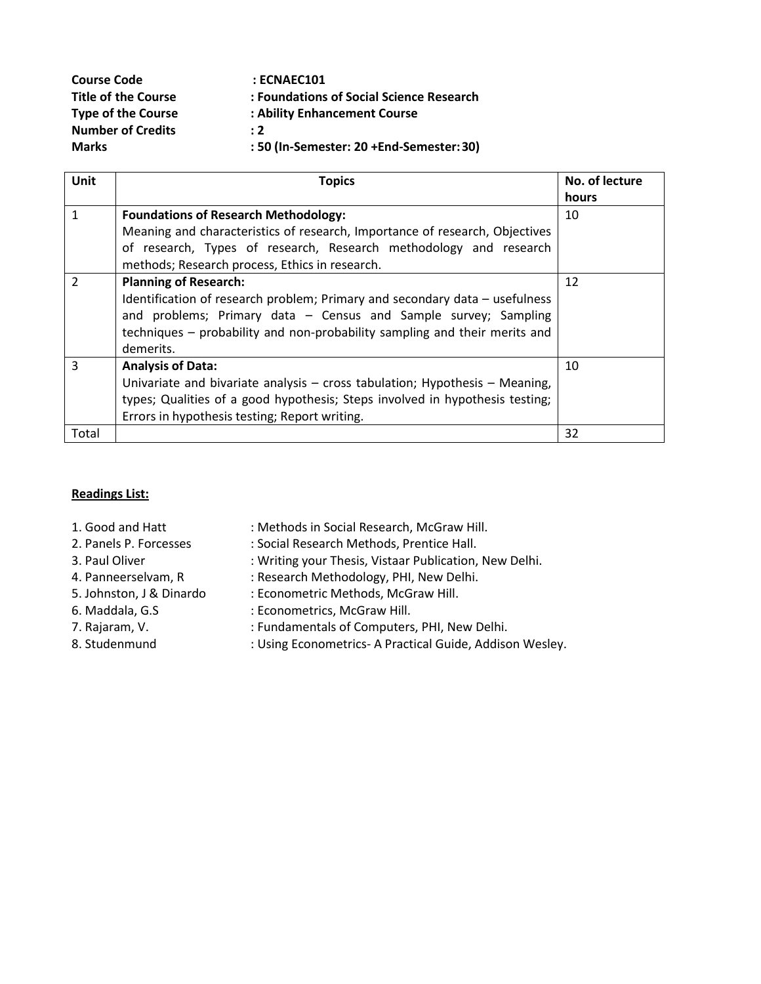| <b>Course Code</b>         | $:$ ECNAEC101                            |
|----------------------------|------------------------------------------|
| <b>Title of the Course</b> | : Foundations of Social Science Research |
| <b>Type of the Course</b>  | : Ability Enhancement Course             |
| <b>Number of Credits</b>   | $\cdot$ 2                                |
| <b>Marks</b>               | : 50 (In-Semester: 20 +End-Semester: 30) |

| Unit           | <b>Topics</b>                                                                | No. of lecture |
|----------------|------------------------------------------------------------------------------|----------------|
|                |                                                                              | hours          |
| 1              | <b>Foundations of Research Methodology:</b>                                  | 10             |
|                | Meaning and characteristics of research, Importance of research, Objectives  |                |
|                | of research, Types of research, Research methodology and research            |                |
|                | methods; Research process, Ethics in research.                               |                |
| $\overline{2}$ | <b>Planning of Research:</b>                                                 | 12             |
|                | Identification of research problem; Primary and secondary data – usefulness  |                |
|                | and problems; Primary data - Census and Sample survey; Sampling              |                |
|                | techniques – probability and non-probability sampling and their merits and   |                |
|                | demerits.                                                                    |                |
| 3              | <b>Analysis of Data:</b>                                                     | 10             |
|                | Univariate and bivariate analysis - cross tabulation; Hypothesis - Meaning,  |                |
|                | types; Qualities of a good hypothesis; Steps involved in hypothesis testing; |                |
|                | Errors in hypothesis testing; Report writing.                                |                |
| Total          |                                                                              | 32             |

- 1. Good and Hatt : Methods in Social Research, McGraw Hill. 2. Panels P. Forcesses : Social Research Methods, Prentice Hall. 3. Paul Oliver : Writing your Thesis, Vistaar Publication, New Delhi. 4. Panneerselvam, R : Research Methodology, PHI, New Delhi. 5. Johnston, J & Dinardo : Econometric Methods, McGraw Hill.
- 6. Maddala, G.S : Econometrics, McGraw Hill.
- 
- 7. Rajaram, V. **Example 20 III : Fundamentals of Computers, PHI, New Delhi.**
- 8. Studenmund : Using Econometrics- A Practical Guide, Addison Wesley.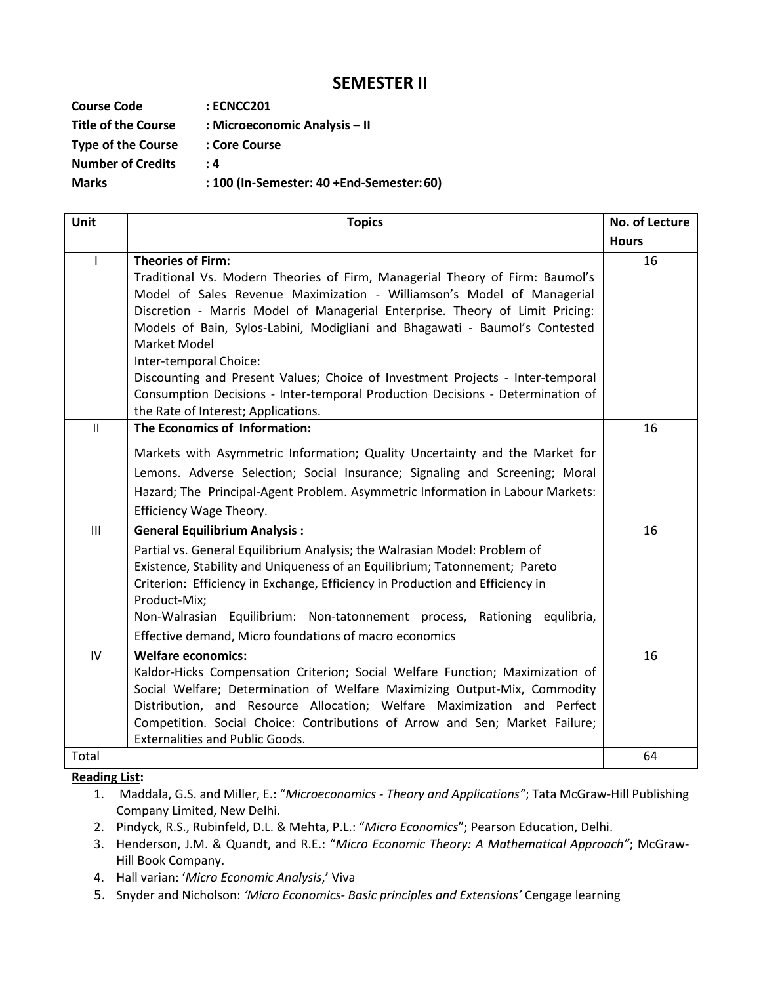## **SEMESTER II**

| <b>Course Code</b>         | : ECNCC201                                |
|----------------------------|-------------------------------------------|
| <b>Title of the Course</b> | : Microeconomic Analysis – II             |
| <b>Type of the Course</b>  | : Core Course                             |
| <b>Number of Credits</b>   | : 4                                       |
| <b>Marks</b>               | : 100 (In-Semester: 40 +End-Semester: 60) |

| Unit           | <b>Topics</b>                                                                                                                                                                                                                                                                                                                                                                                                                                                                                                                                                                                          | No. of Lecture |
|----------------|--------------------------------------------------------------------------------------------------------------------------------------------------------------------------------------------------------------------------------------------------------------------------------------------------------------------------------------------------------------------------------------------------------------------------------------------------------------------------------------------------------------------------------------------------------------------------------------------------------|----------------|
|                |                                                                                                                                                                                                                                                                                                                                                                                                                                                                                                                                                                                                        | <b>Hours</b>   |
| $\mathbf{I}$   | <b>Theories of Firm:</b><br>Traditional Vs. Modern Theories of Firm, Managerial Theory of Firm: Baumol's<br>Model of Sales Revenue Maximization - Williamson's Model of Managerial<br>Discretion - Marris Model of Managerial Enterprise. Theory of Limit Pricing:<br>Models of Bain, Sylos-Labini, Modigliani and Bhagawati - Baumol's Contested<br>Market Model<br>Inter-temporal Choice:<br>Discounting and Present Values; Choice of Investment Projects - Inter-temporal<br>Consumption Decisions - Inter-temporal Production Decisions - Determination of<br>the Rate of Interest; Applications. | 16             |
| $\mathbf{II}$  | The Economics of Information:                                                                                                                                                                                                                                                                                                                                                                                                                                                                                                                                                                          | 16             |
|                | Markets with Asymmetric Information; Quality Uncertainty and the Market for<br>Lemons. Adverse Selection; Social Insurance; Signaling and Screening; Moral<br>Hazard; The Principal-Agent Problem. Asymmetric Information in Labour Markets:<br>Efficiency Wage Theory.                                                                                                                                                                                                                                                                                                                                |                |
| $\mathbf{III}$ | <b>General Equilibrium Analysis:</b>                                                                                                                                                                                                                                                                                                                                                                                                                                                                                                                                                                   | 16             |
|                | Partial vs. General Equilibrium Analysis; the Walrasian Model: Problem of<br>Existence, Stability and Uniqueness of an Equilibrium; Tatonnement; Pareto<br>Criterion: Efficiency in Exchange, Efficiency in Production and Efficiency in<br>Product-Mix;<br>Non-Walrasian Equilibrium: Non-tatonnement process, Rationing equlibria,<br>Effective demand, Micro foundations of macro economics                                                                                                                                                                                                         |                |
| IV             | <b>Welfare economics:</b>                                                                                                                                                                                                                                                                                                                                                                                                                                                                                                                                                                              | 16             |
|                | Kaldor-Hicks Compensation Criterion; Social Welfare Function; Maximization of<br>Social Welfare; Determination of Welfare Maximizing Output-Mix, Commodity<br>Distribution, and Resource Allocation; Welfare Maximization and Perfect<br>Competition. Social Choice: Contributions of Arrow and Sen; Market Failure;<br><b>Externalities and Public Goods.</b>                                                                                                                                                                                                                                         |                |
| Total          |                                                                                                                                                                                                                                                                                                                                                                                                                                                                                                                                                                                                        | 64             |

- 1. Maddala, G.S. and Miller, E.: "*Microeconomics - Theory and Applications"*; Tata McGraw-Hill Publishing Company Limited, New Delhi.
- 2. Pindyck, R.S., Rubinfeld, D.L. & Mehta, P.L.: "*Micro Economics*"; Pearson Education, Delhi.
- 3. Henderson, J.M. & Quandt, and R.E.: "*Micro Economic Theory: A Mathematical Approach"*; McGraw-Hill Book Company.
- 4. Hall varian: '*Micro Economic Analysis*,' Viva
- 5. Snyder and Nicholson: *'Micro Economics- Basic principles and Extensions'* Cengage learning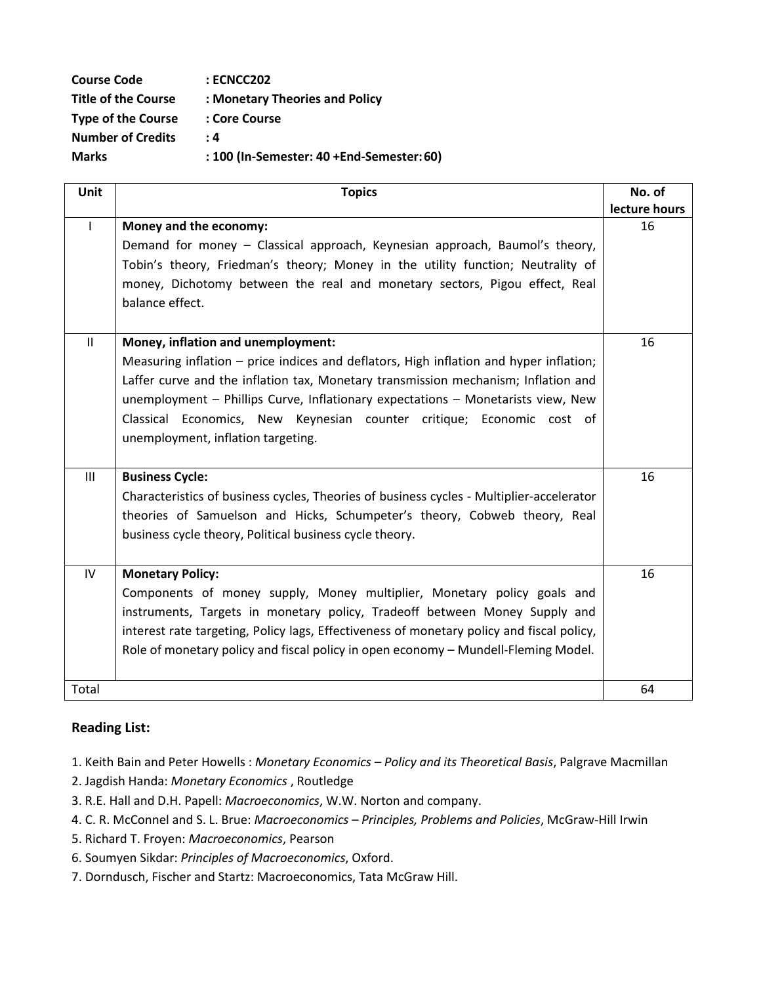| <b>Course Code</b>         | : ECNCC202                                |
|----------------------------|-------------------------------------------|
| <b>Title of the Course</b> | : Monetary Theories and Policy            |
| <b>Type of the Course</b>  | : Core Course                             |
| <b>Number of Credits</b>   | . 4                                       |
| <b>Marks</b>               | : 100 (In-Semester: 40 +End-Semester: 60) |

| <b>Unit</b>   | <b>Topics</b>                                                                                                                                                                                                                                                                                                                                                                                                         | No. of        |
|---------------|-----------------------------------------------------------------------------------------------------------------------------------------------------------------------------------------------------------------------------------------------------------------------------------------------------------------------------------------------------------------------------------------------------------------------|---------------|
|               |                                                                                                                                                                                                                                                                                                                                                                                                                       | lecture hours |
|               | Money and the economy:<br>Demand for money - Classical approach, Keynesian approach, Baumol's theory,                                                                                                                                                                                                                                                                                                                 | 16            |
|               | Tobin's theory, Friedman's theory; Money in the utility function; Neutrality of                                                                                                                                                                                                                                                                                                                                       |               |
|               | money, Dichotomy between the real and monetary sectors, Pigou effect, Real<br>balance effect.                                                                                                                                                                                                                                                                                                                         |               |
| $\mathbf{II}$ | Money, inflation and unemployment:<br>Measuring inflation – price indices and deflators, High inflation and hyper inflation;<br>Laffer curve and the inflation tax, Monetary transmission mechanism; Inflation and<br>unemployment - Phillips Curve, Inflationary expectations - Monetarists view, New<br>Classical Economics, New Keynesian counter critique; Economic cost of<br>unemployment, inflation targeting. | 16            |
| III           | <b>Business Cycle:</b><br>Characteristics of business cycles, Theories of business cycles - Multiplier-accelerator<br>theories of Samuelson and Hicks, Schumpeter's theory, Cobweb theory, Real<br>business cycle theory, Political business cycle theory.                                                                                                                                                            | 16            |
| IV            | <b>Monetary Policy:</b><br>Components of money supply, Money multiplier, Monetary policy goals and<br>instruments, Targets in monetary policy, Tradeoff between Money Supply and<br>interest rate targeting, Policy lags, Effectiveness of monetary policy and fiscal policy,<br>Role of monetary policy and fiscal policy in open economy - Mundell-Fleming Model.                                                   | 16            |
| Total         |                                                                                                                                                                                                                                                                                                                                                                                                                       | 64            |

- 1. Keith Bain and Peter Howells : *Monetary Economics – Policy and its Theoretical Basis*, Palgrave Macmillan
- 2. Jagdish Handa: *Monetary Economics* , Routledge
- 3. R.E. Hall and D.H. Papell: *Macroeconomics*, W.W. Norton and company.
- 4. C. R. McConnel and S. L. Brue: *Macroeconomics – Principles, Problems and Policies*, McGraw-Hill Irwin
- 5. Richard T. Froyen: *Macroeconomics*, Pearson
- 6. Soumyen Sikdar: *Principles of Macroeconomics*, Oxford.
- 7. Dorndusch, Fischer and Startz: Macroeconomics, Tata McGraw Hill.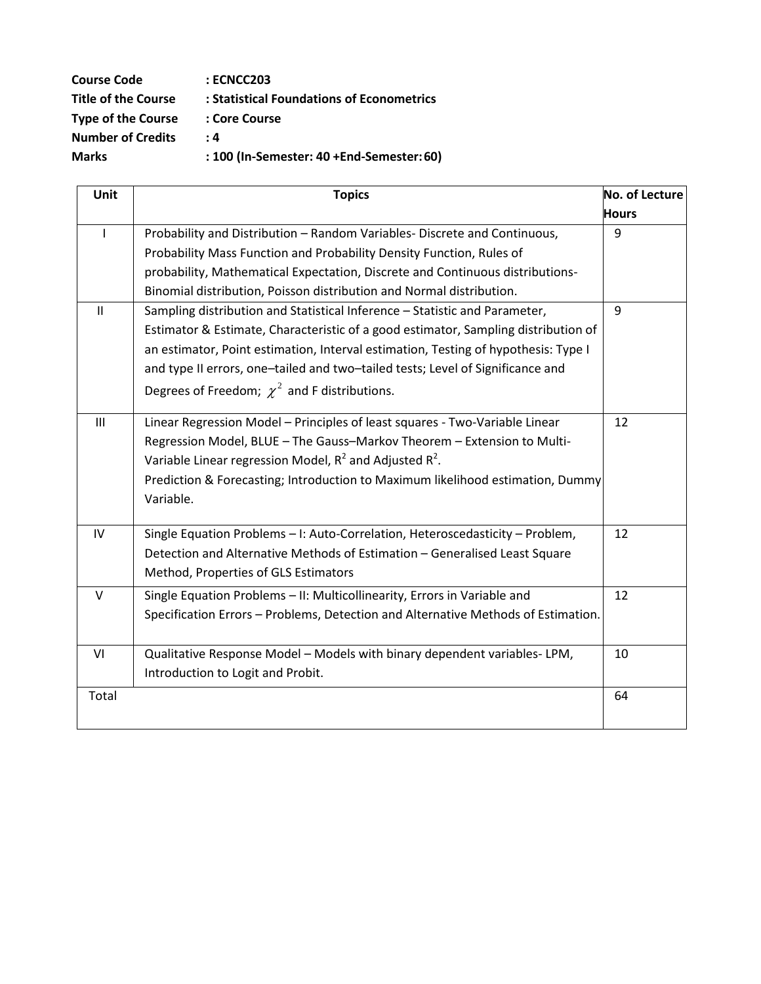| <b>Course Code</b>         | : ECNCC203                                |
|----------------------------|-------------------------------------------|
| <b>Title of the Course</b> | : Statistical Foundations of Econometrics |
| <b>Type of the Course</b>  | : Core Course                             |
| <b>Number of Credits</b>   | : 4                                       |
| <b>Marks</b>               | : 100 (In-Semester: 40 +End-Semester: 60) |

| Unit         | <b>Topics</b>                                                                      | <b>No. of Lecture</b> |
|--------------|------------------------------------------------------------------------------------|-----------------------|
|              |                                                                                    | <b>Hours</b>          |
| $\mathbf{I}$ | Probability and Distribution - Random Variables- Discrete and Continuous,          | 9                     |
|              | Probability Mass Function and Probability Density Function, Rules of               |                       |
|              | probability, Mathematical Expectation, Discrete and Continuous distributions-      |                       |
|              | Binomial distribution, Poisson distribution and Normal distribution.               |                       |
| $\mathbf{H}$ | Sampling distribution and Statistical Inference - Statistic and Parameter,         | 9                     |
|              | Estimator & Estimate, Characteristic of a good estimator, Sampling distribution of |                       |
|              | an estimator, Point estimation, Interval estimation, Testing of hypothesis: Type I |                       |
|              | and type II errors, one-tailed and two-tailed tests; Level of Significance and     |                       |
|              | Degrees of Freedom; $\chi^2$ and F distributions.                                  |                       |
| III          | Linear Regression Model - Principles of least squares - Two-Variable Linear        | 12                    |
|              | Regression Model, BLUE - The Gauss-Markov Theorem - Extension to Multi-            |                       |
|              | Variable Linear regression Model, $R^2$ and Adjusted $R^2$ .                       |                       |
|              | Prediction & Forecasting; Introduction to Maximum likelihood estimation, Dummy     |                       |
|              | Variable.                                                                          |                       |
| IV           | Single Equation Problems - I: Auto-Correlation, Heteroscedasticity - Problem,      | 12                    |
|              | Detection and Alternative Methods of Estimation - Generalised Least Square         |                       |
|              | Method, Properties of GLS Estimators                                               |                       |
| $\vee$       | Single Equation Problems - II: Multicollinearity, Errors in Variable and           | 12                    |
|              | Specification Errors - Problems, Detection and Alternative Methods of Estimation.  |                       |
|              |                                                                                    |                       |
| VI           | Qualitative Response Model - Models with binary dependent variables-LPM,           | 10                    |
|              | Introduction to Logit and Probit.                                                  |                       |
| Total        |                                                                                    | 64                    |
|              |                                                                                    |                       |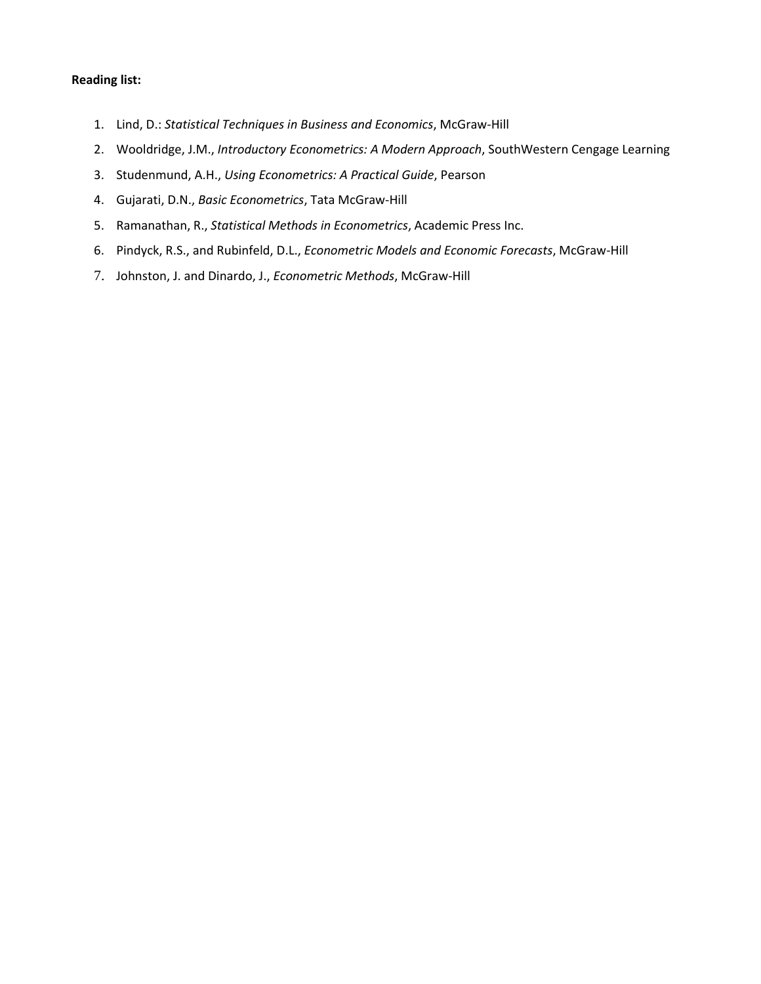- 1. Lind, D.: *Statistical Techniques in Business and Economics*, McGraw-Hill
- 2. Wooldridge, J.M., *Introductory Econometrics: A Modern Approach*, SouthWestern Cengage Learning
- 3. Studenmund, A.H., *Using Econometrics: A Practical Guide*, Pearson
- 4. Gujarati, D.N., *Basic Econometrics*, Tata McGraw-Hill
- 5. Ramanathan, R., *Statistical Methods in Econometrics*, Academic Press Inc.
- 6. Pindyck, R.S., and Rubinfeld, D.L., *Econometric Models and Economic Forecasts*, McGraw-Hill
- 7. Johnston, J. and Dinardo, J., *Econometric Methods*, McGraw-Hill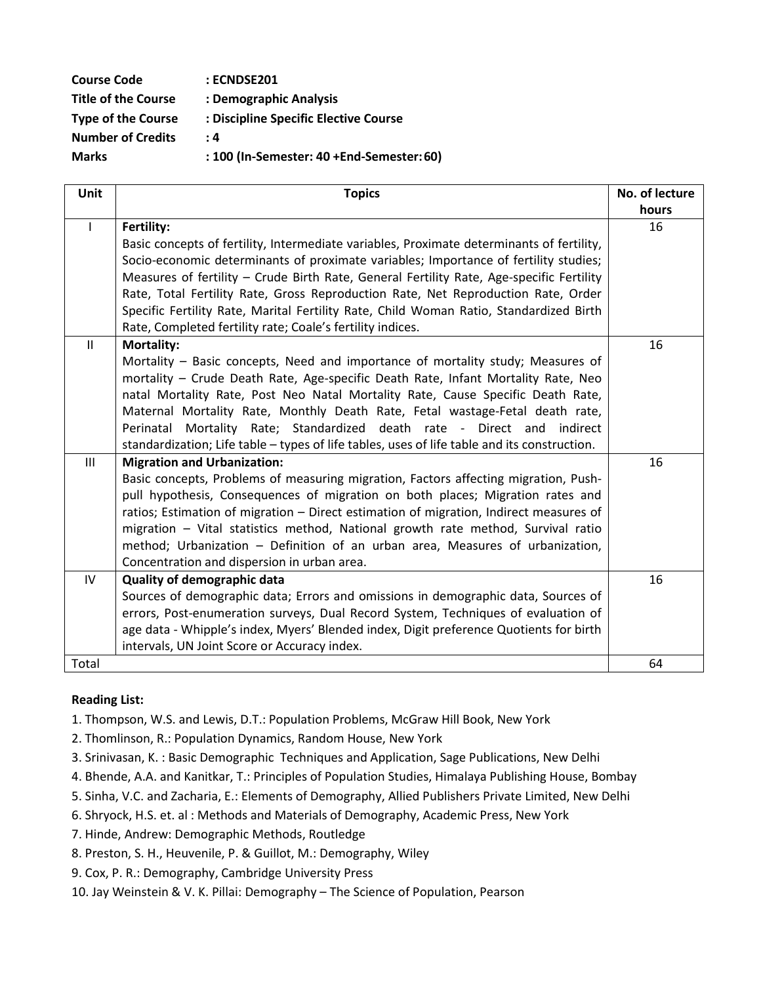| <b>Course Code</b>         | <b>: ECNDSE201</b>                        |
|----------------------------|-------------------------------------------|
| <b>Title of the Course</b> | : Demographic Analysis                    |
| <b>Type of the Course</b>  | : Discipline Specific Elective Course     |
| <b>Number of Credits</b>   | : 4                                       |
| <b>Marks</b>               | : 100 (In-Semester: 40 +End-Semester: 60) |
|                            |                                           |

| Unit           | <b>Topics</b>                                                                                                                                                          | No. of lecture |
|----------------|------------------------------------------------------------------------------------------------------------------------------------------------------------------------|----------------|
|                |                                                                                                                                                                        | hours          |
| $\mathbf{I}$   | Fertility:                                                                                                                                                             | 16             |
|                | Basic concepts of fertility, Intermediate variables, Proximate determinants of fertility,                                                                              |                |
|                | Socio-economic determinants of proximate variables; Importance of fertility studies;                                                                                   |                |
|                | Measures of fertility - Crude Birth Rate, General Fertility Rate, Age-specific Fertility                                                                               |                |
|                | Rate, Total Fertility Rate, Gross Reproduction Rate, Net Reproduction Rate, Order                                                                                      |                |
|                | Specific Fertility Rate, Marital Fertility Rate, Child Woman Ratio, Standardized Birth                                                                                 |                |
|                | Rate, Completed fertility rate; Coale's fertility indices.                                                                                                             |                |
| $\mathbf{II}$  | <b>Mortality:</b>                                                                                                                                                      | 16             |
|                | Mortality - Basic concepts, Need and importance of mortality study; Measures of                                                                                        |                |
|                | mortality - Crude Death Rate, Age-specific Death Rate, Infant Mortality Rate, Neo                                                                                      |                |
|                | natal Mortality Rate, Post Neo Natal Mortality Rate, Cause Specific Death Rate,                                                                                        |                |
|                | Maternal Mortality Rate, Monthly Death Rate, Fetal wastage-Fetal death rate,                                                                                           |                |
|                | Perinatal Mortality Rate; Standardized death rate - Direct and indirect                                                                                                |                |
|                | standardization; Life table - types of life tables, uses of life table and its construction.                                                                           |                |
| $\mathbf{III}$ | <b>Migration and Urbanization:</b>                                                                                                                                     | 16             |
|                | Basic concepts, Problems of measuring migration, Factors affecting migration, Push-                                                                                    |                |
|                | pull hypothesis, Consequences of migration on both places; Migration rates and                                                                                         |                |
|                | ratios; Estimation of migration – Direct estimation of migration, Indirect measures of                                                                                 |                |
|                | migration - Vital statistics method, National growth rate method, Survival ratio                                                                                       |                |
|                | method; Urbanization - Definition of an urban area, Measures of urbanization,                                                                                          |                |
| IV             | Concentration and dispersion in urban area.<br><b>Quality of demographic data</b>                                                                                      | 16             |
|                |                                                                                                                                                                        |                |
|                | Sources of demographic data; Errors and omissions in demographic data, Sources of<br>errors, Post-enumeration surveys, Dual Record System, Techniques of evaluation of |                |
|                | age data - Whipple's index, Myers' Blended index, Digit preference Quotients for birth                                                                                 |                |
|                | intervals, UN Joint Score or Accuracy index.                                                                                                                           |                |
| Total          |                                                                                                                                                                        | 64             |
|                |                                                                                                                                                                        |                |

- 1. Thompson, W.S. and Lewis, D.T.: Population Problems, McGraw Hill Book, New York
- 2. Thomlinson, R.: Population Dynamics, Random House, New York
- 3. Srinivasan, K. : Basic Demographic Techniques and Application, Sage Publications, New Delhi
- 4. Bhende, A.A. and Kanitkar, T.: Principles of Population Studies, Himalaya Publishing House, Bombay
- 5. Sinha, V.C. and Zacharia, E.: Elements of Demography, Allied Publishers Private Limited, New Delhi
- 6. Shryock, H.S. et. al : Methods and Materials of Demography, Academic Press, New York
- 7. Hinde, Andrew: Demographic Methods, Routledge
- 8. Preston, S. H., Heuvenile, P. & Guillot, M.: Demography, Wiley
- 9. Cox, P. R.: Demography, Cambridge University Press
- 10. Jay Weinstein & V. K. Pillai: Demography The Science of Population, Pearson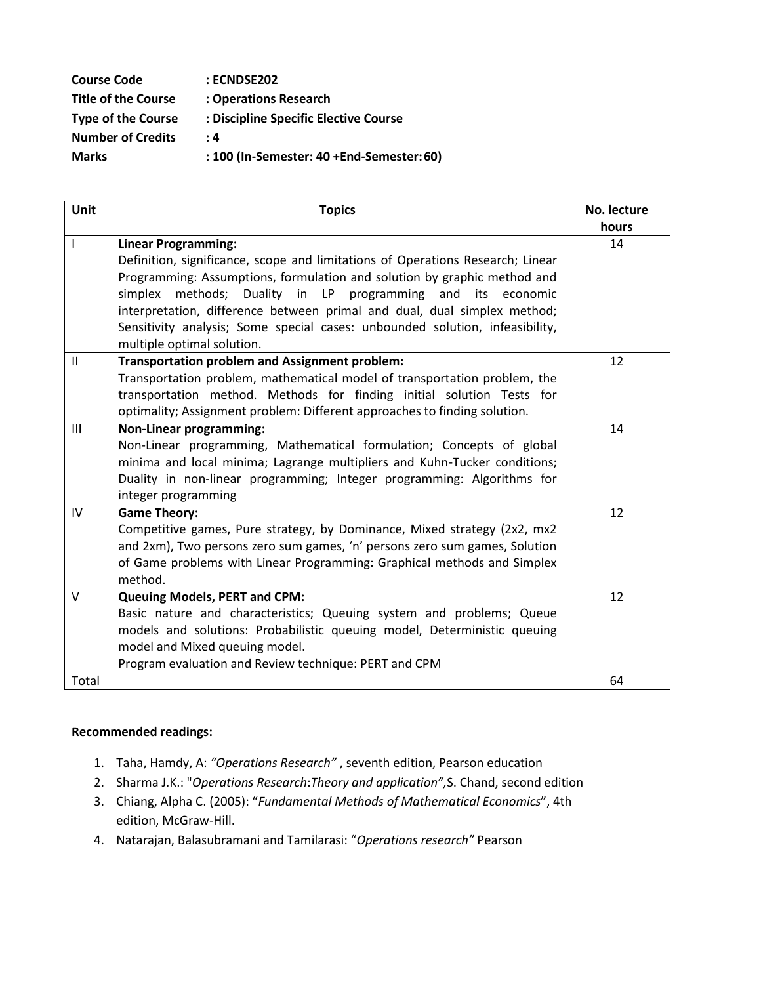| <b>Course Code</b>         | : ECNDSE202                               |
|----------------------------|-------------------------------------------|
| <b>Title of the Course</b> | : Operations Research                     |
| <b>Type of the Course</b>  | : Discipline Specific Elective Course     |
| <b>Number of Credits</b>   | : 4                                       |
| <b>Marks</b>               | : 100 (In-Semester: 40 +End-Semester: 60) |

| Unit          | <b>Topics</b>                                                                  | No. lecture |
|---------------|--------------------------------------------------------------------------------|-------------|
|               |                                                                                | hours       |
|               | <b>Linear Programming:</b>                                                     | 14          |
|               | Definition, significance, scope and limitations of Operations Research; Linear |             |
|               | Programming: Assumptions, formulation and solution by graphic method and       |             |
|               | simplex methods; Duality in LP programming and its economic                    |             |
|               | interpretation, difference between primal and dual, dual simplex method;       |             |
|               | Sensitivity analysis; Some special cases: unbounded solution, infeasibility,   |             |
|               | multiple optimal solution.                                                     |             |
| $\mathbf{II}$ | <b>Transportation problem and Assignment problem:</b>                          | 12          |
|               | Transportation problem, mathematical model of transportation problem, the      |             |
|               | transportation method. Methods for finding initial solution Tests for          |             |
|               | optimality; Assignment problem: Different approaches to finding solution.      |             |
| III           | <b>Non-Linear programming:</b>                                                 | 14          |
|               | Non-Linear programming, Mathematical formulation; Concepts of global           |             |
|               | minima and local minima; Lagrange multipliers and Kuhn-Tucker conditions;      |             |
|               | Duality in non-linear programming; Integer programming: Algorithms for         |             |
|               | integer programming                                                            |             |
| IV            | <b>Game Theory:</b>                                                            | 12          |
|               | Competitive games, Pure strategy, by Dominance, Mixed strategy (2x2, mx2       |             |
|               | and 2xm), Two persons zero sum games, 'n' persons zero sum games, Solution     |             |
|               | of Game problems with Linear Programming: Graphical methods and Simplex        |             |
|               | method.                                                                        |             |
| V             | <b>Queuing Models, PERT and CPM:</b>                                           | 12          |
|               | Basic nature and characteristics; Queuing system and problems; Queue           |             |
|               | models and solutions: Probabilistic queuing model, Deterministic queuing       |             |
|               | model and Mixed queuing model.                                                 |             |
|               | Program evaluation and Review technique: PERT and CPM                          |             |
| Total         |                                                                                | 64          |

## **Recommended readings:**

- 1. Taha, Hamdy, A: *"Operations Research"* , seventh edition, Pearson education
- 2. Sharma J.K.: "*Operations Research*:*Theory and application",*S. Chand, second edition
- 3. Chiang, Alpha C. (2005): "*Fundamental Methods of Mathematical Economics*", 4th edition, McGraw-Hill.
- 4. Natarajan, Balasubramani and Tamilarasi: "*Operations research"* Pearson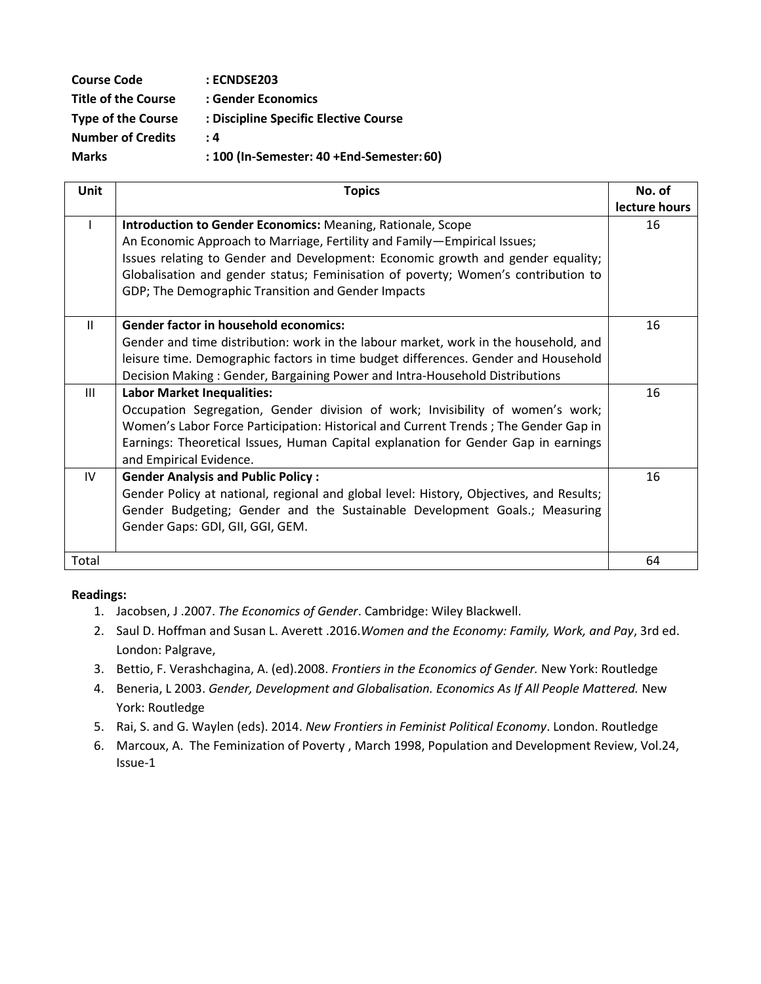| <b>Course Code</b>         | : ECNDSE203                               |
|----------------------------|-------------------------------------------|
| <b>Title of the Course</b> | : Gender Economics                        |
| <b>Type of the Course</b>  | : Discipline Specific Elective Course     |
| <b>Number of Credits</b>   | : 4                                       |
| <b>Marks</b>               | : 100 (In-Semester: 40 +End-Semester: 60) |

| <b>Unit</b>    | <b>Topics</b>                                                                           | No. of        |
|----------------|-----------------------------------------------------------------------------------------|---------------|
|                |                                                                                         | lecture hours |
|                | Introduction to Gender Economics: Meaning, Rationale, Scope                             | 16            |
|                | An Economic Approach to Marriage, Fertility and Family-Empirical Issues;                |               |
|                | Issues relating to Gender and Development: Economic growth and gender equality;         |               |
|                | Globalisation and gender status; Feminisation of poverty; Women's contribution to       |               |
|                | GDP; The Demographic Transition and Gender Impacts                                      |               |
|                |                                                                                         |               |
| $\mathbf{H}$   | <b>Gender factor in household economics:</b>                                            | 16            |
|                | Gender and time distribution: work in the labour market, work in the household, and     |               |
|                | leisure time. Demographic factors in time budget differences. Gender and Household      |               |
|                | Decision Making: Gender, Bargaining Power and Intra-Household Distributions             |               |
| $\mathbf{III}$ | <b>Labor Market Inequalities:</b>                                                       | 16            |
|                | Occupation Segregation, Gender division of work; Invisibility of women's work;          |               |
|                | Women's Labor Force Participation: Historical and Current Trends; The Gender Gap in     |               |
|                | Earnings: Theoretical Issues, Human Capital explanation for Gender Gap in earnings      |               |
|                | and Empirical Evidence.                                                                 |               |
| IV             | <b>Gender Analysis and Public Policy:</b>                                               | 16            |
|                | Gender Policy at national, regional and global level: History, Objectives, and Results; |               |
|                | Gender Budgeting; Gender and the Sustainable Development Goals.; Measuring              |               |
|                | Gender Gaps: GDI, GII, GGI, GEM.                                                        |               |
|                |                                                                                         |               |
| Total          |                                                                                         | 64            |

#### **Readings:**

- 1. Jacobsen, J .2007. *The Economics of Gender*. Cambridge: Wiley Blackwell.
- 2. Saul D. Hoffman and Susan L. Averett .2016.*Women and the Economy: Family, Work, and Pay*, 3rd ed. London: Palgrave,
- 3. Bettio, F. Verashchagina, A. (ed).2008. *Frontiers in the Economics of Gender.* New York: Routledge
- 4. Beneria, L 2003. *Gender, Development and Globalisation. Economics As If All People Mattered.* New York: Routledge
- 5. Rai, S. and G. Waylen (eds). 2014. *New Frontiers in Feminist Political Economy*. London. Routledge
- 6. Marcoux, A. The Feminization of Poverty , March 1998, Population and Development Review, Vol.24, Issue-1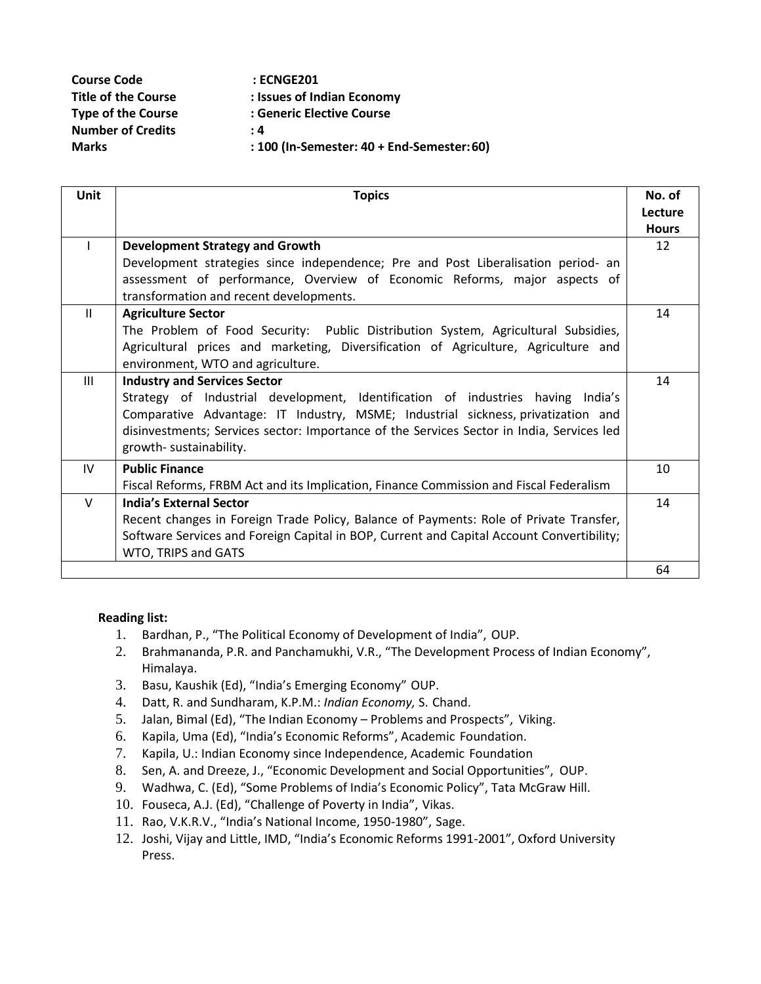| <b>Course Code</b>         | <b>: ECNGE201</b>                          |
|----------------------------|--------------------------------------------|
| <b>Title of the Course</b> | : Issues of Indian Economy                 |
| <b>Type of the Course</b>  | : Generic Elective Course                  |
| <b>Number of Credits</b>   | : 4                                        |
| <b>Marks</b>               | : 100 (In-Semester: 40 + End-Semester: 60) |

| <b>Unit</b>    | <b>Topics</b>                                                                             | No. of       |
|----------------|-------------------------------------------------------------------------------------------|--------------|
|                |                                                                                           | Lecture      |
|                |                                                                                           | <b>Hours</b> |
|                | <b>Development Strategy and Growth</b>                                                    | 12           |
|                | Development strategies since independence; Pre and Post Liberalisation period- an         |              |
|                | assessment of performance, Overview of Economic Reforms, major aspects of                 |              |
|                | transformation and recent developments.                                                   |              |
| $\mathbf{II}$  | <b>Agriculture Sector</b>                                                                 | 14           |
|                | The Problem of Food Security: Public Distribution System, Agricultural Subsidies,         |              |
|                | Agricultural prices and marketing, Diversification of Agriculture, Agriculture and        |              |
|                | environment, WTO and agriculture.                                                         |              |
| $\mathbf{III}$ | <b>Industry and Services Sector</b>                                                       | 14           |
|                | Strategy of Industrial development, Identification of industries having India's           |              |
|                | Comparative Advantage: IT Industry, MSME; Industrial sickness, privatization and          |              |
|                | disinvestments; Services sector: Importance of the Services Sector in India, Services led |              |
|                | growth-sustainability.                                                                    |              |
| IV             | <b>Public Finance</b>                                                                     | 10           |
|                | Fiscal Reforms, FRBM Act and its Implication, Finance Commission and Fiscal Federalism    |              |
| $\vee$         | <b>India's External Sector</b>                                                            | 14           |
|                | Recent changes in Foreign Trade Policy, Balance of Payments: Role of Private Transfer,    |              |
|                | Software Services and Foreign Capital in BOP, Current and Capital Account Convertibility; |              |
|                | WTO, TRIPS and GATS                                                                       |              |
|                |                                                                                           | 64           |

- 1. Bardhan, P., "The Political Economy of Development of India", OUP.
- 2. Brahmananda, P.R. and Panchamukhi, V.R., "The Development Process of Indian Economy", Himalaya.
- 3. Basu, Kaushik (Ed), "India's Emerging Economy" OUP.
- 4. Datt, R. and Sundharam, K.P.M.: *Indian Economy,* S. Chand.
- 5. Jalan, Bimal (Ed), "The Indian Economy Problems and Prospects", Viking.
- 6. Kapila, Uma (Ed), "India's Economic Reforms", Academic Foundation.
- 7. Kapila, U.: Indian Economy since Independence, Academic Foundation
- 8. Sen, A. and Dreeze, J., "Economic Development and Social Opportunities", OUP.
- 9. Wadhwa, C. (Ed), "Some Problems of India's Economic Policy", Tata McGraw Hill.
- 10. Fouseca, A.J. (Ed), "Challenge of Poverty in India", Vikas.
- 11. Rao, V.K.R.V., "India's National Income, 1950-1980", Sage.
- 12. Joshi, Vijay and Little, IMD, "India's Economic Reforms 1991-2001", Oxford University Press.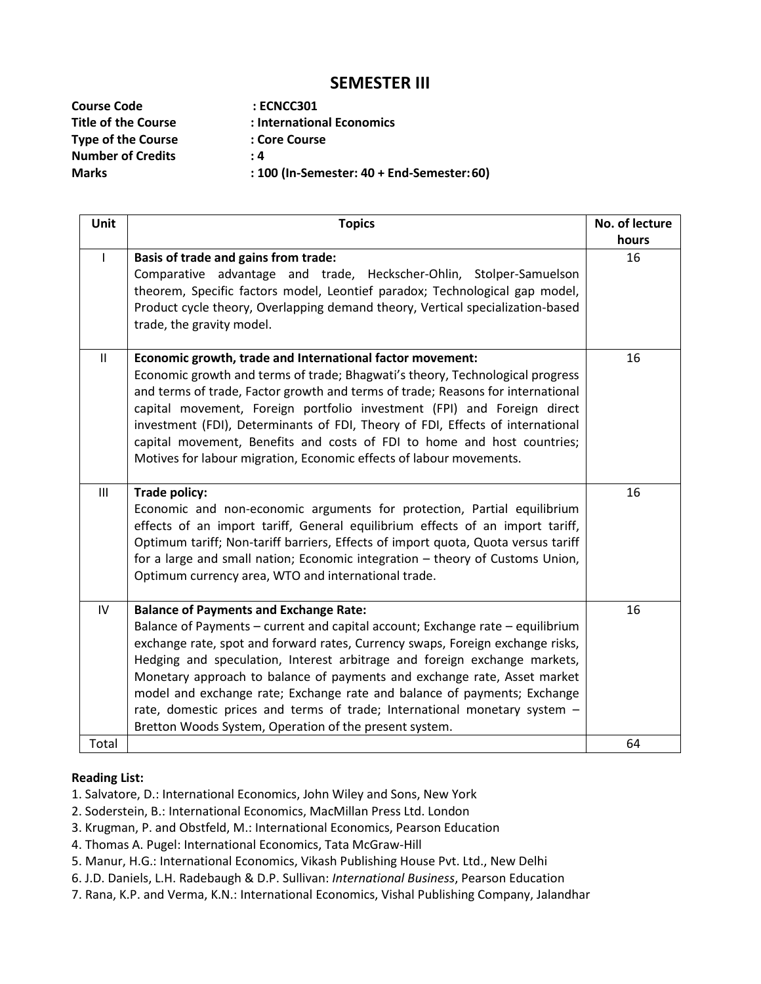## **SEMESTER III**

**Course Code : ECNCC301 Type of the Course : Core Course Number of Credits : 4**

- 
- **Title of the Course : International Economics**
	-
	-
- **Marks : 100 (In-Semester: 40 + End-Semester:60)**

| Unit  | <b>Topics</b>                                                                                                                                                                                                                                                                                                                                                                                                                                                                                                                                                                                 | No. of lecture |
|-------|-----------------------------------------------------------------------------------------------------------------------------------------------------------------------------------------------------------------------------------------------------------------------------------------------------------------------------------------------------------------------------------------------------------------------------------------------------------------------------------------------------------------------------------------------------------------------------------------------|----------------|
|       | Basis of trade and gains from trade:<br>Comparative advantage and trade, Heckscher-Ohlin, Stolper-Samuelson<br>theorem, Specific factors model, Leontief paradox; Technological gap model,<br>Product cycle theory, Overlapping demand theory, Vertical specialization-based<br>trade, the gravity model.                                                                                                                                                                                                                                                                                     | hours<br>16    |
| Ш     | Economic growth, trade and International factor movement:<br>Economic growth and terms of trade; Bhagwati's theory, Technological progress<br>and terms of trade, Factor growth and terms of trade; Reasons for international<br>capital movement, Foreign portfolio investment (FPI) and Foreign direct<br>investment (FDI), Determinants of FDI, Theory of FDI, Effects of international<br>capital movement, Benefits and costs of FDI to home and host countries;<br>Motives for labour migration, Economic effects of labour movements.                                                  | 16             |
| III   | <b>Trade policy:</b><br>Economic and non-economic arguments for protection, Partial equilibrium<br>effects of an import tariff, General equilibrium effects of an import tariff,<br>Optimum tariff; Non-tariff barriers, Effects of import quota, Quota versus tariff<br>for a large and small nation; Economic integration - theory of Customs Union,<br>Optimum currency area, WTO and international trade.                                                                                                                                                                                 | 16             |
| IV    | <b>Balance of Payments and Exchange Rate:</b><br>Balance of Payments - current and capital account; Exchange rate - equilibrium<br>exchange rate, spot and forward rates, Currency swaps, Foreign exchange risks,<br>Hedging and speculation, Interest arbitrage and foreign exchange markets,<br>Monetary approach to balance of payments and exchange rate, Asset market<br>model and exchange rate; Exchange rate and balance of payments; Exchange<br>rate, domestic prices and terms of trade; International monetary system -<br>Bretton Woods System, Operation of the present system. | 16             |
| Total |                                                                                                                                                                                                                                                                                                                                                                                                                                                                                                                                                                                               | 64             |

- 1. Salvatore, D.: International Economics, John Wiley and Sons, New York
- 2. Soderstein, B.: International Economics, MacMillan Press Ltd. London
- 3. Krugman, P. and Obstfeld, M.: International Economics, Pearson Education
- 4. Thomas A. Pugel: International Economics, Tata McGraw-Hill
- 5. Manur, H.G.: International Economics, Vikash Publishing House Pvt. Ltd., New Delhi
- 6. J.D. Daniels, L.H. Radebaugh & D.P. Sullivan: *International Business*, Pearson Education
- 7. Rana, K.P. and Verma, K.N.: International Economics, Vishal Publishing Company, Jalandhar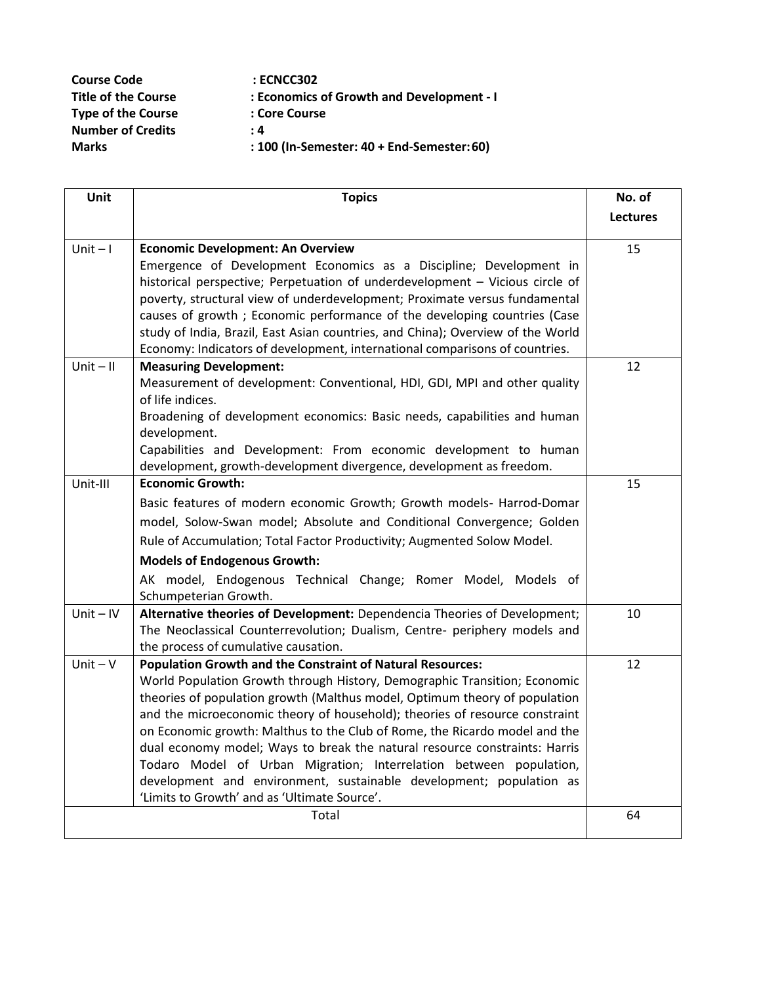| <b>Course Code</b>         | : ECNCC302                                 |
|----------------------------|--------------------------------------------|
| <b>Title of the Course</b> | : Economics of Growth and Development - I  |
| <b>Type of the Course</b>  | : Core Course                              |
| <b>Number of Credits</b>   | : 4                                        |
| <b>Marks</b>               | : 100 (In-Semester: 40 + End-Semester: 60) |

| Unit        | <b>Topics</b>                                                                                                                                             | No. of          |
|-------------|-----------------------------------------------------------------------------------------------------------------------------------------------------------|-----------------|
|             |                                                                                                                                                           | <b>Lectures</b> |
| $Unit - I$  | <b>Economic Development: An Overview</b>                                                                                                                  | 15              |
|             | Emergence of Development Economics as a Discipline; Development in                                                                                        |                 |
|             | historical perspective; Perpetuation of underdevelopment - Vicious circle of                                                                              |                 |
|             | poverty, structural view of underdevelopment; Proximate versus fundamental                                                                                |                 |
|             | causes of growth; Economic performance of the developing countries (Case                                                                                  |                 |
|             | study of India, Brazil, East Asian countries, and China); Overview of the World                                                                           |                 |
|             | Economy: Indicators of development, international comparisons of countries.                                                                               |                 |
| $Unit - II$ | <b>Measuring Development:</b>                                                                                                                             | 12              |
|             | Measurement of development: Conventional, HDI, GDI, MPI and other quality<br>of life indices.                                                             |                 |
|             | Broadening of development economics: Basic needs, capabilities and human                                                                                  |                 |
|             | development.                                                                                                                                              |                 |
|             | Capabilities and Development: From economic development to human                                                                                          |                 |
|             | development, growth-development divergence, development as freedom.                                                                                       |                 |
| Unit-III    | <b>Economic Growth:</b>                                                                                                                                   | 15              |
|             | Basic features of modern economic Growth; Growth models- Harrod-Domar                                                                                     |                 |
|             | model, Solow-Swan model; Absolute and Conditional Convergence; Golden                                                                                     |                 |
|             | Rule of Accumulation; Total Factor Productivity; Augmented Solow Model.                                                                                   |                 |
|             | <b>Models of Endogenous Growth:</b>                                                                                                                       |                 |
|             | AK model, Endogenous Technical Change; Romer Model, Models of                                                                                             |                 |
|             | Schumpeterian Growth.                                                                                                                                     |                 |
| $Unit - IV$ | Alternative theories of Development: Dependencia Theories of Development;                                                                                 | 10              |
|             | The Neoclassical Counterrevolution; Dualism, Centre- periphery models and                                                                                 |                 |
|             | the process of cumulative causation.                                                                                                                      |                 |
| $Unit - V$  | <b>Population Growth and the Constraint of Natural Resources:</b>                                                                                         | 12              |
|             | World Population Growth through History, Demographic Transition; Economic                                                                                 |                 |
|             | theories of population growth (Malthus model, Optimum theory of population                                                                                |                 |
|             | and the microeconomic theory of household); theories of resource constraint<br>on Economic growth: Malthus to the Club of Rome, the Ricardo model and the |                 |
|             | dual economy model; Ways to break the natural resource constraints: Harris                                                                                |                 |
|             | Todaro Model of Urban Migration; Interrelation between population,                                                                                        |                 |
|             | development and environment, sustainable development; population as                                                                                       |                 |
|             | 'Limits to Growth' and as 'Ultimate Source'.                                                                                                              |                 |
|             | Total                                                                                                                                                     | 64              |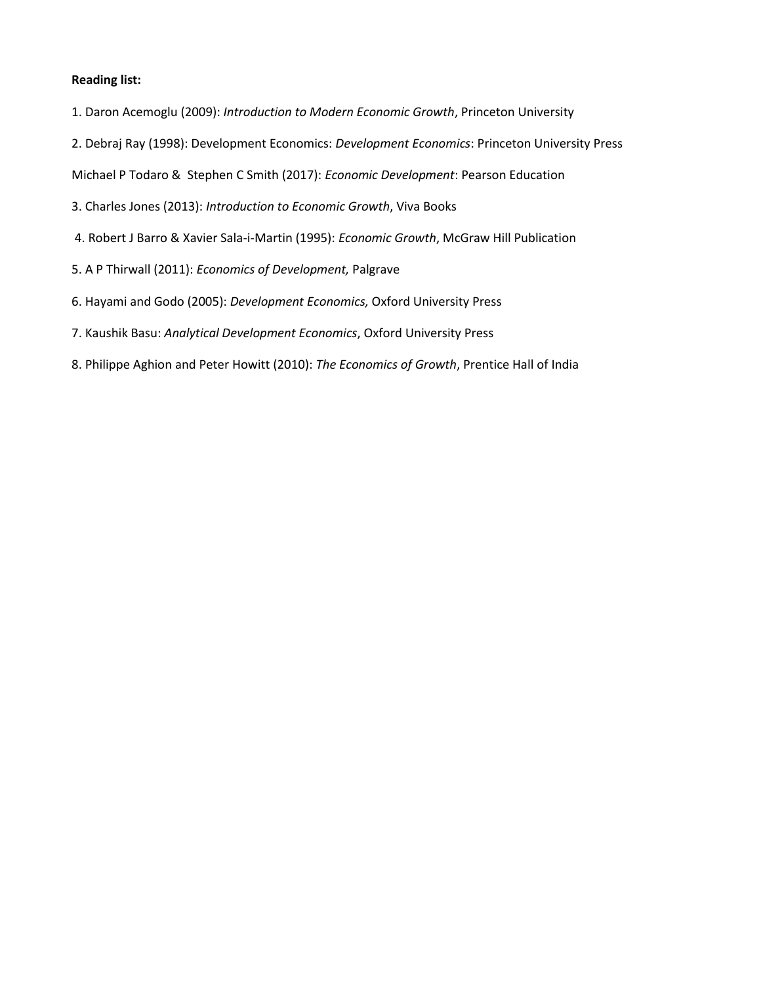- 1. Daron Acemoglu (2009): *Introduction to Modern Economic Growth*, Princeton University
- 2. Debraj Ray (1998): Development Economics: *Development Economics*: Princeton University Press
- Michael P Todaro & Stephen C Smith (2017): *Economic Development*: Pearson Education
- 3. Charles Jones (2013): *Introduction to Economic Growth*, Viva Books
- 4. Robert J Barro & Xavier Sala-i-Martin (1995): *Economic Growth*, McGraw Hill Publication
- 5. A P Thirwall (2011): *Economics of Development,* Palgrave
- 6. Hayami and Godo (2005): *Development Economics,* Oxford University Press
- 7. Kaushik Basu: *Analytical Development Economics*, Oxford University Press
- 8. Philippe Aghion and Peter Howitt (2010): *The Economics of Growth*, Prentice Hall of India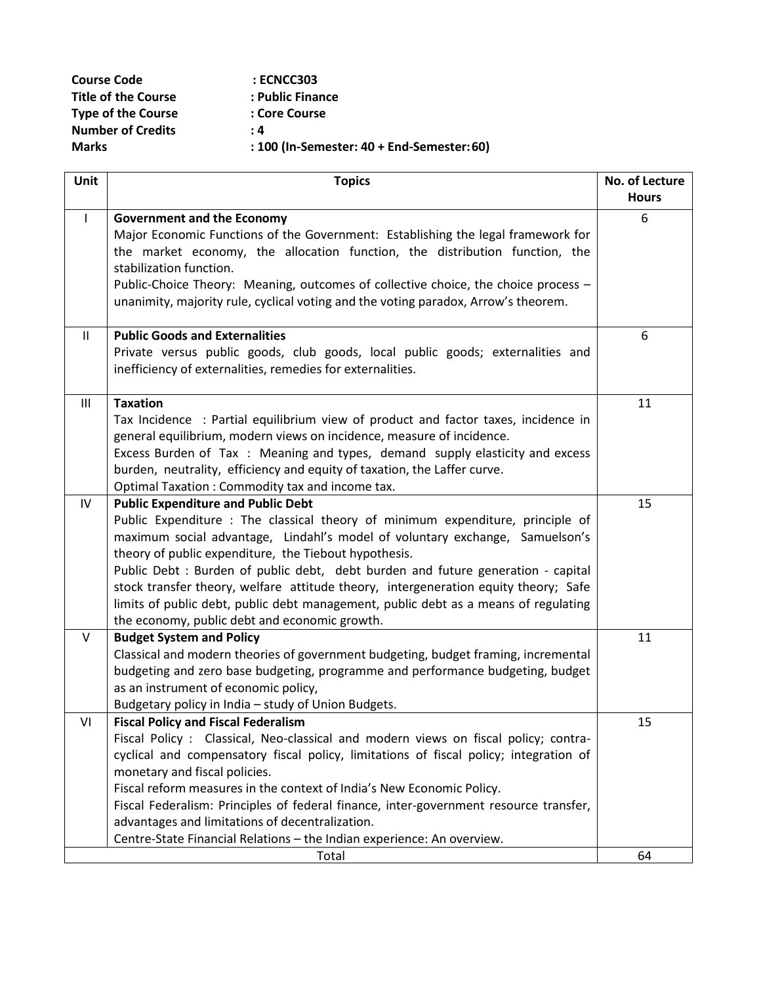| <b>Course Code</b>         | : ECNCC303                                 |
|----------------------------|--------------------------------------------|
| <b>Title of the Course</b> | : Public Finance                           |
| <b>Type of the Course</b>  | : Core Course                              |
| <b>Number of Credits</b>   | : 4                                        |
| <b>Marks</b>               | : 100 (In-Semester: 40 + End-Semester: 60) |

| <b>Unit</b>  | <b>Topics</b>                                                                                                                                                            | No. of Lecture |
|--------------|--------------------------------------------------------------------------------------------------------------------------------------------------------------------------|----------------|
|              |                                                                                                                                                                          | <b>Hours</b>   |
| $\mathbf{I}$ | <b>Government and the Economy</b>                                                                                                                                        | 6              |
|              | Major Economic Functions of the Government: Establishing the legal framework for                                                                                         |                |
|              | the market economy, the allocation function, the distribution function, the                                                                                              |                |
|              | stabilization function.                                                                                                                                                  |                |
|              | Public-Choice Theory: Meaning, outcomes of collective choice, the choice process -<br>unanimity, majority rule, cyclical voting and the voting paradox, Arrow's theorem. |                |
|              |                                                                                                                                                                          |                |
| $\mathbf{H}$ | <b>Public Goods and Externalities</b>                                                                                                                                    | 6              |
|              | Private versus public goods, club goods, local public goods; externalities and                                                                                           |                |
|              | inefficiency of externalities, remedies for externalities.                                                                                                               |                |
|              |                                                                                                                                                                          |                |
| III          | <b>Taxation</b>                                                                                                                                                          | 11             |
|              | Tax Incidence: Partial equilibrium view of product and factor taxes, incidence in                                                                                        |                |
|              | general equilibrium, modern views on incidence, measure of incidence.                                                                                                    |                |
|              | Excess Burden of Tax: Meaning and types, demand supply elasticity and excess                                                                                             |                |
|              | burden, neutrality, efficiency and equity of taxation, the Laffer curve.                                                                                                 |                |
| IV           | Optimal Taxation: Commodity tax and income tax.<br><b>Public Expenditure and Public Debt</b>                                                                             | 15             |
|              | Public Expenditure : The classical theory of minimum expenditure, principle of                                                                                           |                |
|              | maximum social advantage, Lindahl's model of voluntary exchange, Samuelson's                                                                                             |                |
|              | theory of public expenditure, the Tiebout hypothesis.                                                                                                                    |                |
|              | Public Debt : Burden of public debt, debt burden and future generation - capital                                                                                         |                |
|              | stock transfer theory, welfare attitude theory, intergeneration equity theory; Safe                                                                                      |                |
|              | limits of public debt, public debt management, public debt as a means of regulating                                                                                      |                |
|              | the economy, public debt and economic growth.                                                                                                                            |                |
| V            | <b>Budget System and Policy</b>                                                                                                                                          | 11             |
|              | Classical and modern theories of government budgeting, budget framing, incremental                                                                                       |                |
|              | budgeting and zero base budgeting, programme and performance budgeting, budget                                                                                           |                |
|              | as an instrument of economic policy,                                                                                                                                     |                |
|              | Budgetary policy in India - study of Union Budgets.                                                                                                                      |                |
| VI           | <b>Fiscal Policy and Fiscal Federalism</b>                                                                                                                               | 15             |
|              | Fiscal Policy : Classical, Neo-classical and modern views on fiscal policy; contra-                                                                                      |                |
|              | cyclical and compensatory fiscal policy, limitations of fiscal policy; integration of                                                                                    |                |
|              | monetary and fiscal policies.                                                                                                                                            |                |
|              | Fiscal reform measures in the context of India's New Economic Policy.                                                                                                    |                |
|              | Fiscal Federalism: Principles of federal finance, inter-government resource transfer,                                                                                    |                |
|              | advantages and limitations of decentralization.                                                                                                                          |                |
|              | Centre-State Financial Relations - the Indian experience: An overview.                                                                                                   |                |
|              | Total                                                                                                                                                                    | 64             |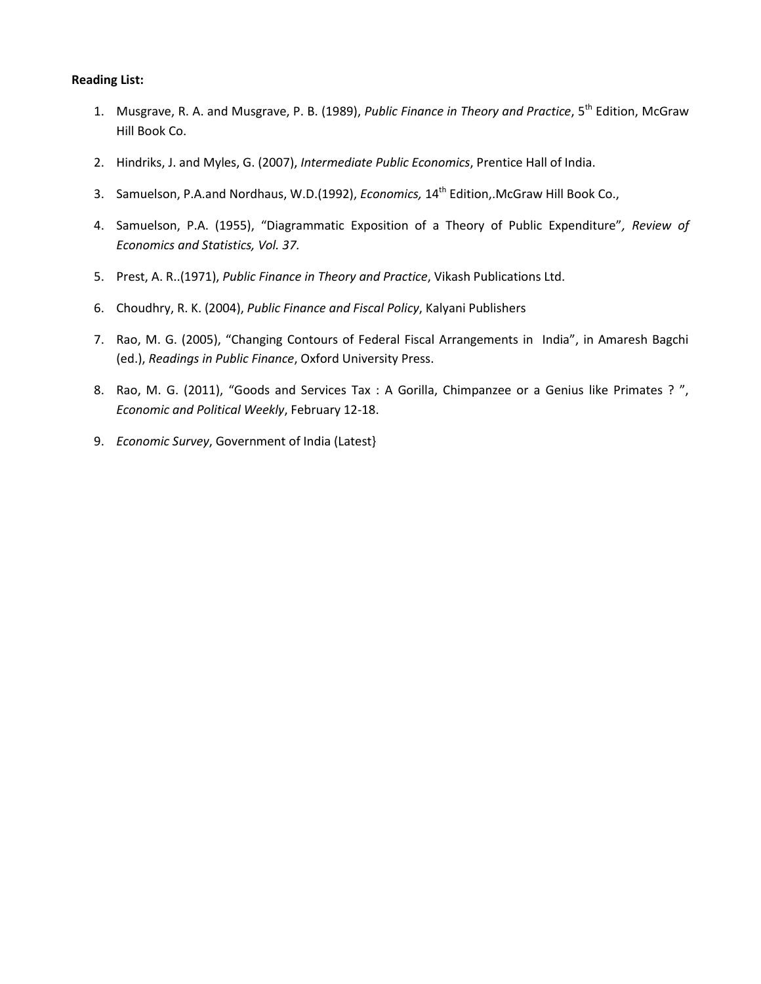- 1. Musgrave, R. A. and Musgrave, P. B. (1989), *Public Finance in Theory and Practice*, 5th Edition, McGraw Hill Book Co.
- 2. Hindriks, J. and Myles, G. (2007), *Intermediate Public Economics*, Prentice Hall of India.
- 3. Samuelson, P.A.and Nordhaus, W.D.(1992), *Economics,* 14th Edition,.McGraw Hill Book Co.,
- 4. Samuelson, P.A. (1955), "Diagrammatic Exposition of a Theory of Public Expenditure"*, Review of Economics and Statistics, Vol. 37.*
- 5. Prest, A. R..(1971), *Public Finance in Theory and Practice*, Vikash Publications Ltd.
- 6. Choudhry, R. K. (2004), *Public Finance and Fiscal Policy*, Kalyani Publishers
- 7. Rao, M. G. (2005), "Changing Contours of Federal Fiscal Arrangements in India", in Amaresh Bagchi (ed.), *Readings in Public Finance*, Oxford University Press.
- 8. Rao, M. G. (2011), "Goods and Services Tax : A Gorilla, Chimpanzee or a Genius like Primates ?", *Economic and Political Weekly*, February 12-18.
- 9. *Economic Survey*, Government of India (Latest}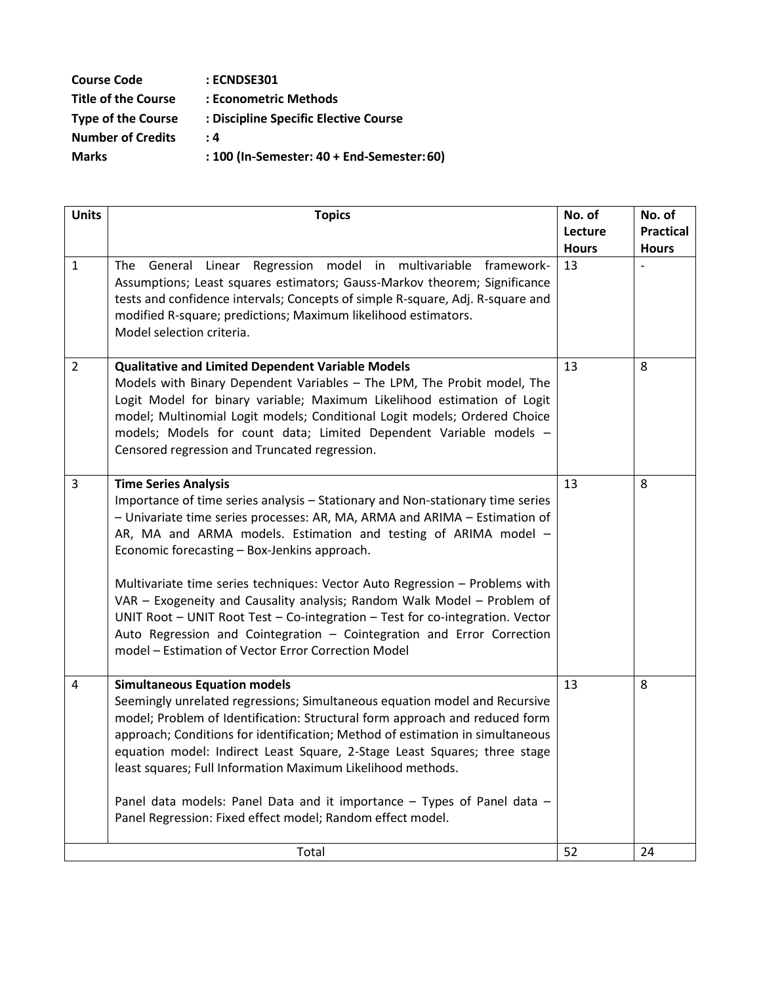| <b>Course Code</b>         | : ECNDSE301                                |
|----------------------------|--------------------------------------------|
| <b>Title of the Course</b> | : Econometric Methods                      |
| <b>Type of the Course</b>  | : Discipline Specific Elective Course      |
| <b>Number of Credits</b>   | : 4                                        |
| <b>Marks</b>               | : 100 (In-Semester: 40 + End-Semester: 60) |
|                            |                                            |

| <b>Units</b>   | <b>Topics</b>                                                                                                                                                                                                                                                                                                                                                                                                                                                                                                                                                                                                                                                                              | No. of                  | No. of                           |
|----------------|--------------------------------------------------------------------------------------------------------------------------------------------------------------------------------------------------------------------------------------------------------------------------------------------------------------------------------------------------------------------------------------------------------------------------------------------------------------------------------------------------------------------------------------------------------------------------------------------------------------------------------------------------------------------------------------------|-------------------------|----------------------------------|
|                |                                                                                                                                                                                                                                                                                                                                                                                                                                                                                                                                                                                                                                                                                            | Lecture<br><b>Hours</b> | <b>Practical</b><br><b>Hours</b> |
| $\mathbf{1}$   | Regression model in multivariable framework-<br>The<br>General<br>Linear<br>Assumptions; Least squares estimators; Gauss-Markov theorem; Significance<br>tests and confidence intervals; Concepts of simple R-square, Adj. R-square and<br>modified R-square; predictions; Maximum likelihood estimators.<br>Model selection criteria.                                                                                                                                                                                                                                                                                                                                                     | 13                      |                                  |
| $\overline{2}$ | <b>Qualitative and Limited Dependent Variable Models</b><br>Models with Binary Dependent Variables - The LPM, The Probit model, The<br>Logit Model for binary variable; Maximum Likelihood estimation of Logit<br>model; Multinomial Logit models; Conditional Logit models; Ordered Choice<br>models; Models for count data; Limited Dependent Variable models -<br>Censored regression and Truncated regression.                                                                                                                                                                                                                                                                         | 13                      | 8                                |
| $\overline{3}$ | <b>Time Series Analysis</b><br>Importance of time series analysis - Stationary and Non-stationary time series<br>- Univariate time series processes: AR, MA, ARMA and ARIMA - Estimation of<br>AR, MA and ARMA models. Estimation and testing of ARIMA model -<br>Economic forecasting - Box-Jenkins approach.<br>Multivariate time series techniques: Vector Auto Regression - Problems with<br>VAR - Exogeneity and Causality analysis; Random Walk Model - Problem of<br>UNIT Root - UNIT Root Test - Co-integration - Test for co-integration. Vector<br>Auto Regression and Cointegration - Cointegration and Error Correction<br>model - Estimation of Vector Error Correction Model | 13                      | 8                                |
| $\overline{4}$ | <b>Simultaneous Equation models</b><br>Seemingly unrelated regressions; Simultaneous equation model and Recursive<br>model; Problem of Identification: Structural form approach and reduced form<br>approach; Conditions for identification; Method of estimation in simultaneous<br>equation model: Indirect Least Square, 2-Stage Least Squares; three stage<br>least squares; Full Information Maximum Likelihood methods.<br>Panel data models: Panel Data and it importance - Types of Panel data -<br>Panel Regression: Fixed effect model; Random effect model.                                                                                                                     | 13                      | 8                                |
|                | Total                                                                                                                                                                                                                                                                                                                                                                                                                                                                                                                                                                                                                                                                                      | 52                      | 24                               |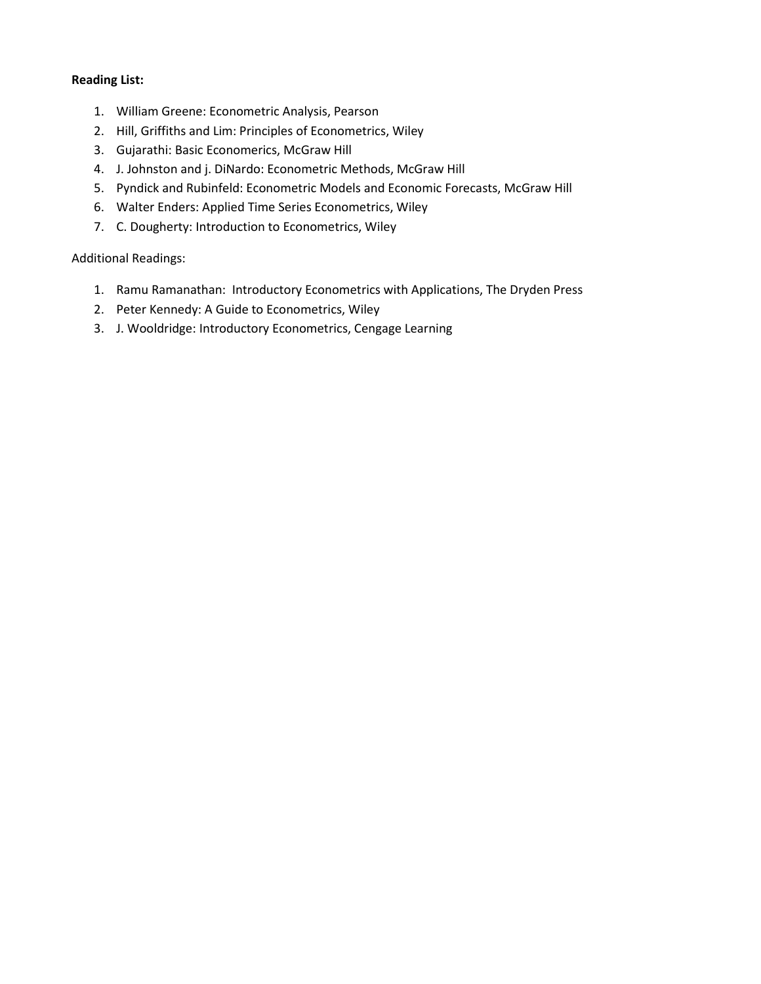- 1. William Greene: Econometric Analysis, Pearson
- 2. Hill, Griffiths and Lim: Principles of Econometrics, Wiley
- 3. Gujarathi: Basic Economerics, McGraw Hill
- 4. J. Johnston and j. DiNardo: Econometric Methods, McGraw Hill
- 5. Pyndick and Rubinfeld: Econometric Models and Economic Forecasts, McGraw Hill
- 6. Walter Enders: Applied Time Series Econometrics, Wiley
- 7. C. Dougherty: Introduction to Econometrics, Wiley

#### Additional Readings:

- 1. Ramu Ramanathan: Introductory Econometrics with Applications, The Dryden Press
- 2. Peter Kennedy: A Guide to Econometrics, Wiley
- 3. J. Wooldridge: Introductory Econometrics, Cengage Learning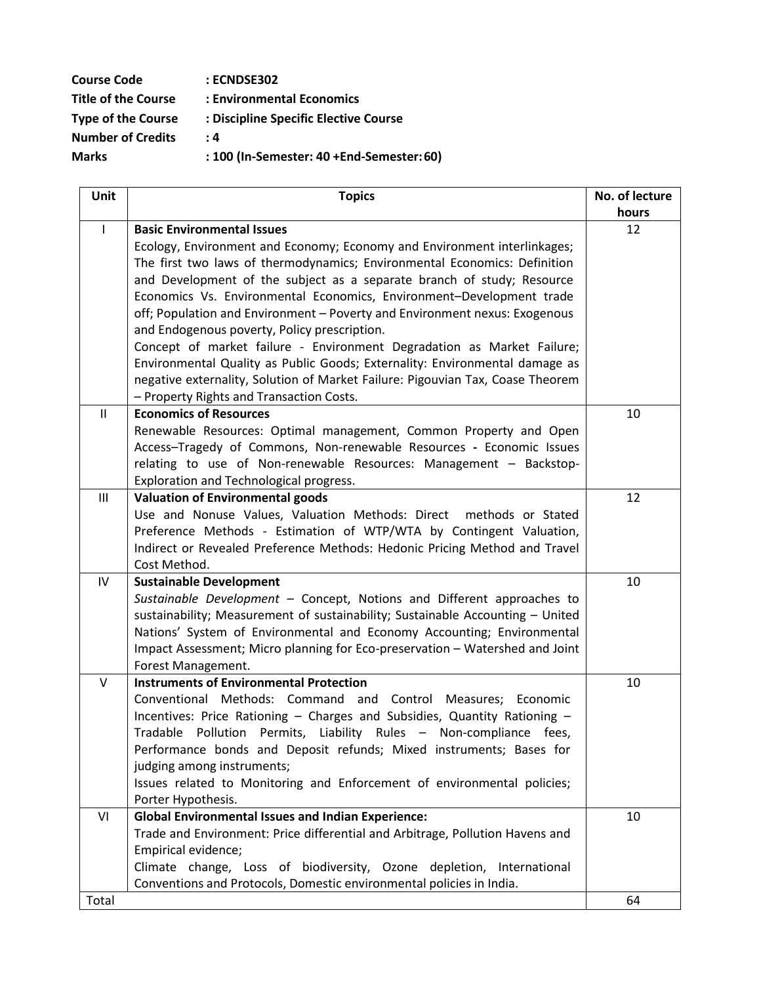| <b>Course Code</b>         | : ECNDSE302                               |
|----------------------------|-------------------------------------------|
| <b>Title of the Course</b> | : Environmental Economics                 |
| <b>Type of the Course</b>  | : Discipline Specific Elective Course     |
| <b>Number of Credits</b>   | : 4                                       |
| <b>Marks</b>               | : 100 (In-Semester: 40 +End-Semester: 60) |

| Unit         | <b>Topics</b>                                                                                                                              | No. of lecture |
|--------------|--------------------------------------------------------------------------------------------------------------------------------------------|----------------|
|              |                                                                                                                                            | hours          |
| $\mathbf{I}$ | <b>Basic Environmental Issues</b>                                                                                                          | 12             |
|              | Ecology, Environment and Economy; Economy and Environment interlinkages;                                                                   |                |
|              | The first two laws of thermodynamics; Environmental Economics: Definition                                                                  |                |
|              | and Development of the subject as a separate branch of study; Resource                                                                     |                |
|              | Economics Vs. Environmental Economics, Environment-Development trade                                                                       |                |
|              | off; Population and Environment - Poverty and Environment nexus: Exogenous                                                                 |                |
|              | and Endogenous poverty, Policy prescription.                                                                                               |                |
|              | Concept of market failure - Environment Degradation as Market Failure;                                                                     |                |
|              | Environmental Quality as Public Goods; Externality: Environmental damage as                                                                |                |
|              | negative externality, Solution of Market Failure: Pigouvian Tax, Coase Theorem                                                             |                |
|              | - Property Rights and Transaction Costs.                                                                                                   |                |
| Ш            | <b>Economics of Resources</b>                                                                                                              | 10             |
|              | Renewable Resources: Optimal management, Common Property and Open<br>Access-Tragedy of Commons, Non-renewable Resources - Economic Issues  |                |
|              | relating to use of Non-renewable Resources: Management - Backstop-                                                                         |                |
|              | Exploration and Technological progress.                                                                                                    |                |
| Ш            | <b>Valuation of Environmental goods</b>                                                                                                    | 12             |
|              | Use and Nonuse Values, Valuation Methods: Direct methods or Stated                                                                         |                |
|              | Preference Methods - Estimation of WTP/WTA by Contingent Valuation,                                                                        |                |
|              | Indirect or Revealed Preference Methods: Hedonic Pricing Method and Travel                                                                 |                |
|              | Cost Method.                                                                                                                               |                |
| IV           | <b>Sustainable Development</b>                                                                                                             | 10             |
|              | Sustainable Development - Concept, Notions and Different approaches to                                                                     |                |
|              | sustainability; Measurement of sustainability; Sustainable Accounting - United                                                             |                |
|              | Nations' System of Environmental and Economy Accounting; Environmental                                                                     |                |
|              | Impact Assessment; Micro planning for Eco-preservation - Watershed and Joint                                                               |                |
|              | Forest Management.                                                                                                                         |                |
| V            | <b>Instruments of Environmental Protection</b>                                                                                             | 10             |
|              | Conventional Methods: Command and Control Measures;<br>Economic                                                                            |                |
|              | Incentives: Price Rationing - Charges and Subsidies, Quantity Rationing -                                                                  |                |
|              | Tradable Pollution Permits, Liability Rules - Non-compliance fees,                                                                         |                |
|              | Performance bonds and Deposit refunds; Mixed instruments; Bases for                                                                        |                |
|              | judging among instruments;                                                                                                                 |                |
|              | Issues related to Monitoring and Enforcement of environmental policies;                                                                    |                |
|              | Porter Hypothesis.                                                                                                                         |                |
| VI           | <b>Global Environmental Issues and Indian Experience:</b><br>Trade and Environment: Price differential and Arbitrage, Pollution Havens and | 10             |
|              | Empirical evidence;                                                                                                                        |                |
|              | Climate change, Loss of biodiversity, Ozone depletion, International                                                                       |                |
|              | Conventions and Protocols, Domestic environmental policies in India.                                                                       |                |
| Total        |                                                                                                                                            | 64             |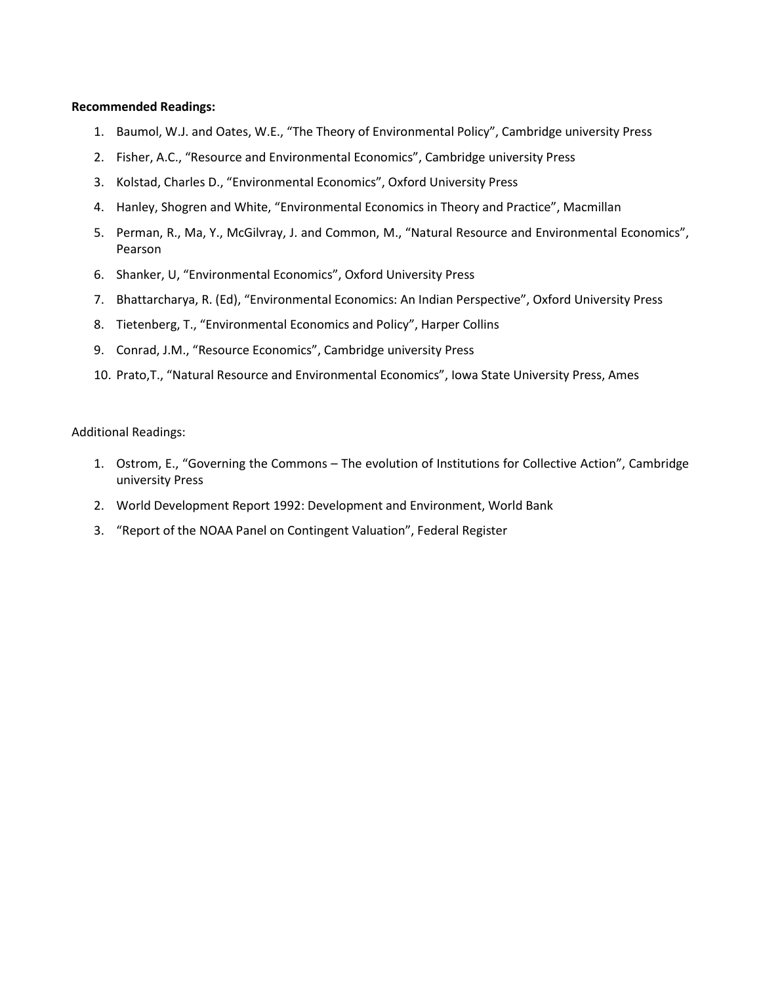#### **Recommended Readings:**

- 1. Baumol, W.J. and Oates, W.E., "The Theory of Environmental Policy", Cambridge university Press
- 2. Fisher, A.C., "Resource and Environmental Economics", Cambridge university Press
- 3. Kolstad, Charles D., "Environmental Economics", Oxford University Press
- 4. Hanley, Shogren and White, "Environmental Economics in Theory and Practice", Macmillan
- 5. Perman, R., Ma, Y., McGilvray, J. and Common, M., "Natural Resource and Environmental Economics", Pearson
- 6. Shanker, U, "Environmental Economics", Oxford University Press
- 7. Bhattarcharya, R. (Ed), "Environmental Economics: An Indian Perspective", Oxford University Press
- 8. Tietenberg, T., "Environmental Economics and Policy", Harper Collins
- 9. Conrad, J.M., "Resource Economics", Cambridge university Press
- 10. Prato,T., "Natural Resource and Environmental Economics", Iowa State University Press, Ames

#### Additional Readings:

- 1. Ostrom, E., "Governing the Commons The evolution of Institutions for Collective Action", Cambridge university Press
- 2. World Development Report 1992: Development and Environment, World Bank
- 3. "Report of the NOAA Panel on Contingent Valuation", Federal Register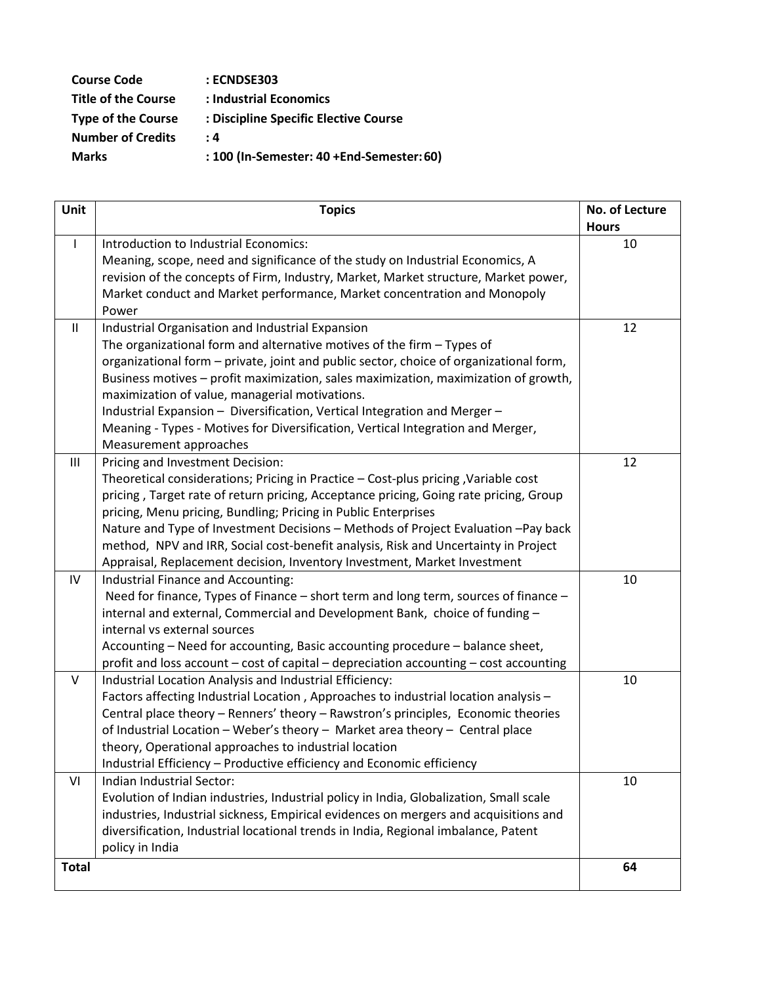| <b>Course Code</b>         | : ECNDSE303                               |
|----------------------------|-------------------------------------------|
| <b>Title of the Course</b> | : Industrial Economics                    |
| <b>Type of the Course</b>  | : Discipline Specific Elective Course     |
| <b>Number of Credits</b>   | : 4                                       |
| <b>Marks</b>               | : 100 (In-Semester: 40 +End-Semester: 60) |
|                            |                                           |

| Unit           | <b>Topics</b>                                                                          | No. of Lecture |
|----------------|----------------------------------------------------------------------------------------|----------------|
|                |                                                                                        | <b>Hours</b>   |
| $\mathbf{I}$   | Introduction to Industrial Economics:                                                  | 10             |
|                | Meaning, scope, need and significance of the study on Industrial Economics, A          |                |
|                | revision of the concepts of Firm, Industry, Market, Market structure, Market power,    |                |
|                | Market conduct and Market performance, Market concentration and Monopoly               |                |
|                | Power                                                                                  |                |
| Ш              | Industrial Organisation and Industrial Expansion                                       | 12             |
|                | The organizational form and alternative motives of the firm $-$ Types of               |                |
|                | organizational form - private, joint and public sector, choice of organizational form, |                |
|                | Business motives - profit maximization, sales maximization, maximization of growth,    |                |
|                | maximization of value, managerial motivations.                                         |                |
|                | Industrial Expansion - Diversification, Vertical Integration and Merger -              |                |
|                | Meaning - Types - Motives for Diversification, Vertical Integration and Merger,        |                |
|                | Measurement approaches                                                                 |                |
| $\mathbf{III}$ | Pricing and Investment Decision:                                                       | 12             |
|                | Theoretical considerations; Pricing in Practice - Cost-plus pricing, Variable cost     |                |
|                | pricing, Target rate of return pricing, Acceptance pricing, Going rate pricing, Group  |                |
|                | pricing, Menu pricing, Bundling; Pricing in Public Enterprises                         |                |
|                | Nature and Type of Investment Decisions - Methods of Project Evaluation -Pay back      |                |
|                | method, NPV and IRR, Social cost-benefit analysis, Risk and Uncertainty in Project     |                |
|                | Appraisal, Replacement decision, Inventory Investment, Market Investment               |                |
| IV             | Industrial Finance and Accounting:                                                     | 10             |
|                | Need for finance, Types of Finance – short term and long term, sources of finance –    |                |
|                | internal and external, Commercial and Development Bank, choice of funding -            |                |
|                | internal vs external sources                                                           |                |
|                | Accounting - Need for accounting, Basic accounting procedure - balance sheet,          |                |
|                | profit and loss account - cost of capital - depreciation accounting - cost accounting  |                |
| V              | Industrial Location Analysis and Industrial Efficiency:                                | 10             |
|                | Factors affecting Industrial Location, Approaches to industrial location analysis -    |                |
|                | Central place theory - Renners' theory - Rawstron's principles, Economic theories      |                |
|                | of Industrial Location - Weber's theory - Market area theory - Central place           |                |
|                | theory, Operational approaches to industrial location                                  |                |
|                | Industrial Efficiency - Productive efficiency and Economic efficiency                  |                |
| VI             | Indian Industrial Sector:                                                              | 10             |
|                | Evolution of Indian industries, Industrial policy in India, Globalization, Small scale |                |
|                | industries, Industrial sickness, Empirical evidences on mergers and acquisitions and   |                |
|                | diversification, Industrial locational trends in India, Regional imbalance, Patent     |                |
|                | policy in India                                                                        |                |
| <b>Total</b>   |                                                                                        | 64             |
|                |                                                                                        |                |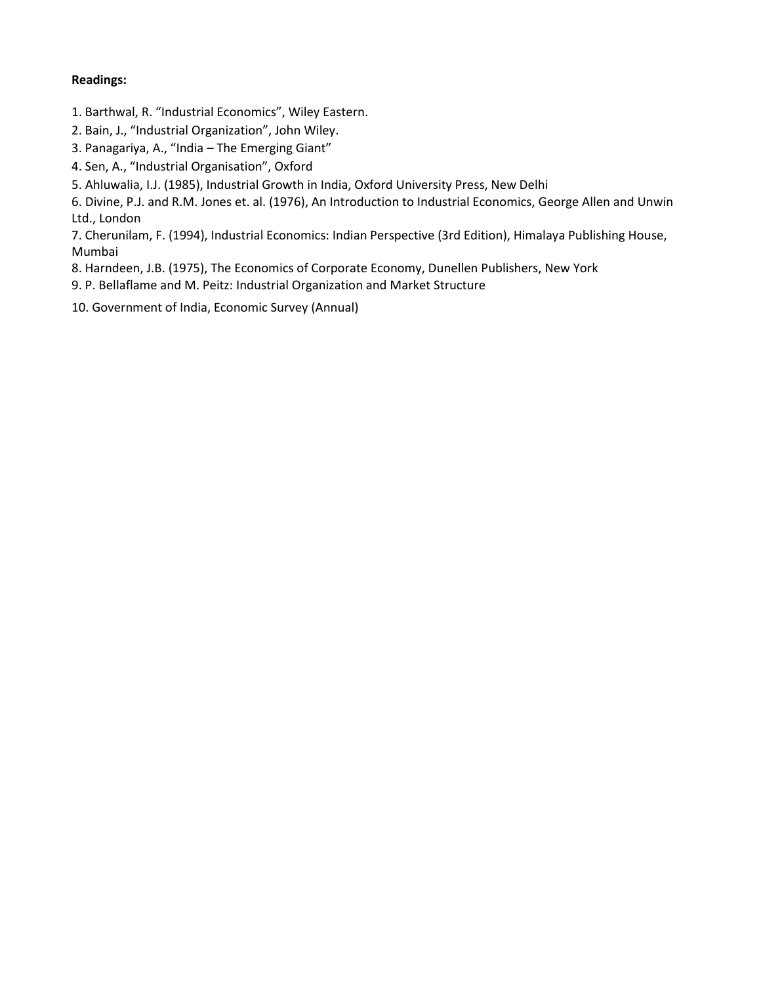## **Readings:**

- 1. Barthwal, R. "Industrial Economics", Wiley Eastern.
- 2. Bain, J., "Industrial Organization", John Wiley.
- 3. Panagariya, A., "India The Emerging Giant"
- 4. Sen, A., "Industrial Organisation", Oxford
- 5. Ahluwalia, I.J. (1985), Industrial Growth in India, Oxford University Press, New Delhi

6. Divine, P.J. and R.M. Jones et. al. (1976), An Introduction to Industrial Economics, George Allen and Unwin Ltd., London

7. Cherunilam, F. (1994), Industrial Economics: Indian Perspective (3rd Edition), Himalaya Publishing House, Mumbai

- 8. Harndeen, J.B. (1975), The Economics of Corporate Economy, Dunellen Publishers, New York
- 9. P. Bellaflame and M. Peitz: Industrial Organization and Market Structure
- 10. Government of India, Economic Survey (Annual)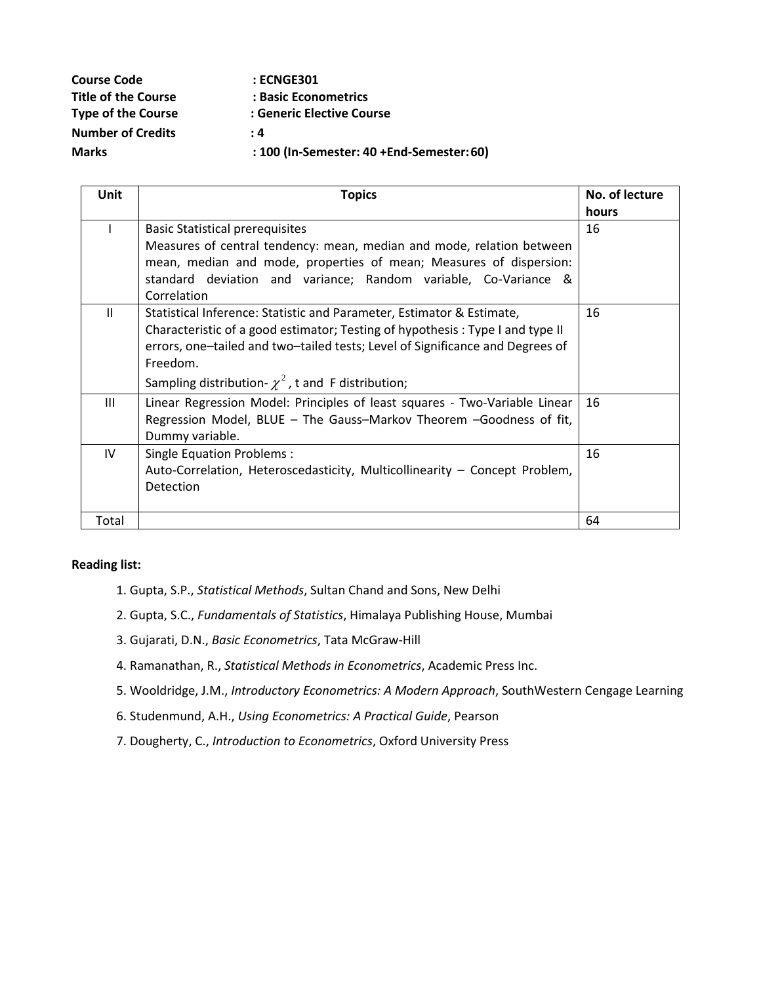| <b>Course Code</b>         | : ECNGE301                                |
|----------------------------|-------------------------------------------|
| <b>Title of the Course</b> | : Basic Econometrics                      |
| <b>Type of the Course</b>  | : Generic Elective Course                 |
| <b>Number of Credits</b>   | $\cdot$ 4                                 |
| <b>Marks</b>               | : 100 (In-Semester: 40 +End-Semester: 60) |

| <b>Unit</b>  | <b>Topics</b>                                                                 | No. of lecture |
|--------------|-------------------------------------------------------------------------------|----------------|
|              |                                                                               | hours          |
|              | <b>Basic Statistical prerequisites</b>                                        | 16             |
|              | Measures of central tendency: mean, median and mode, relation between         |                |
|              | mean, median and mode, properties of mean; Measures of dispersion:            |                |
|              | standard deviation and variance; Random variable, Co-Variance &               |                |
|              | Correlation                                                                   |                |
| $\mathbf{H}$ | Statistical Inference: Statistic and Parameter, Estimator & Estimate,         | 16             |
|              | Characteristic of a good estimator; Testing of hypothesis: Type I and type II |                |
|              | errors, one-tailed and two-tailed tests; Level of Significance and Degrees of |                |
|              | Freedom.                                                                      |                |
|              | Sampling distribution- $\chi^2$ , t and F distribution;                       |                |
| III          | Linear Regression Model: Principles of least squares - Two-Variable Linear    | 16             |
|              | Regression Model, BLUE - The Gauss-Markov Theorem - Goodness of fit,          |                |
|              | Dummy variable.                                                               |                |
| IV           | Single Equation Problems:                                                     | 16             |
|              | Auto-Correlation, Heteroscedasticity, Multicollinearity - Concept Problem,    |                |
|              | Detection                                                                     |                |
|              |                                                                               |                |
| Total        |                                                                               | 64             |

- 1. Gupta, S.P., *Statistical Methods*, Sultan Chand and Sons, New Delhi
- 2. Gupta, S.C., *Fundamentals of Statistics*, Himalaya Publishing House, Mumbai
- 3. Gujarati, D.N., *Basic Econometrics*, Tata McGraw-Hill
- 4. Ramanathan, R., *Statistical Methods in Econometrics*, Academic Press Inc.
- 5. Wooldridge, J.M., *Introductory Econometrics: A Modern Approach*, SouthWestern Cengage Learning
- 6. Studenmund, A.H., *Using Econometrics: A Practical Guide*, Pearson
- 7. Dougherty, C., *Introduction to Econometrics*, Oxford University Press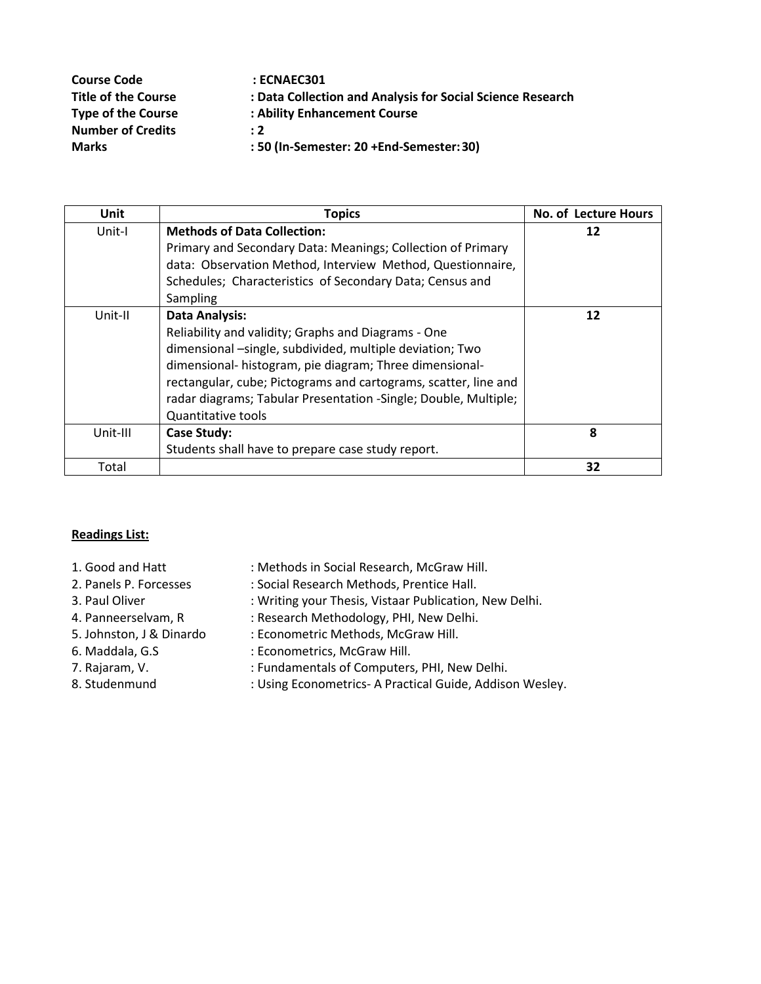| <b>Course Code</b>         | : ECNAEC301                                                |
|----------------------------|------------------------------------------------------------|
| <b>Title of the Course</b> | : Data Collection and Analysis for Social Science Research |
| <b>Type of the Course</b>  | : Ability Enhancement Course                               |
| <b>Number of Credits</b>   | $\div 2$                                                   |
| <b>Marks</b>               | : 50 (In-Semester: 20 +End-Semester: 30)                   |

| <b>Unit</b> | <b>Topics</b>                                                   | No. of Lecture Hours |
|-------------|-----------------------------------------------------------------|----------------------|
| Unit-I      | <b>Methods of Data Collection:</b>                              | 12                   |
|             | Primary and Secondary Data: Meanings; Collection of Primary     |                      |
|             | data: Observation Method, Interview Method, Questionnaire,      |                      |
|             | Schedules; Characteristics of Secondary Data; Census and        |                      |
|             | Sampling                                                        |                      |
| Unit-II     | <b>Data Analysis:</b>                                           | 12                   |
|             | Reliability and validity; Graphs and Diagrams - One             |                      |
|             | dimensional -single, subdivided, multiple deviation; Two        |                      |
|             | dimensional- histogram, pie diagram; Three dimensional-         |                      |
|             | rectangular, cube; Pictograms and cartograms, scatter, line and |                      |
|             | radar diagrams; Tabular Presentation -Single; Double, Multiple; |                      |
|             | <b>Quantitative tools</b>                                       |                      |
| Unit-III    | Case Study:                                                     | 8                    |
|             | Students shall have to prepare case study report.               |                      |
| Total       |                                                                 | 32                   |

- 
- 
- 
- 
- 
- 
- 
- 
- 1. Good and Hatt : Methods in Social Research, McGraw Hill.
- 2. Panels P. Forcesses : Social Research Methods, Prentice Hall.
- 3. Paul Oliver : Writing your Thesis, Vistaar Publication, New Delhi.
- 4. Panneerselvam, R : Research Methodology, PHI, New Delhi.
- 5. Johnston, J & Dinardo : Econometric Methods, McGraw Hill.
- 6. Maddala, G.S : Econometrics, McGraw Hill.
- 7. Rajaram, V. The Muslim Computers, PHI, New Delhi.
- 8. Studenmund : Using Econometrics- A Practical Guide, Addison Wesley.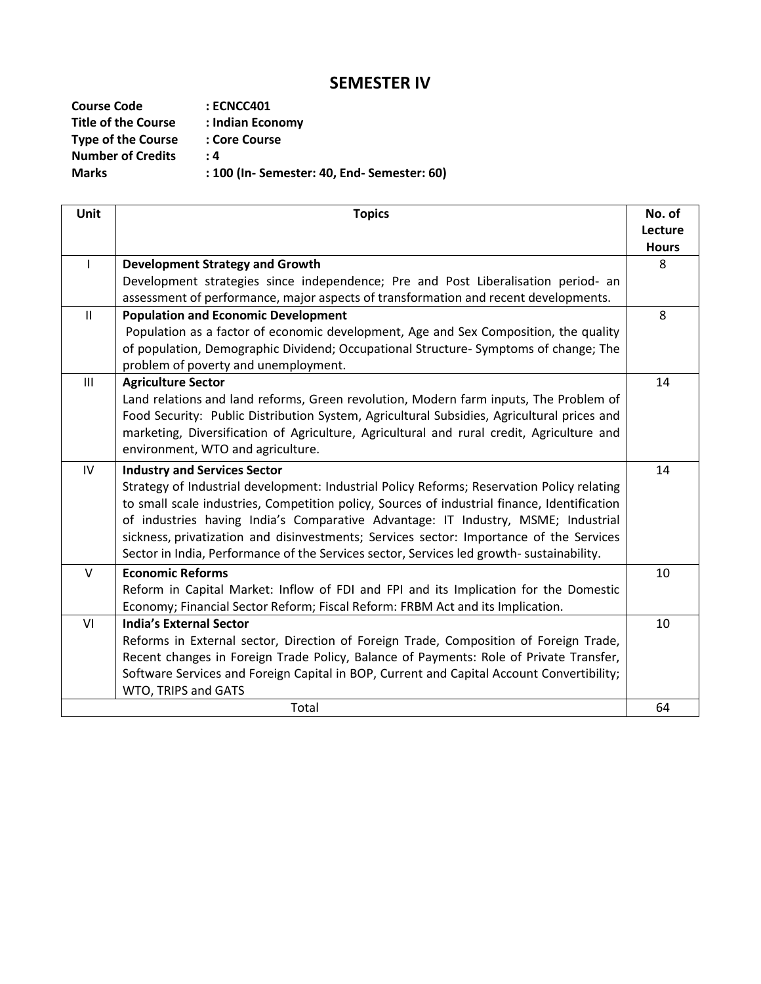# **SEMESTER IV**

| <b>Course Code</b>         | $:$ ECNCC401                                |
|----------------------------|---------------------------------------------|
| <b>Title of the Course</b> | : Indian Economy                            |
| <b>Type of the Course</b>  | : Core Course                               |
| <b>Number of Credits</b>   | : 4                                         |
| <b>Marks</b>               | : 100 (In- Semester: 40, End- Semester: 60) |

| <b>Unit</b>   | <b>Topics</b>                                                                                | No. of       |
|---------------|----------------------------------------------------------------------------------------------|--------------|
|               |                                                                                              | Lecture      |
|               |                                                                                              | <b>Hours</b> |
| $\mathsf{l}$  | <b>Development Strategy and Growth</b>                                                       | 8            |
|               | Development strategies since independence; Pre and Post Liberalisation period- an            |              |
|               | assessment of performance, major aspects of transformation and recent developments.          |              |
| $\mathbf{II}$ | <b>Population and Economic Development</b>                                                   | 8            |
|               | Population as a factor of economic development, Age and Sex Composition, the quality         |              |
|               | of population, Demographic Dividend; Occupational Structure- Symptoms of change; The         |              |
|               | problem of poverty and unemployment.                                                         |              |
| III           | <b>Agriculture Sector</b>                                                                    | 14           |
|               | Land relations and land reforms, Green revolution, Modern farm inputs, The Problem of        |              |
|               | Food Security: Public Distribution System, Agricultural Subsidies, Agricultural prices and   |              |
|               | marketing, Diversification of Agriculture, Agricultural and rural credit, Agriculture and    |              |
|               | environment, WTO and agriculture.                                                            |              |
| IV            | <b>Industry and Services Sector</b>                                                          | 14           |
|               | Strategy of Industrial development: Industrial Policy Reforms; Reservation Policy relating   |              |
|               | to small scale industries, Competition policy, Sources of industrial finance, Identification |              |
|               | of industries having India's Comparative Advantage: IT Industry, MSME; Industrial            |              |
|               | sickness, privatization and disinvestments; Services sector: Importance of the Services      |              |
|               | Sector in India, Performance of the Services sector, Services led growth- sustainability.    |              |
| $\vee$        | <b>Economic Reforms</b>                                                                      | 10           |
|               | Reform in Capital Market: Inflow of FDI and FPI and its Implication for the Domestic         |              |
|               | Economy; Financial Sector Reform; Fiscal Reform: FRBM Act and its Implication.               |              |
| VI            | <b>India's External Sector</b>                                                               | 10           |
|               | Reforms in External sector, Direction of Foreign Trade, Composition of Foreign Trade,        |              |
|               | Recent changes in Foreign Trade Policy, Balance of Payments: Role of Private Transfer,       |              |
|               | Software Services and Foreign Capital in BOP, Current and Capital Account Convertibility;    |              |
|               | WTO, TRIPS and GATS                                                                          |              |
|               | Total                                                                                        | 64           |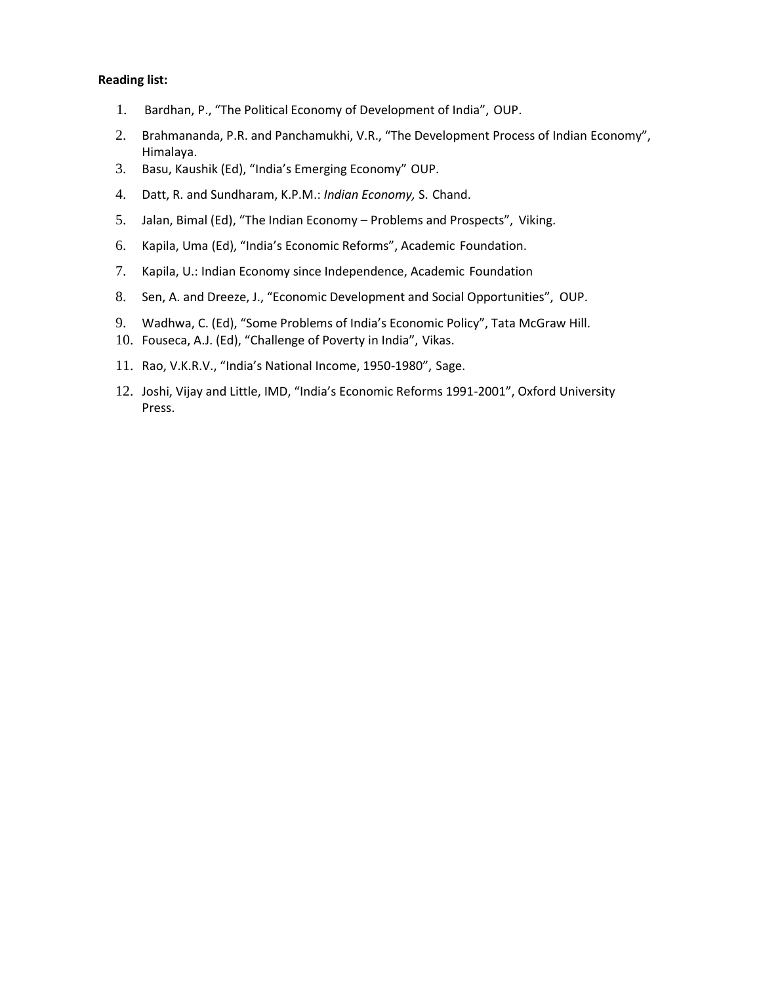- 1. Bardhan, P., "The Political Economy of Development of India", OUP.
- 2. Brahmananda, P.R. and Panchamukhi, V.R., "The Development Process of Indian Economy", Himalaya.
- 3. Basu, Kaushik (Ed), "India's Emerging Economy" OUP.
- 4. Datt, R. and Sundharam, K.P.M.: *Indian Economy,* S. Chand.
- 5. Jalan, Bimal (Ed), "The Indian Economy Problems and Prospects", Viking.
- 6. Kapila, Uma (Ed), "India's Economic Reforms", Academic Foundation.
- 7. Kapila, U.: Indian Economy since Independence, Academic Foundation
- 8. Sen, A. and Dreeze, J., "Economic Development and Social Opportunities", OUP.
- 9. Wadhwa, C. (Ed), "Some Problems of India's Economic Policy", Tata McGraw Hill.
- 10. Fouseca, A.J. (Ed), "Challenge of Poverty in India", Vikas.
- 11. Rao, V.K.R.V., "India's National Income, 1950-1980", Sage.
- 12. Joshi, Vijay and Little, IMD, "India's Economic Reforms 1991-2001", Oxford University Press.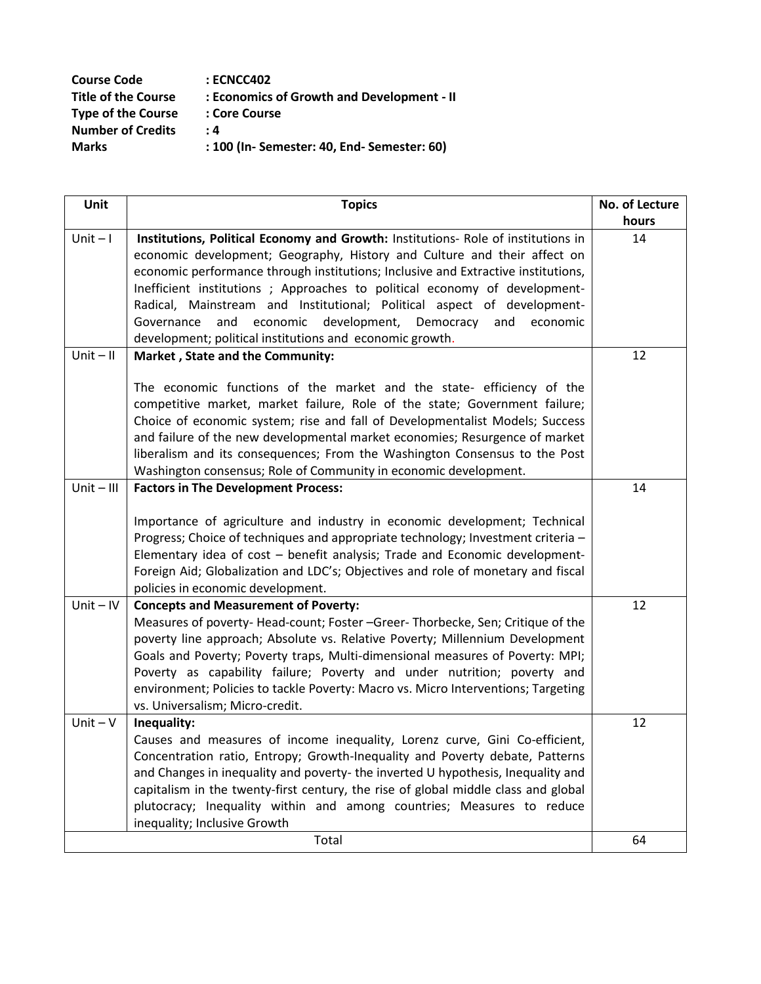| <b>Course Code</b>         | : ECNCC402                                  |
|----------------------------|---------------------------------------------|
| <b>Title of the Course</b> | : Economics of Growth and Development - II  |
| <b>Type of the Course</b>  | : Core Course                               |
| <b>Number of Credits</b>   | : 4                                         |
| <b>Marks</b>               | : 100 (In- Semester: 40, End- Semester: 60) |

| Unit         | <b>Topics</b>                                                                                                                                                                                                                                                                                                                                                                                                                                                        | No. of Lecture |
|--------------|----------------------------------------------------------------------------------------------------------------------------------------------------------------------------------------------------------------------------------------------------------------------------------------------------------------------------------------------------------------------------------------------------------------------------------------------------------------------|----------------|
|              |                                                                                                                                                                                                                                                                                                                                                                                                                                                                      | hours          |
| $Unit - I$   | Institutions, Political Economy and Growth: Institutions- Role of institutions in<br>economic development; Geography, History and Culture and their affect on<br>economic performance through institutions; Inclusive and Extractive institutions,                                                                                                                                                                                                                   | 14             |
|              | Inefficient institutions; Approaches to political economy of development-                                                                                                                                                                                                                                                                                                                                                                                            |                |
|              | Radical, Mainstream and Institutional; Political aspect of development-                                                                                                                                                                                                                                                                                                                                                                                              |                |
|              | and economic development, Democracy<br>Governance<br>and<br>economic<br>development; political institutions and economic growth.                                                                                                                                                                                                                                                                                                                                     |                |
| $Unit - II$  | Market, State and the Community:                                                                                                                                                                                                                                                                                                                                                                                                                                     | 12             |
|              |                                                                                                                                                                                                                                                                                                                                                                                                                                                                      |                |
|              | The economic functions of the market and the state- efficiency of the<br>competitive market, market failure, Role of the state; Government failure;<br>Choice of economic system; rise and fall of Developmentalist Models; Success<br>and failure of the new developmental market economies; Resurgence of market<br>liberalism and its consequences; From the Washington Consensus to the Post<br>Washington consensus; Role of Community in economic development. |                |
| $Unit - III$ | <b>Factors in The Development Process:</b>                                                                                                                                                                                                                                                                                                                                                                                                                           | 14             |
|              | Importance of agriculture and industry in economic development; Technical                                                                                                                                                                                                                                                                                                                                                                                            |                |
|              | Progress; Choice of techniques and appropriate technology; Investment criteria -                                                                                                                                                                                                                                                                                                                                                                                     |                |
|              | Elementary idea of cost - benefit analysis; Trade and Economic development-                                                                                                                                                                                                                                                                                                                                                                                          |                |
|              | Foreign Aid; Globalization and LDC's; Objectives and role of monetary and fiscal<br>policies in economic development.                                                                                                                                                                                                                                                                                                                                                |                |
| $Unit - IV$  | <b>Concepts and Measurement of Poverty:</b>                                                                                                                                                                                                                                                                                                                                                                                                                          | 12             |
|              | Measures of poverty-Head-count; Foster -Greer-Thorbecke, Sen; Critique of the                                                                                                                                                                                                                                                                                                                                                                                        |                |
|              | poverty line approach; Absolute vs. Relative Poverty; Millennium Development                                                                                                                                                                                                                                                                                                                                                                                         |                |
|              | Goals and Poverty; Poverty traps, Multi-dimensional measures of Poverty: MPI;                                                                                                                                                                                                                                                                                                                                                                                        |                |
|              | Poverty as capability failure; Poverty and under nutrition; poverty and                                                                                                                                                                                                                                                                                                                                                                                              |                |
|              | environment; Policies to tackle Poverty: Macro vs. Micro Interventions; Targeting                                                                                                                                                                                                                                                                                                                                                                                    |                |
|              | vs. Universalism; Micro-credit.                                                                                                                                                                                                                                                                                                                                                                                                                                      |                |
| $Unit - V$   | Inequality:                                                                                                                                                                                                                                                                                                                                                                                                                                                          | 12             |
|              | Causes and measures of income inequality, Lorenz curve, Gini Co-efficient,                                                                                                                                                                                                                                                                                                                                                                                           |                |
|              | Concentration ratio, Entropy; Growth-Inequality and Poverty debate, Patterns                                                                                                                                                                                                                                                                                                                                                                                         |                |
|              | and Changes in inequality and poverty- the inverted U hypothesis, Inequality and<br>capitalism in the twenty-first century, the rise of global middle class and global                                                                                                                                                                                                                                                                                               |                |
|              | plutocracy; Inequality within and among countries; Measures to reduce                                                                                                                                                                                                                                                                                                                                                                                                |                |
|              | inequality; Inclusive Growth                                                                                                                                                                                                                                                                                                                                                                                                                                         |                |
|              | Total                                                                                                                                                                                                                                                                                                                                                                                                                                                                | 64             |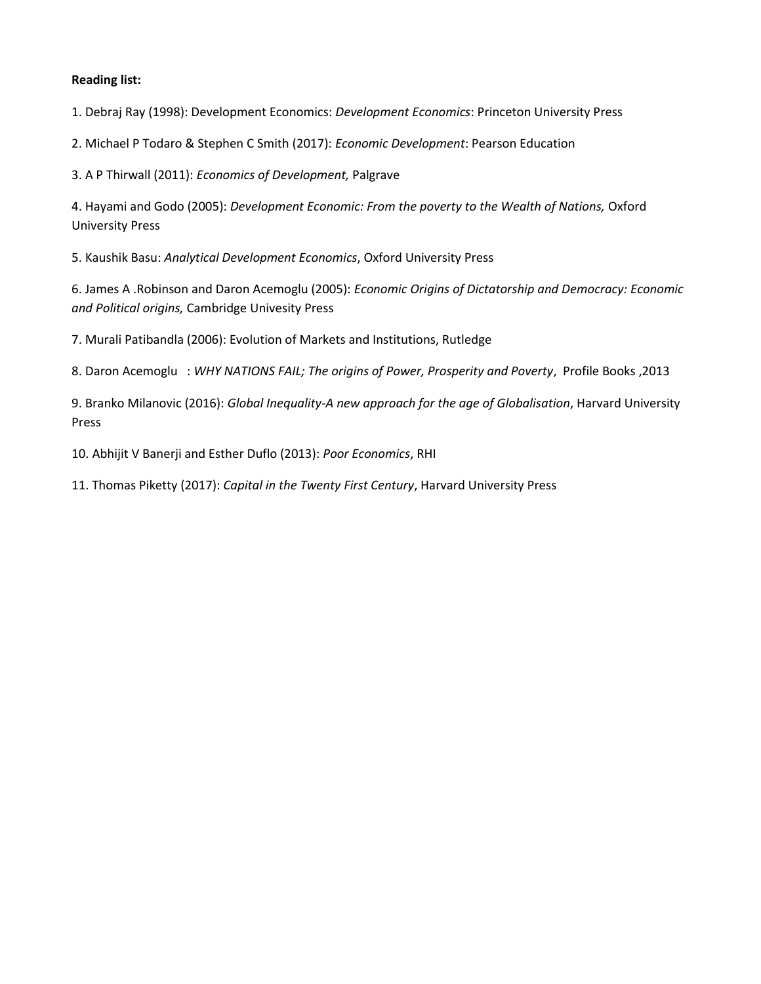1. Debraj Ray (1998): Development Economics: *Development Economics*: Princeton University Press

2. Michael P Todaro & Stephen C Smith (2017): *Economic Development*: Pearson Education

3. A P Thirwall (2011): *Economics of Development,* Palgrave

4. Hayami and Godo (2005): *Development Economic: From the poverty to the Wealth of Nations,* Oxford University Press

5. Kaushik Basu: *Analytical Development Economics*, Oxford University Press

6. James A .Robinson and Daron Acemoglu (2005): *Economic Origins of Dictatorship and Democracy: Economic and Political origins,* Cambridge Univesity Press

7. Murali Patibandla (2006): Evolution of Markets and Institutions, Rutledge

8. Daron Acemoglu : *WHY NATIONS FAIL; The origins of Power, Prosperity and Poverty*, Profile Books ,2013

9. Branko Milanovic (2016): *Global Inequality-A new approach for the age of Globalisation*, Harvard University Press

10. Abhijit V Banerji and Esther Duflo (2013): *Poor Economics*, RHI

11. Thomas Piketty (2017): *Capital in the Twenty First Century*, Harvard University Press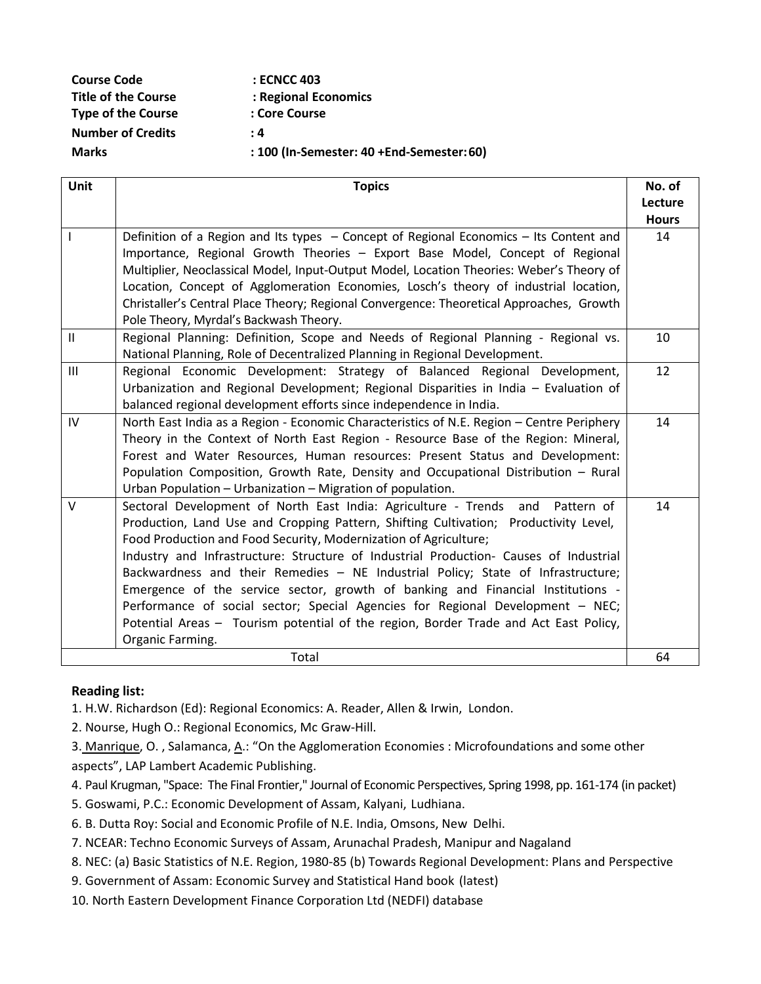| <b>Course Code</b>         | : ECNCC 403                               |
|----------------------------|-------------------------------------------|
| <b>Title of the Course</b> | : Regional Economics                      |
| <b>Type of the Course</b>  | : Core Course                             |
| <b>Number of Credits</b>   | : 4                                       |
| <b>Marks</b>               | : 100 (In-Semester: 40 +End-Semester: 60) |

| <b>Unit</b>   | <b>Topics</b>                                                                             | No. of       |
|---------------|-------------------------------------------------------------------------------------------|--------------|
|               |                                                                                           | Lecture      |
|               |                                                                                           | <b>Hours</b> |
| $\mathbf{I}$  | Definition of a Region and Its types – Concept of Regional Economics – Its Content and    | 14           |
|               | Importance, Regional Growth Theories - Export Base Model, Concept of Regional             |              |
|               | Multiplier, Neoclassical Model, Input-Output Model, Location Theories: Weber's Theory of  |              |
|               | Location, Concept of Agglomeration Economies, Losch's theory of industrial location,      |              |
|               | Christaller's Central Place Theory; Regional Convergence: Theoretical Approaches, Growth  |              |
|               | Pole Theory, Myrdal's Backwash Theory.                                                    |              |
| $\mathbf{II}$ | Regional Planning: Definition, Scope and Needs of Regional Planning - Regional vs.        | 10           |
|               | National Planning, Role of Decentralized Planning in Regional Development.                |              |
| III           | Regional Economic Development: Strategy of Balanced Regional Development,                 | 12           |
|               | Urbanization and Regional Development; Regional Disparities in India - Evaluation of      |              |
|               | balanced regional development efforts since independence in India.                        |              |
| IV            | North East India as a Region - Economic Characteristics of N.E. Region - Centre Periphery | 14           |
|               | Theory in the Context of North East Region - Resource Base of the Region: Mineral,        |              |
|               | Forest and Water Resources, Human resources: Present Status and Development:              |              |
|               | Population Composition, Growth Rate, Density and Occupational Distribution - Rural        |              |
|               | Urban Population - Urbanization - Migration of population.                                |              |
| $\vee$        | Sectoral Development of North East India: Agriculture - Trends<br>and<br>Pattern of       | 14           |
|               | Production, Land Use and Cropping Pattern, Shifting Cultivation; Productivity Level,      |              |
|               | Food Production and Food Security, Modernization of Agriculture;                          |              |
|               | Industry and Infrastructure: Structure of Industrial Production- Causes of Industrial     |              |
|               | Backwardness and their Remedies - NE Industrial Policy; State of Infrastructure;          |              |
|               | Emergence of the service sector, growth of banking and Financial Institutions -           |              |
|               | Performance of social sector; Special Agencies for Regional Development - NEC;            |              |
|               | Potential Areas - Tourism potential of the region, Border Trade and Act East Policy,      |              |
|               | Organic Farming.                                                                          |              |
|               | Total                                                                                     | 64           |

1. H.W. Richardson (Ed): Regional Economics: A. Reader, Allen & Irwin, London.

2. Nourse, Hugh O.: Regional Economics, Mc Graw-Hill.

3. [Manrique,](https://www.amazon.in/s/ref=dp_byline_sr_book_1?ie=UTF8&field-author=Olga+Manrique&search-alias=stripbooks) O., Salamanca[, A](https://www.amazon.in/s/ref=dp_byline_sr_book_2?ie=UTF8&field-author=Andres+Salamanca&search-alias=stripbooks).: "On the Agglomeration Economies : Microfoundations and some other aspects", LAP Lambert Academic Publishing.

- 4. Paul Krugman, "Space: The Final Frontier," Journal of Economic Perspectives, Spring 1998, pp. 161-174 (in packet)
- 5. Goswami, P.C.: Economic Development of Assam, Kalyani, Ludhiana.
- 6. B. Dutta Roy: Social and Economic Profile of N.E. India, Omsons, New Delhi.
- 7. NCEAR: Techno Economic Surveys of Assam, Arunachal Pradesh, Manipur and Nagaland
- 8. NEC: (a) Basic Statistics of N.E. Region, 1980-85 (b) Towards Regional Development: Plans and Perspective
- 9. Government of Assam: Economic Survey and Statistical Hand book (latest)
- 10. North Eastern Development Finance Corporation Ltd (NEDFI) database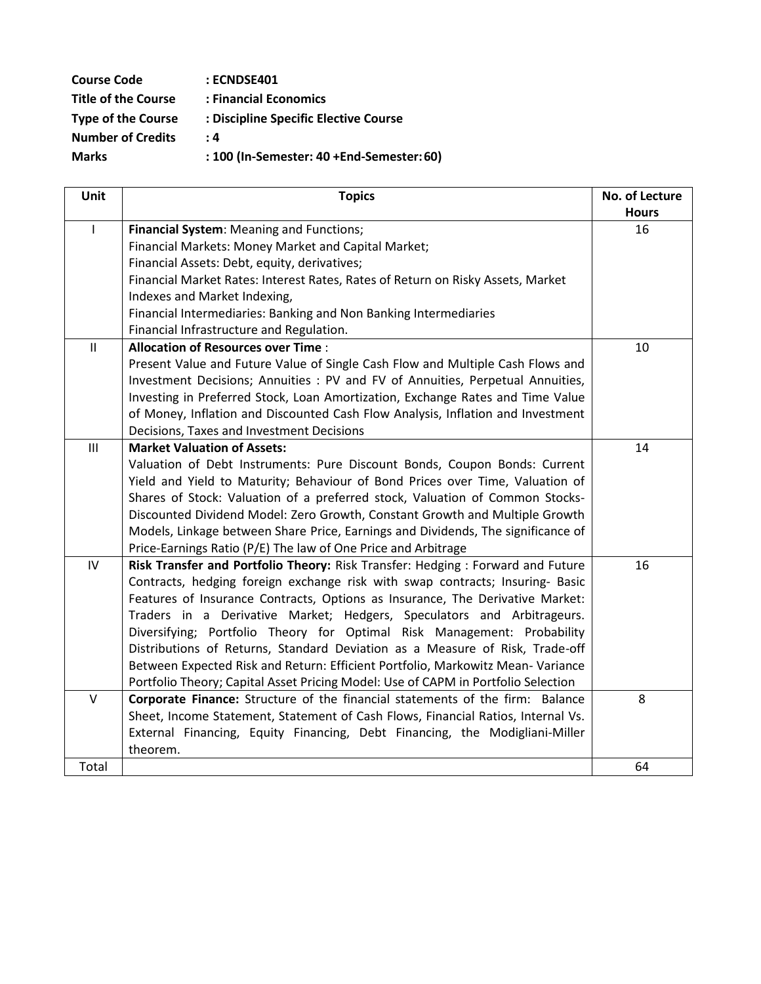| <b>Course Code</b>         | : ECNDSE401                               |
|----------------------------|-------------------------------------------|
| <b>Title of the Course</b> | : Financial Economics                     |
| <b>Type of the Course</b>  | : Discipline Specific Elective Course     |
| <b>Number of Credits</b>   | : 4                                       |
| <b>Marks</b>               | : 100 (In-Semester: 40 +End-Semester: 60) |
|                            |                                           |

| Unit          | <b>Topics</b>                                                                     | No. of Lecture |
|---------------|-----------------------------------------------------------------------------------|----------------|
|               |                                                                                   | <b>Hours</b>   |
| $\mathsf{I}$  | Financial System: Meaning and Functions;                                          | 16             |
|               | Financial Markets: Money Market and Capital Market;                               |                |
|               | Financial Assets: Debt, equity, derivatives;                                      |                |
|               | Financial Market Rates: Interest Rates, Rates of Return on Risky Assets, Market   |                |
|               | Indexes and Market Indexing,                                                      |                |
|               | Financial Intermediaries: Banking and Non Banking Intermediaries                  |                |
|               | Financial Infrastructure and Regulation.                                          |                |
| $\mathbf{II}$ | <b>Allocation of Resources over Time:</b>                                         | 10             |
|               | Present Value and Future Value of Single Cash Flow and Multiple Cash Flows and    |                |
|               | Investment Decisions; Annuities : PV and FV of Annuities, Perpetual Annuities,    |                |
|               | Investing in Preferred Stock, Loan Amortization, Exchange Rates and Time Value    |                |
|               | of Money, Inflation and Discounted Cash Flow Analysis, Inflation and Investment   |                |
|               | Decisions, Taxes and Investment Decisions                                         |                |
| III           | <b>Market Valuation of Assets:</b>                                                | 14             |
|               | Valuation of Debt Instruments: Pure Discount Bonds, Coupon Bonds: Current         |                |
|               | Yield and Yield to Maturity; Behaviour of Bond Prices over Time, Valuation of     |                |
|               | Shares of Stock: Valuation of a preferred stock, Valuation of Common Stocks-      |                |
|               | Discounted Dividend Model: Zero Growth, Constant Growth and Multiple Growth       |                |
|               | Models, Linkage between Share Price, Earnings and Dividends, The significance of  |                |
|               | Price-Earnings Ratio (P/E) The law of One Price and Arbitrage                     |                |
| IV            | Risk Transfer and Portfolio Theory: Risk Transfer: Hedging : Forward and Future   | 16             |
|               | Contracts, hedging foreign exchange risk with swap contracts; Insuring- Basic     |                |
|               | Features of Insurance Contracts, Options as Insurance, The Derivative Market:     |                |
|               | Traders in a Derivative Market; Hedgers, Speculators and Arbitrageurs.            |                |
|               | Diversifying; Portfolio Theory for Optimal Risk Management: Probability           |                |
|               | Distributions of Returns, Standard Deviation as a Measure of Risk, Trade-off      |                |
|               | Between Expected Risk and Return: Efficient Portfolio, Markowitz Mean-Variance    |                |
|               | Portfolio Theory; Capital Asset Pricing Model: Use of CAPM in Portfolio Selection |                |
| V             | Corporate Finance: Structure of the financial statements of the firm: Balance     | 8              |
|               | Sheet, Income Statement, Statement of Cash Flows, Financial Ratios, Internal Vs.  |                |
|               | External Financing, Equity Financing, Debt Financing, the Modigliani-Miller       |                |
|               | theorem.                                                                          |                |
| Total         |                                                                                   | 64             |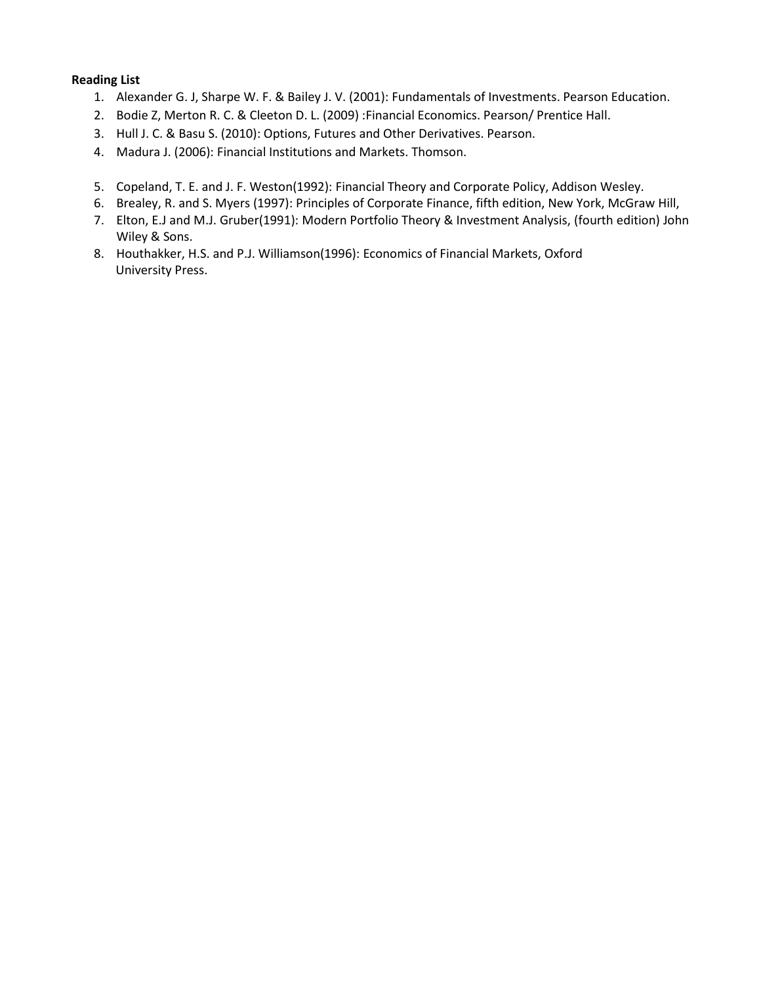- 1. Alexander G. J, Sharpe W. F. & Bailey J. V. (2001): Fundamentals of Investments. Pearson Education.
- 2. Bodie Z, Merton R. C. & Cleeton D. L. (2009) :Financial Economics. Pearson/ Prentice Hall.
- 3. Hull J. C. & Basu S. (2010): Options, Futures and Other Derivatives. Pearson.
- 4. Madura J. (2006): Financial Institutions and Markets. Thomson.
- 5. Copeland, T. E. and J. F. Weston(1992): Financial Theory and Corporate Policy, Addison Wesley.
- 6. Brealey, R. and S. Myers (1997): Principles of Corporate Finance, fifth edition, New York, McGraw Hill,
- 7. Elton, E.J and M.J. Gruber(1991): Modern Portfolio Theory & Investment Analysis, (fourth edition) John Wiley & Sons.
- 8. Houthakker, H.S. and P.J. Williamson(1996): Economics of Financial Markets, Oxford University Press.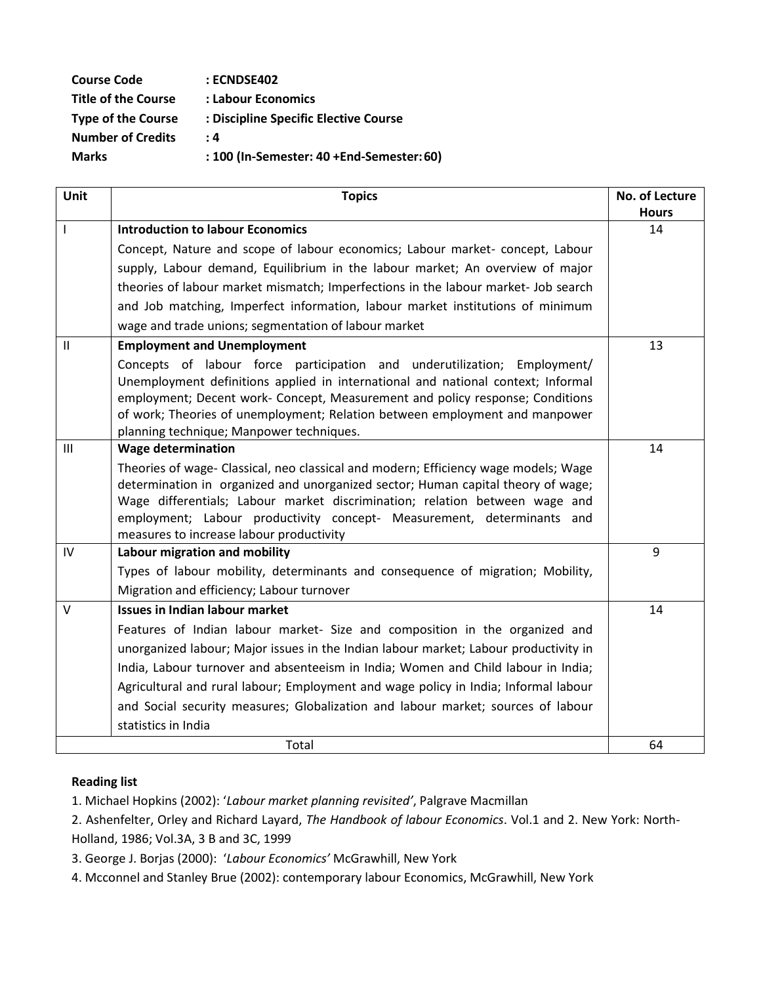| <b>Course Code</b>         | : ECNDSE402                               |
|----------------------------|-------------------------------------------|
| <b>Title of the Course</b> | : Labour Economics                        |
| <b>Type of the Course</b>  | : Discipline Specific Elective Course     |
| <b>Number of Credits</b>   | $\cdot$ 4                                 |
| <b>Marks</b>               | : 100 (In-Semester: 40 +End-Semester: 60) |

| <b>Unit</b>  | <b>Topics</b>                                                                                                                                                                                                                                                                                                                                                                | No. of Lecture |
|--------------|------------------------------------------------------------------------------------------------------------------------------------------------------------------------------------------------------------------------------------------------------------------------------------------------------------------------------------------------------------------------------|----------------|
|              |                                                                                                                                                                                                                                                                                                                                                                              | <b>Hours</b>   |
| $\mathbf{I}$ | <b>Introduction to labour Economics</b>                                                                                                                                                                                                                                                                                                                                      | 14             |
|              | Concept, Nature and scope of labour economics; Labour market- concept, Labour                                                                                                                                                                                                                                                                                                |                |
|              | supply, Labour demand, Equilibrium in the labour market; An overview of major                                                                                                                                                                                                                                                                                                |                |
|              | theories of labour market mismatch; Imperfections in the labour market- Job search                                                                                                                                                                                                                                                                                           |                |
|              | and Job matching, Imperfect information, labour market institutions of minimum                                                                                                                                                                                                                                                                                               |                |
|              | wage and trade unions; segmentation of labour market                                                                                                                                                                                                                                                                                                                         |                |
| $\mathbf{H}$ | <b>Employment and Unemployment</b>                                                                                                                                                                                                                                                                                                                                           | 13             |
|              | Concepts of labour force participation and underutilization; Employment/<br>Unemployment definitions applied in international and national context; Informal<br>employment; Decent work- Concept, Measurement and policy response; Conditions<br>of work; Theories of unemployment; Relation between employment and manpower<br>planning technique; Manpower techniques.     |                |
| III          | <b>Wage determination</b>                                                                                                                                                                                                                                                                                                                                                    | 14             |
|              | Theories of wage- Classical, neo classical and modern; Efficiency wage models; Wage<br>determination in organized and unorganized sector; Human capital theory of wage;<br>Wage differentials; Labour market discrimination; relation between wage and<br>employment; Labour productivity concept- Measurement, determinants and<br>measures to increase labour productivity |                |
| IV           | Labour migration and mobility                                                                                                                                                                                                                                                                                                                                                | 9              |
|              | Types of labour mobility, determinants and consequence of migration; Mobility,                                                                                                                                                                                                                                                                                               |                |
|              | Migration and efficiency; Labour turnover                                                                                                                                                                                                                                                                                                                                    |                |
| $\vee$       | <b>Issues in Indian labour market</b>                                                                                                                                                                                                                                                                                                                                        | 14             |
|              | Features of Indian labour market- Size and composition in the organized and                                                                                                                                                                                                                                                                                                  |                |
|              | unorganized labour; Major issues in the Indian labour market; Labour productivity in                                                                                                                                                                                                                                                                                         |                |
|              | India, Labour turnover and absenteeism in India; Women and Child labour in India;                                                                                                                                                                                                                                                                                            |                |
|              | Agricultural and rural labour; Employment and wage policy in India; Informal labour                                                                                                                                                                                                                                                                                          |                |
|              | and Social security measures; Globalization and labour market; sources of labour                                                                                                                                                                                                                                                                                             |                |
|              | statistics in India                                                                                                                                                                                                                                                                                                                                                          |                |
|              | Total                                                                                                                                                                                                                                                                                                                                                                        | 64             |

1. Michael Hopkins (2002): '*Labour market planning revisited'*, Palgrave Macmillan

2. Ashenfelter, Orley and Richard Layard, *The Handbook of labour Economics*. Vol.1 and 2. New York: North-Holland, 1986; Vol.3A, 3 B and 3C, 1999

3. George J. Borjas (2000): '*Labour Economics'* McGrawhill, New York

4. Mcconnel and Stanley Brue (2002): contemporary labour Economics, McGrawhill, New York